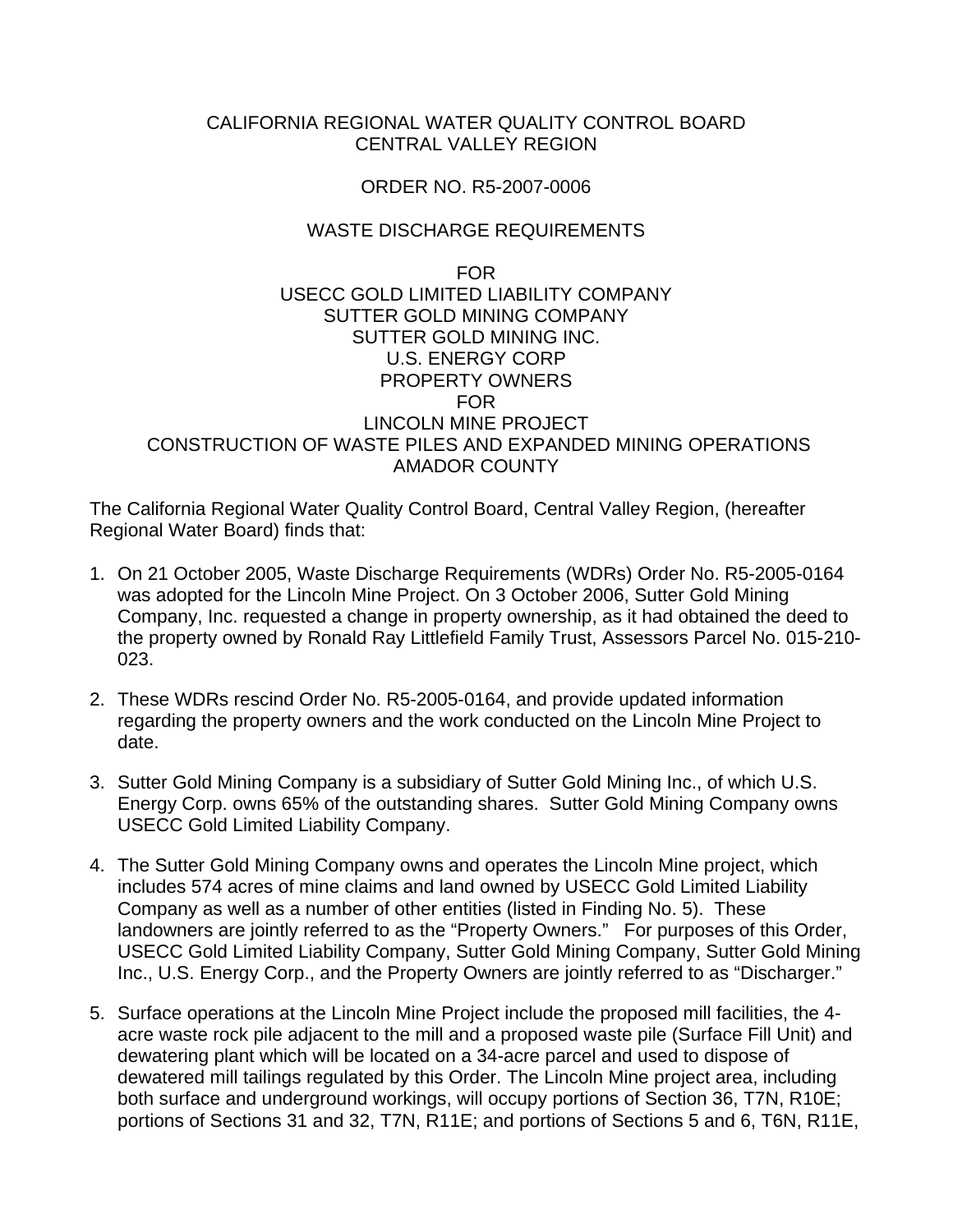## CALIFORNIA REGIONAL WATER QUALITY CONTROL BOARD CENTRAL VALLEY REGION

#### ORDER NO. R5-2007-0006

## WASTE DISCHARGE REQUIREMENTS

#### FOR USECC GOLD LIMITED LIABILITY COMPANY SUTTER GOLD MINING COMPANY SUTTER GOLD MINING INC. U.S. ENERGY CORP PROPERTY OWNERS FOR LINCOLN MINE PROJECT CONSTRUCTION OF WASTE PILES AND EXPANDED MINING OPERATIONS AMADOR COUNTY

The California Regional Water Quality Control Board, Central Valley Region, (hereafter Regional Water Board) finds that:

- 1. On 21 October 2005, Waste Discharge Requirements (WDRs) Order No. R5-2005-0164 was adopted for the Lincoln Mine Project. On 3 October 2006, Sutter Gold Mining Company, Inc. requested a change in property ownership, as it had obtained the deed to the property owned by Ronald Ray Littlefield Family Trust, Assessors Parcel No. 015-210- 023.
- 2. These WDRs rescind Order No. R5-2005-0164, and provide updated information regarding the property owners and the work conducted on the Lincoln Mine Project to date.
- 3. Sutter Gold Mining Company is a subsidiary of Sutter Gold Mining Inc., of which U.S. Energy Corp. owns 65% of the outstanding shares. Sutter Gold Mining Company owns USECC Gold Limited Liability Company.
- 4. The Sutter Gold Mining Company owns and operates the Lincoln Mine project, which includes 574 acres of mine claims and land owned by USECC Gold Limited Liability Company as well as a number of other entities (listed in Finding No. 5). These landowners are jointly referred to as the "Property Owners." For purposes of this Order, USECC Gold Limited Liability Company, Sutter Gold Mining Company, Sutter Gold Mining Inc., U.S. Energy Corp., and the Property Owners are jointly referred to as "Discharger."
- 5. Surface operations at the Lincoln Mine Project include the proposed mill facilities, the 4 acre waste rock pile adjacent to the mill and a proposed waste pile (Surface Fill Unit) and dewatering plant which will be located on a 34-acre parcel and used to dispose of dewatered mill tailings regulated by this Order. The Lincoln Mine project area, including both surface and underground workings, will occupy portions of Section 36, T7N, R10E; portions of Sections 31 and 32, T7N, R11E; and portions of Sections 5 and 6, T6N, R11E,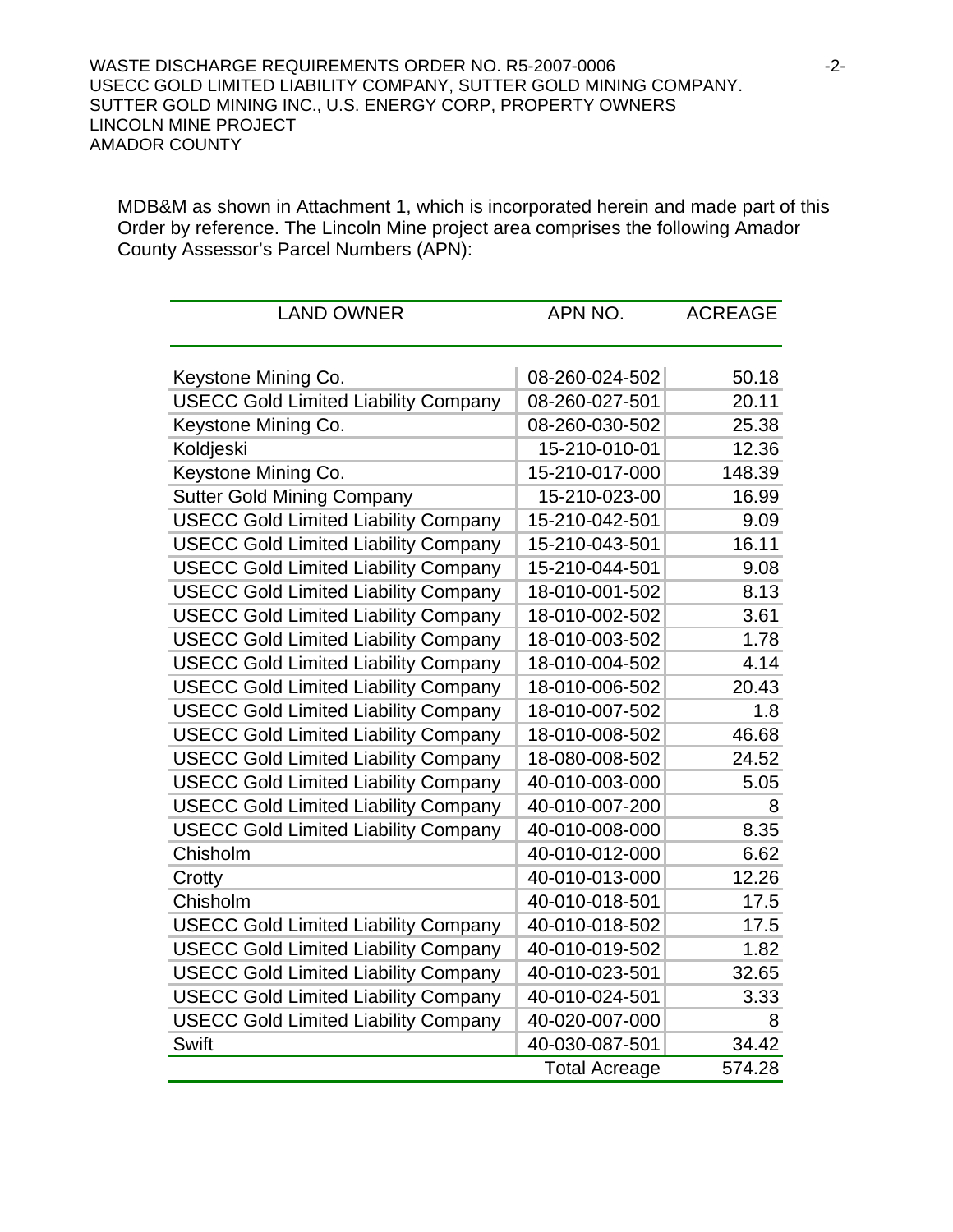MDB&M as shown in Attachment 1, which is incorporated herein and made part of this Order by reference. The Lincoln Mine project area comprises the following Amador County Assessor's Parcel Numbers (APN):

| <b>LAND OWNER</b>                           | APN NO.              | <b>ACREAGE</b> |
|---------------------------------------------|----------------------|----------------|
|                                             |                      |                |
|                                             |                      |                |
| Keystone Mining Co.                         | 08-260-024-502       | 50.18          |
| <b>USECC Gold Limited Liability Company</b> | 08-260-027-501       | 20.11          |
| Keystone Mining Co.                         | 08-260-030-502       | 25.38          |
| Koldjeski                                   | 15-210-010-01        | 12.36          |
| Keystone Mining Co.                         | 15-210-017-000       | 148.39         |
| <b>Sutter Gold Mining Company</b>           | 15-210-023-00        | 16.99          |
| <b>USECC Gold Limited Liability Company</b> | 15-210-042-501       | 9.09           |
| <b>USECC Gold Limited Liability Company</b> | 15-210-043-501       | 16.11          |
| <b>USECC Gold Limited Liability Company</b> | 15-210-044-501       | 9.08           |
| <b>USECC Gold Limited Liability Company</b> | 18-010-001-502       | 8.13           |
| <b>USECC Gold Limited Liability Company</b> | 18-010-002-502       | 3.61           |
| <b>USECC Gold Limited Liability Company</b> | 18-010-003-502       | 1.78           |
| <b>USECC Gold Limited Liability Company</b> | 18-010-004-502       | 4.14           |
| <b>USECC Gold Limited Liability Company</b> | 18-010-006-502       | 20.43          |
| <b>USECC Gold Limited Liability Company</b> | 18-010-007-502       | 1.8            |
| <b>USECC Gold Limited Liability Company</b> | 18-010-008-502       | 46.68          |
| <b>USECC Gold Limited Liability Company</b> | 18-080-008-502       | 24.52          |
| <b>USECC Gold Limited Liability Company</b> | 40-010-003-000       | 5.05           |
| <b>USECC Gold Limited Liability Company</b> | 40-010-007-200       | 8              |
| <b>USECC Gold Limited Liability Company</b> | 40-010-008-000       | 8.35           |
| Chisholm                                    | 40-010-012-000       | 6.62           |
| Crotty                                      | 40-010-013-000       | 12.26          |
| Chisholm                                    | 40-010-018-501       | 17.5           |
| <b>USECC Gold Limited Liability Company</b> | 40-010-018-502       | 17.5           |
| <b>USECC Gold Limited Liability Company</b> | 40-010-019-502       | 1.82           |
| <b>USECC Gold Limited Liability Company</b> | 40-010-023-501       | 32.65          |
| <b>USECC Gold Limited Liability Company</b> | 40-010-024-501       | 3.33           |
| <b>USECC Gold Limited Liability Company</b> | 40-020-007-000       | 8              |
| Swift                                       | 40-030-087-501       | 34.42          |
|                                             | <b>Total Acreage</b> | 574.28         |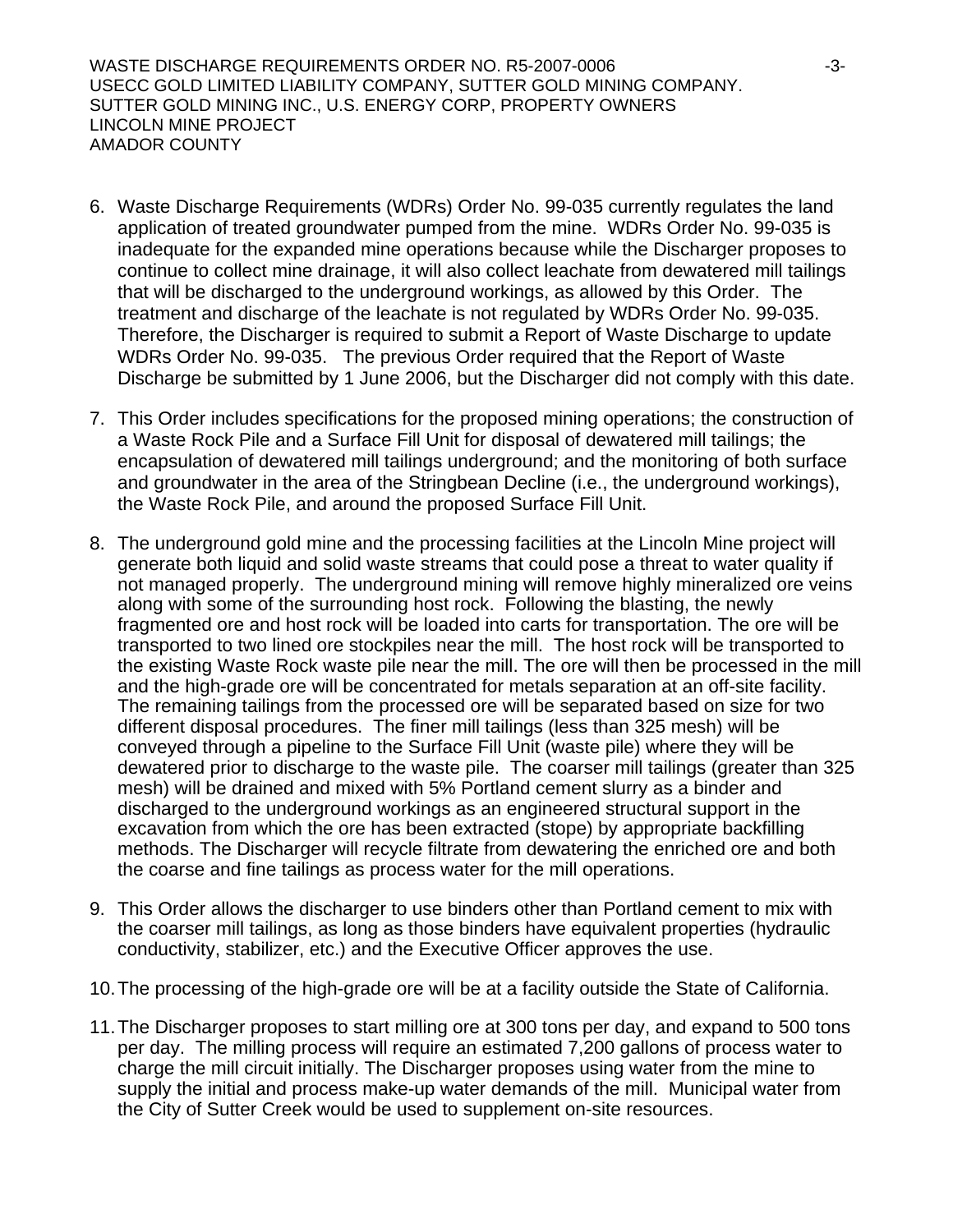WASTE DISCHARGE REQUIREMENTS ORDER NO. R5-2007-0006 -3- USECC GOLD LIMITED LIABILITY COMPANY, SUTTER GOLD MINING COMPANY. SUTTER GOLD MINING INC., U.S. ENERGY CORP, PROPERTY OWNERS LINCOLN MINE PROJECT AMADOR COUNTY

- 6. Waste Discharge Requirements (WDRs) Order No. 99-035 currently regulates the land application of treated groundwater pumped from the mine. WDRs Order No. 99-035 is inadequate for the expanded mine operations because while the Discharger proposes to continue to collect mine drainage, it will also collect leachate from dewatered mill tailings that will be discharged to the underground workings, as allowed by this Order. The treatment and discharge of the leachate is not regulated by WDRs Order No. 99-035. Therefore, the Discharger is required to submit a Report of Waste Discharge to update WDRs Order No. 99-035. The previous Order required that the Report of Waste Discharge be submitted by 1 June 2006, but the Discharger did not comply with this date.
- 7. This Order includes specifications for the proposed mining operations; the construction of a Waste Rock Pile and a Surface Fill Unit for disposal of dewatered mill tailings; the encapsulation of dewatered mill tailings underground; and the monitoring of both surface and groundwater in the area of the Stringbean Decline (i.e., the underground workings), the Waste Rock Pile, and around the proposed Surface Fill Unit.
- 8. The underground gold mine and the processing facilities at the Lincoln Mine project will generate both liquid and solid waste streams that could pose a threat to water quality if not managed properly. The underground mining will remove highly mineralized ore veins along with some of the surrounding host rock. Following the blasting, the newly fragmented ore and host rock will be loaded into carts for transportation. The ore will be transported to two lined ore stockpiles near the mill. The host rock will be transported to the existing Waste Rock waste pile near the mill. The ore will then be processed in the mill and the high-grade ore will be concentrated for metals separation at an off-site facility. The remaining tailings from the processed ore will be separated based on size for two different disposal procedures. The finer mill tailings (less than 325 mesh) will be conveyed through a pipeline to the Surface Fill Unit (waste pile) where they will be dewatered prior to discharge to the waste pile. The coarser mill tailings (greater than 325 mesh) will be drained and mixed with 5% Portland cement slurry as a binder and discharged to the underground workings as an engineered structural support in the excavation from which the ore has been extracted (stope) by appropriate backfilling methods. The Discharger will recycle filtrate from dewatering the enriched ore and both the coarse and fine tailings as process water for the mill operations.
- 9. This Order allows the discharger to use binders other than Portland cement to mix with the coarser mill tailings, as long as those binders have equivalent properties (hydraulic conductivity, stabilizer, etc.) and the Executive Officer approves the use.
- 10. The processing of the high-grade ore will be at a facility outside the State of California.
- 11. The Discharger proposes to start milling ore at 300 tons per day, and expand to 500 tons per day. The milling process will require an estimated 7,200 gallons of process water to charge the mill circuit initially. The Discharger proposes using water from the mine to supply the initial and process make-up water demands of the mill. Municipal water from the City of Sutter Creek would be used to supplement on-site resources.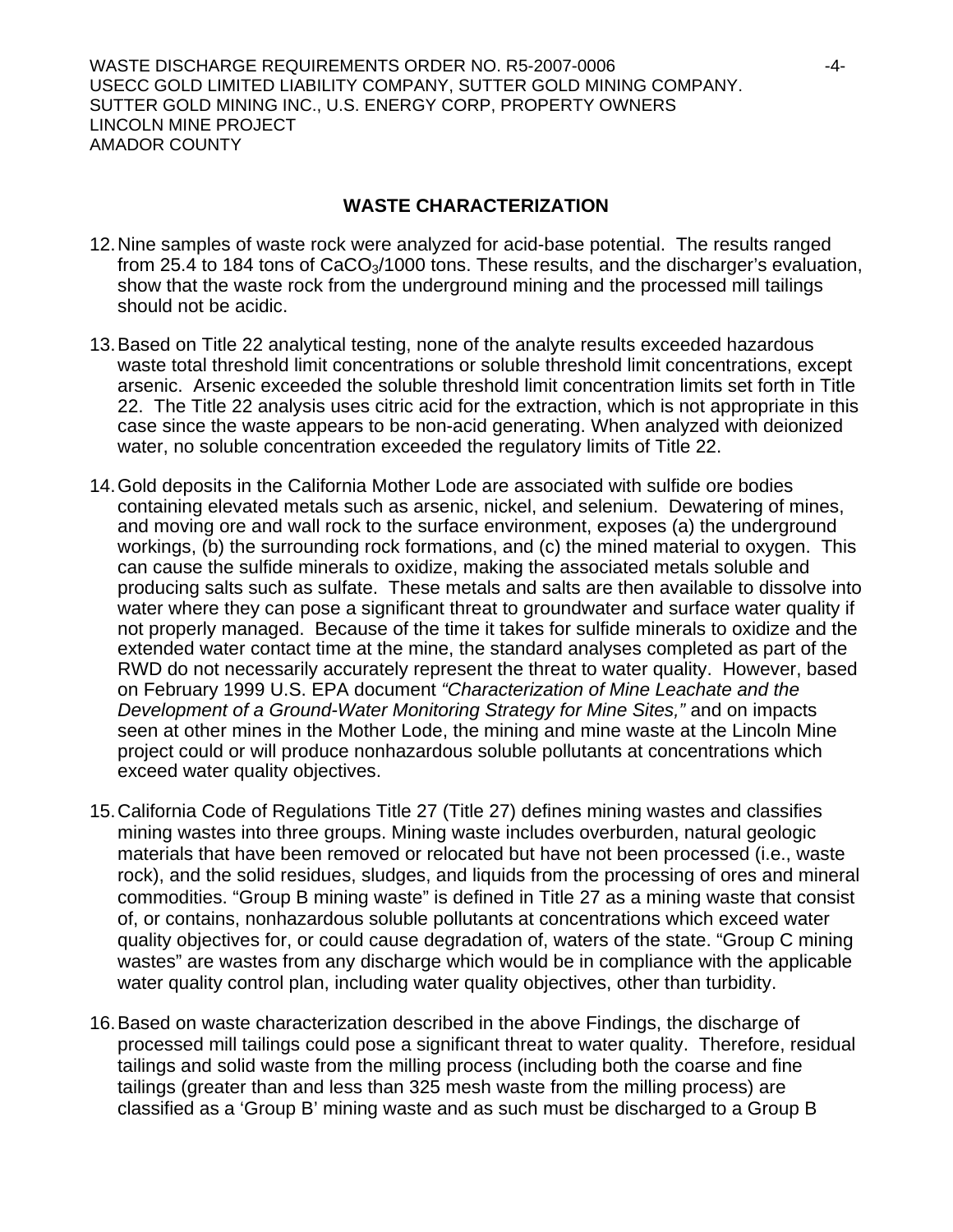WASTE DISCHARGE REQUIREMENTS ORDER NO. R5-2007-0006 -4- USECC GOLD LIMITED LIABILITY COMPANY, SUTTER GOLD MINING COMPANY. SUTTER GOLD MINING INC., U.S. ENERGY CORP, PROPERTY OWNERS LINCOLN MINE PROJECT AMADOR COUNTY

## **WASTE CHARACTERIZATION**

- 12. Nine samples of waste rock were analyzed for acid-base potential. The results ranged from 25.4 to 184 tons of  $CaCO<sub>3</sub>/1000$  tons. These results, and the discharger's evaluation, show that the waste rock from the underground mining and the processed mill tailings should not be acidic.
- 13. Based on Title 22 analytical testing, none of the analyte results exceeded hazardous waste total threshold limit concentrations or soluble threshold limit concentrations, except arsenic. Arsenic exceeded the soluble threshold limit concentration limits set forth in Title 22. The Title 22 analysis uses citric acid for the extraction, which is not appropriate in this case since the waste appears to be non-acid generating. When analyzed with deionized water, no soluble concentration exceeded the regulatory limits of Title 22.
- 14. Gold deposits in the California Mother Lode are associated with sulfide ore bodies containing elevated metals such as arsenic, nickel, and selenium. Dewatering of mines, and moving ore and wall rock to the surface environment, exposes (a) the underground workings, (b) the surrounding rock formations, and (c) the mined material to oxygen. This can cause the sulfide minerals to oxidize, making the associated metals soluble and producing salts such as sulfate. These metals and salts are then available to dissolve into water where they can pose a significant threat to groundwater and surface water quality if not properly managed. Because of the time it takes for sulfide minerals to oxidize and the extended water contact time at the mine, the standard analyses completed as part of the RWD do not necessarily accurately represent the threat to water quality. However, based on February 1999 U.S. EPA document *"Characterization of Mine Leachate and the Development of a Ground-Water Monitoring Strategy for Mine Sites,"* and on impacts seen at other mines in the Mother Lode, the mining and mine waste at the Lincoln Mine project could or will produce nonhazardous soluble pollutants at concentrations which exceed water quality objectives.
- 15. California Code of Regulations Title 27 (Title 27) defines mining wastes and classifies mining wastes into three groups. Mining waste includes overburden, natural geologic materials that have been removed or relocated but have not been processed (i.e., waste rock), and the solid residues, sludges, and liquids from the processing of ores and mineral commodities. "Group B mining waste" is defined in Title 27 as a mining waste that consist of, or contains, nonhazardous soluble pollutants at concentrations which exceed water quality objectives for, or could cause degradation of, waters of the state. "Group C mining wastes" are wastes from any discharge which would be in compliance with the applicable water quality control plan, including water quality objectives, other than turbidity.
- 16. Based on waste characterization described in the above Findings, the discharge of processed mill tailings could pose a significant threat to water quality. Therefore, residual tailings and solid waste from the milling process (including both the coarse and fine tailings (greater than and less than 325 mesh waste from the milling process) are classified as a 'Group B' mining waste and as such must be discharged to a Group B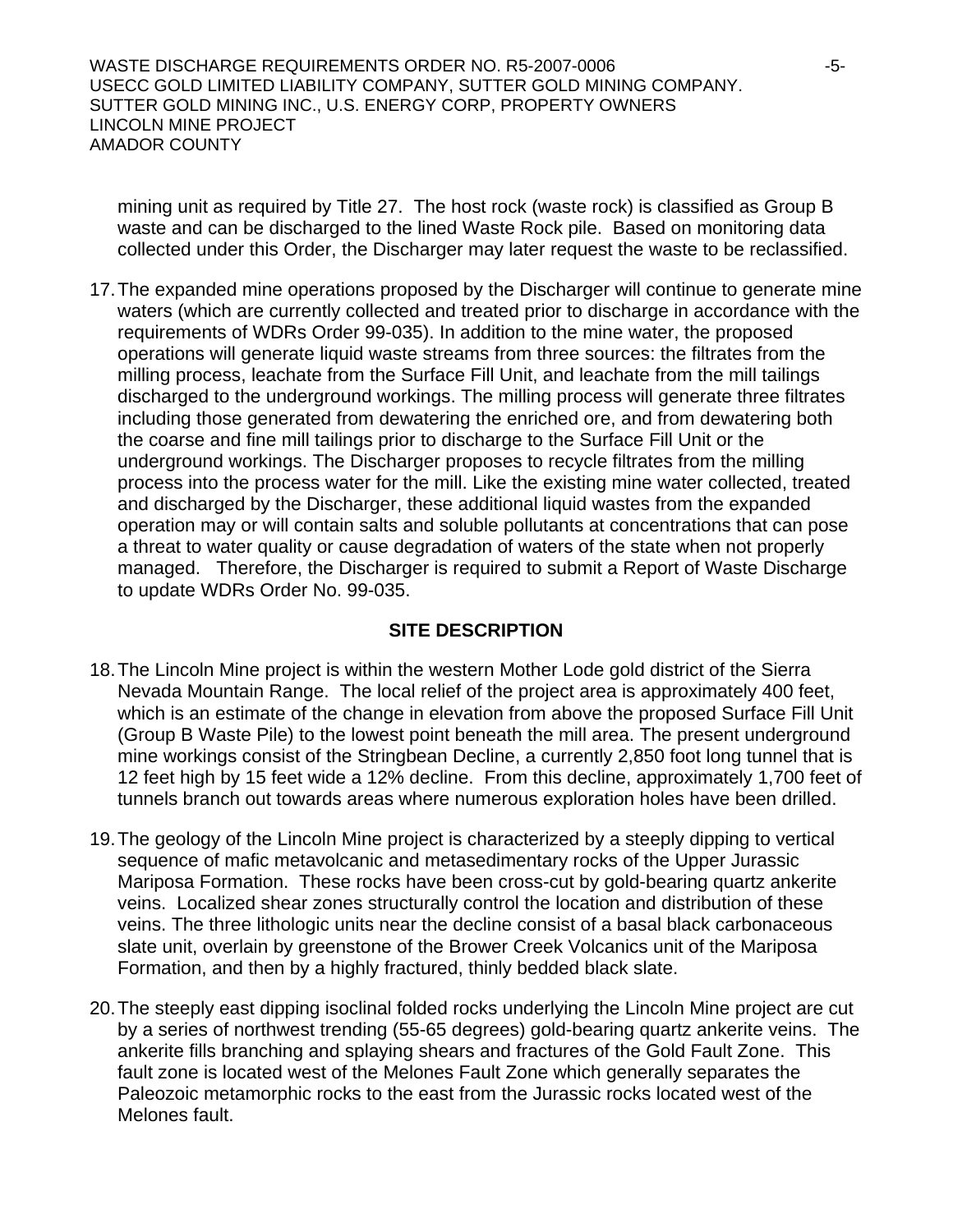WASTE DISCHARGE REQUIREMENTS ORDER NO. R5-2007-0006 -5- USECC GOLD LIMITED LIABILITY COMPANY, SUTTER GOLD MINING COMPANY. SUTTER GOLD MINING INC., U.S. ENERGY CORP, PROPERTY OWNERS LINCOLN MINE PROJECT AMADOR COUNTY

mining unit as required by Title 27. The host rock (waste rock) is classified as Group B waste and can be discharged to the lined Waste Rock pile. Based on monitoring data collected under this Order, the Discharger may later request the waste to be reclassified.

17. The expanded mine operations proposed by the Discharger will continue to generate mine waters (which are currently collected and treated prior to discharge in accordance with the requirements of WDRs Order 99-035). In addition to the mine water, the proposed operations will generate liquid waste streams from three sources: the filtrates from the milling process, leachate from the Surface Fill Unit, and leachate from the mill tailings discharged to the underground workings. The milling process will generate three filtrates including those generated from dewatering the enriched ore, and from dewatering both the coarse and fine mill tailings prior to discharge to the Surface Fill Unit or the underground workings. The Discharger proposes to recycle filtrates from the milling process into the process water for the mill. Like the existing mine water collected, treated and discharged by the Discharger, these additional liquid wastes from the expanded operation may or will contain salts and soluble pollutants at concentrations that can pose a threat to water quality or cause degradation of waters of the state when not properly managed. Therefore, the Discharger is required to submit a Report of Waste Discharge to update WDRs Order No. 99-035.

#### **SITE DESCRIPTION**

- 18. The Lincoln Mine project is within the western Mother Lode gold district of the Sierra Nevada Mountain Range. The local relief of the project area is approximately 400 feet, which is an estimate of the change in elevation from above the proposed Surface Fill Unit (Group B Waste Pile) to the lowest point beneath the mill area. The present underground mine workings consist of the Stringbean Decline, a currently 2,850 foot long tunnel that is 12 feet high by 15 feet wide a 12% decline. From this decline, approximately 1,700 feet of tunnels branch out towards areas where numerous exploration holes have been drilled.
- 19. The geology of the Lincoln Mine project is characterized by a steeply dipping to vertical sequence of mafic metavolcanic and metasedimentary rocks of the Upper Jurassic Mariposa Formation. These rocks have been cross-cut by gold-bearing quartz ankerite veins. Localized shear zones structurally control the location and distribution of these veins. The three lithologic units near the decline consist of a basal black carbonaceous slate unit, overlain by greenstone of the Brower Creek Volcanics unit of the Mariposa Formation, and then by a highly fractured, thinly bedded black slate.
- 20. The steeply east dipping isoclinal folded rocks underlying the Lincoln Mine project are cut by a series of northwest trending (55-65 degrees) gold-bearing quartz ankerite veins. The ankerite fills branching and splaying shears and fractures of the Gold Fault Zone. This fault zone is located west of the Melones Fault Zone which generally separates the Paleozoic metamorphic rocks to the east from the Jurassic rocks located west of the Melones fault.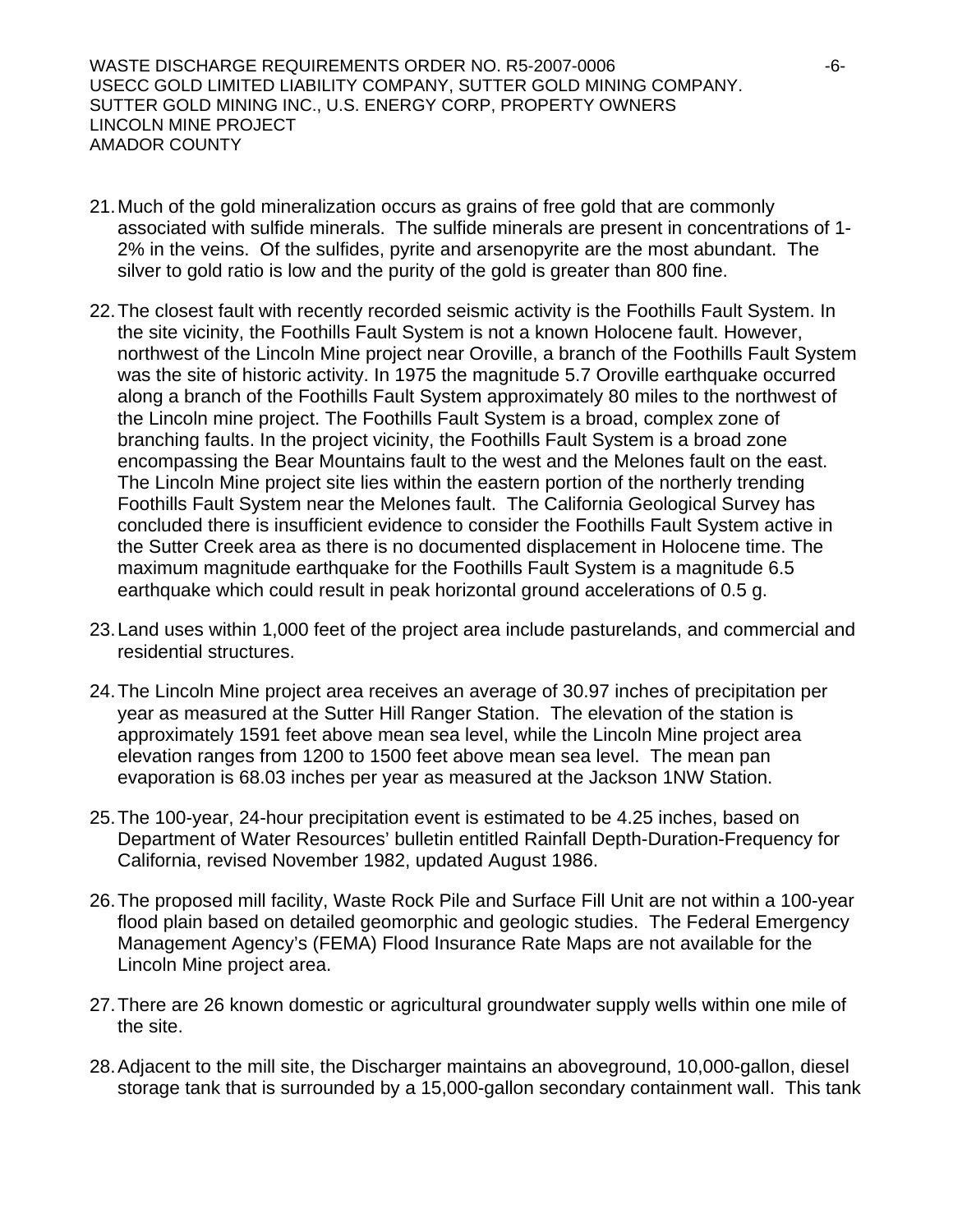WASTE DISCHARGE REQUIREMENTS ORDER NO. R5-2007-0006 -6- USECC GOLD LIMITED LIABILITY COMPANY, SUTTER GOLD MINING COMPANY. SUTTER GOLD MINING INC., U.S. ENERGY CORP, PROPERTY OWNERS LINCOLN MINE PROJECT AMADOR COUNTY

- 21. Much of the gold mineralization occurs as grains of free gold that are commonly associated with sulfide minerals. The sulfide minerals are present in concentrations of 1- 2% in the veins. Of the sulfides, pyrite and arsenopyrite are the most abundant. The silver to gold ratio is low and the purity of the gold is greater than 800 fine.
- 22. The closest fault with recently recorded seismic activity is the Foothills Fault System. In the site vicinity, the Foothills Fault System is not a known Holocene fault. However, northwest of the Lincoln Mine project near Oroville, a branch of the Foothills Fault System was the site of historic activity. In 1975 the magnitude 5.7 Oroville earthquake occurred along a branch of the Foothills Fault System approximately 80 miles to the northwest of the Lincoln mine project. The Foothills Fault System is a broad, complex zone of branching faults. In the project vicinity, the Foothills Fault System is a broad zone encompassing the Bear Mountains fault to the west and the Melones fault on the east. The Lincoln Mine project site lies within the eastern portion of the northerly trending Foothills Fault System near the Melones fault. The California Geological Survey has concluded there is insufficient evidence to consider the Foothills Fault System active in the Sutter Creek area as there is no documented displacement in Holocene time. The maximum magnitude earthquake for the Foothills Fault System is a magnitude 6.5 earthquake which could result in peak horizontal ground accelerations of 0.5 g.
- 23. Land uses within 1,000 feet of the project area include pasturelands, and commercial and residential structures.
- 24. The Lincoln Mine project area receives an average of 30.97 inches of precipitation per year as measured at the Sutter Hill Ranger Station. The elevation of the station is approximately 1591 feet above mean sea level, while the Lincoln Mine project area elevation ranges from 1200 to 1500 feet above mean sea level. The mean pan evaporation is 68.03 inches per year as measured at the Jackson 1NW Station.
- 25. The 100-year, 24-hour precipitation event is estimated to be 4.25 inches, based on Department of Water Resources' bulletin entitled Rainfall Depth-Duration-Frequency for California, revised November 1982, updated August 1986.
- 26. The proposed mill facility, Waste Rock Pile and Surface Fill Unit are not within a 100-year flood plain based on detailed geomorphic and geologic studies. The Federal Emergency Management Agency's (FEMA) Flood Insurance Rate Maps are not available for the Lincoln Mine project area.
- 27. There are 26 known domestic or agricultural groundwater supply wells within one mile of the site.
- 28. Adjacent to the mill site, the Discharger maintains an aboveground, 10,000-gallon, diesel storage tank that is surrounded by a 15,000-gallon secondary containment wall. This tank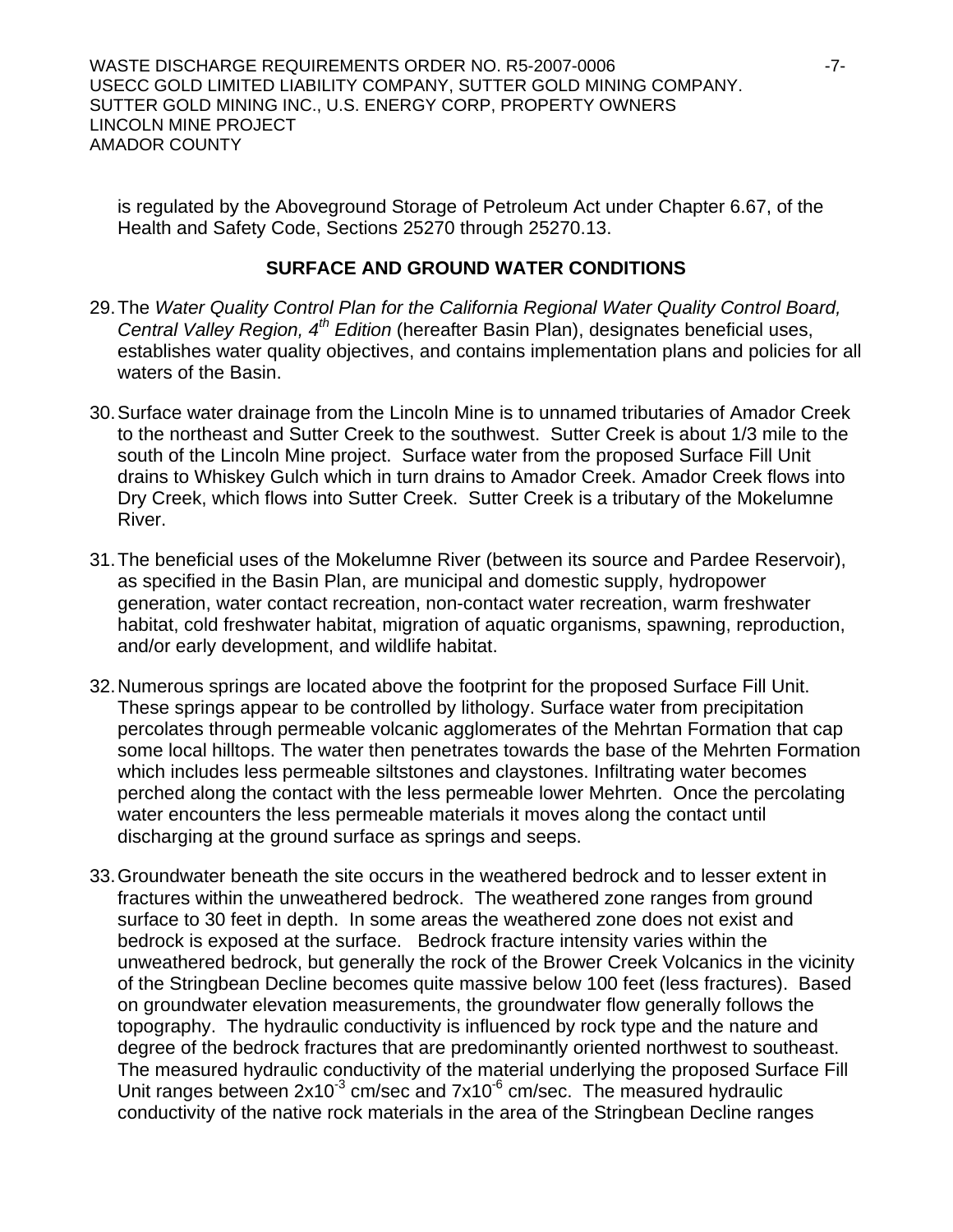WASTE DISCHARGE REQUIREMENTS ORDER NO. R5-2007-0006 ----------------------------USECC GOLD LIMITED LIABILITY COMPANY, SUTTER GOLD MINING COMPANY. SUTTER GOLD MINING INC., U.S. ENERGY CORP, PROPERTY OWNERS LINCOLN MINE PROJECT AMADOR COUNTY

is regulated by the Aboveground Storage of Petroleum Act under Chapter 6.67, of the Health and Safety Code, Sections 25270 through 25270.13.

#### **SURFACE AND GROUND WATER CONDITIONS**

- 29. The *Water Quality Control Plan for the California Regional Water Quality Control Board, Central Valley Region, 4th Edition* (hereafter Basin Plan), designates beneficial uses, establishes water quality objectives, and contains implementation plans and policies for all waters of the Basin.
- 30. Surface water drainage from the Lincoln Mine is to unnamed tributaries of Amador Creek to the northeast and Sutter Creek to the southwest. Sutter Creek is about 1/3 mile to the south of the Lincoln Mine project. Surface water from the proposed Surface Fill Unit drains to Whiskey Gulch which in turn drains to Amador Creek. Amador Creek flows into Dry Creek, which flows into Sutter Creek. Sutter Creek is a tributary of the Mokelumne River.
- 31. The beneficial uses of the Mokelumne River (between its source and Pardee Reservoir), as specified in the Basin Plan, are municipal and domestic supply, hydropower generation, water contact recreation, non-contact water recreation, warm freshwater habitat, cold freshwater habitat, migration of aquatic organisms, spawning, reproduction, and/or early development, and wildlife habitat.
- 32. Numerous springs are located above the footprint for the proposed Surface Fill Unit. These springs appear to be controlled by lithology. Surface water from precipitation percolates through permeable volcanic agglomerates of the Mehrtan Formation that cap some local hilltops. The water then penetrates towards the base of the Mehrten Formation which includes less permeable siltstones and claystones. Infiltrating water becomes perched along the contact with the less permeable lower Mehrten. Once the percolating water encounters the less permeable materials it moves along the contact until discharging at the ground surface as springs and seeps.
- 33. Groundwater beneath the site occurs in the weathered bedrock and to lesser extent in fractures within the unweathered bedrock. The weathered zone ranges from ground surface to 30 feet in depth. In some areas the weathered zone does not exist and bedrock is exposed at the surface. Bedrock fracture intensity varies within the unweathered bedrock, but generally the rock of the Brower Creek Volcanics in the vicinity of the Stringbean Decline becomes quite massive below 100 feet (less fractures). Based on groundwater elevation measurements, the groundwater flow generally follows the topography. The hydraulic conductivity is influenced by rock type and the nature and degree of the bedrock fractures that are predominantly oriented northwest to southeast. The measured hydraulic conductivity of the material underlying the proposed Surface Fill Unit ranges between  $2x10^{-3}$  cm/sec and  $7x10^{-6}$  cm/sec. The measured hydraulic conductivity of the native rock materials in the area of the Stringbean Decline ranges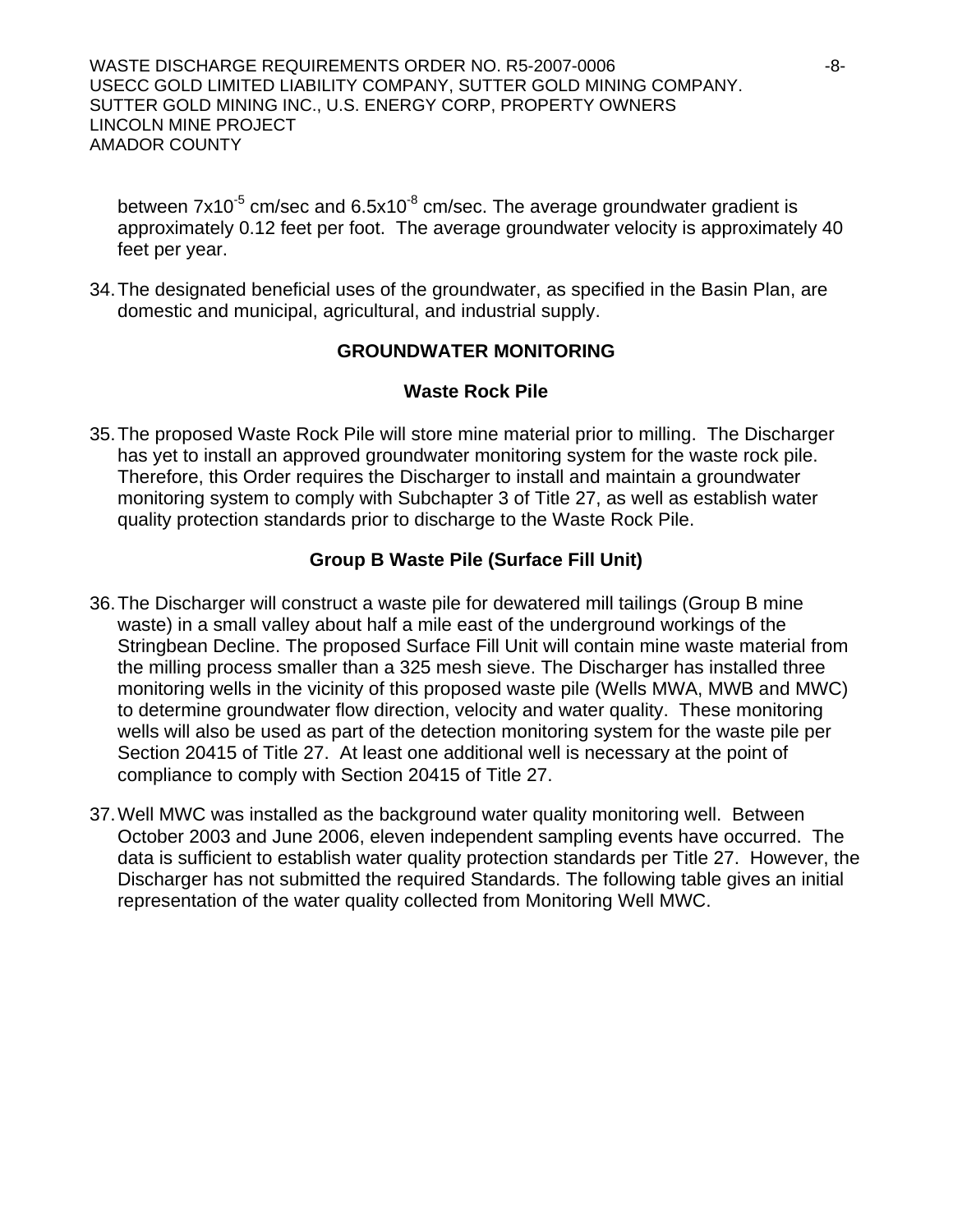WASTE DISCHARGE REQUIREMENTS ORDER NO. R5-2007-0006 -8- USECC GOLD LIMITED LIABILITY COMPANY, SUTTER GOLD MINING COMPANY. SUTTER GOLD MINING INC., U.S. ENERGY CORP, PROPERTY OWNERS LINCOLN MINE PROJECT AMADOR COUNTY

between  $7x10^{-5}$  cm/sec and  $6.5x10^{-8}$  cm/sec. The average groundwater gradient is approximately 0.12 feet per foot. The average groundwater velocity is approximately 40 feet per year.

34. The designated beneficial uses of the groundwater, as specified in the Basin Plan, are domestic and municipal, agricultural, and industrial supply.

## **GROUNDWATER MONITORING**

## **Waste Rock Pile**

35. The proposed Waste Rock Pile will store mine material prior to milling. The Discharger has yet to install an approved groundwater monitoring system for the waste rock pile. Therefore, this Order requires the Discharger to install and maintain a groundwater monitoring system to comply with Subchapter 3 of Title 27, as well as establish water quality protection standards prior to discharge to the Waste Rock Pile.

## **Group B Waste Pile (Surface Fill Unit)**

- 36. The Discharger will construct a waste pile for dewatered mill tailings (Group B mine waste) in a small valley about half a mile east of the underground workings of the Stringbean Decline. The proposed Surface Fill Unit will contain mine waste material from the milling process smaller than a 325 mesh sieve. The Discharger has installed three monitoring wells in the vicinity of this proposed waste pile (Wells MWA, MWB and MWC) to determine groundwater flow direction, velocity and water quality. These monitoring wells will also be used as part of the detection monitoring system for the waste pile per Section 20415 of Title 27. At least one additional well is necessary at the point of compliance to comply with Section 20415 of Title 27.
- 37. Well MWC was installed as the background water quality monitoring well. Between October 2003 and June 2006, eleven independent sampling events have occurred. The data is sufficient to establish water quality protection standards per Title 27. However, the Discharger has not submitted the required Standards. The following table gives an initial representation of the water quality collected from Monitoring Well MWC.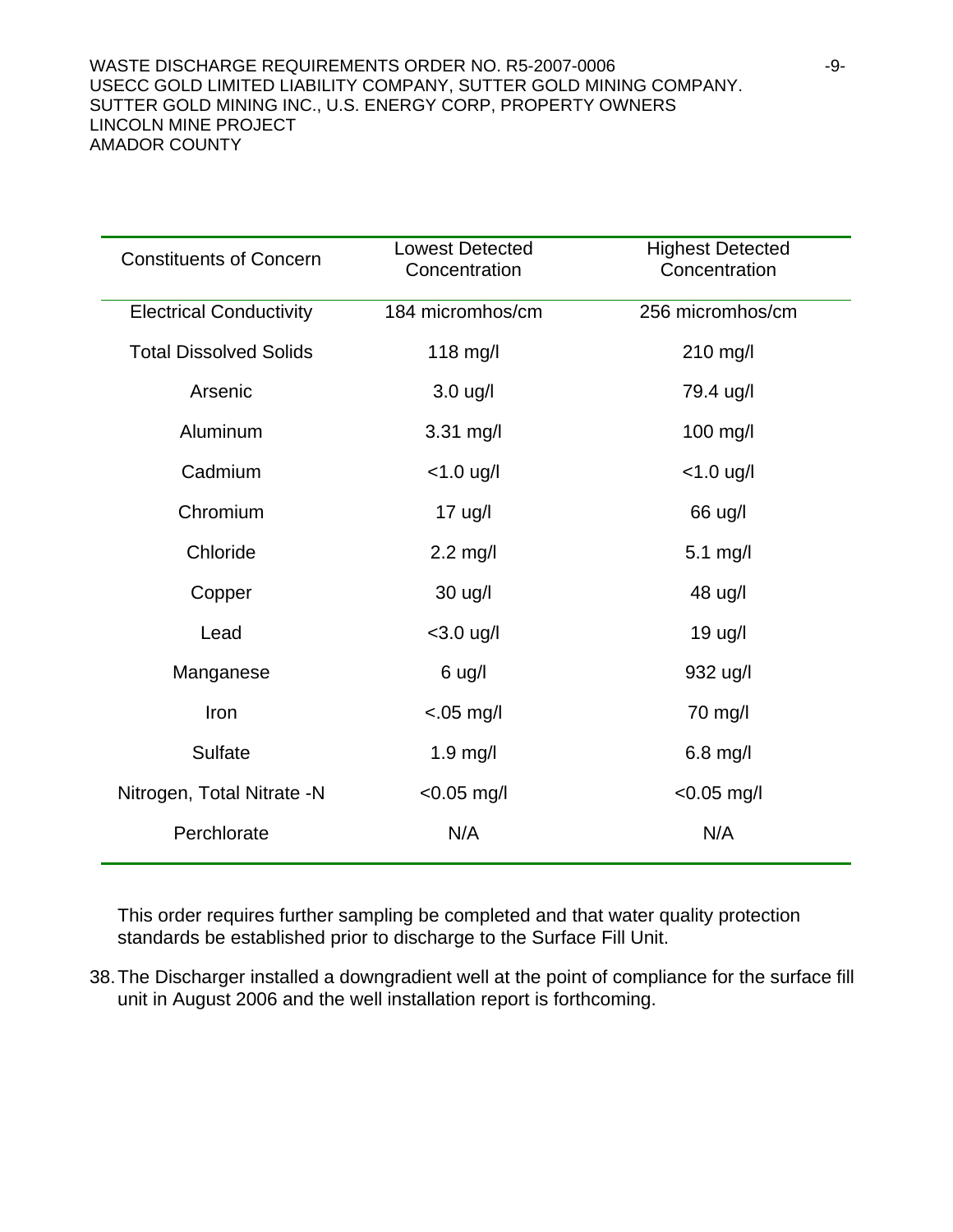| <b>Constituents of Concern</b> | <b>Lowest Detected</b><br>Concentration | <b>Highest Detected</b><br>Concentration |
|--------------------------------|-----------------------------------------|------------------------------------------|
| <b>Electrical Conductivity</b> | 184 micromhos/cm                        | 256 micromhos/cm                         |
| <b>Total Dissolved Solids</b>  | 118 mg/l                                | 210 mg/l                                 |
| Arsenic                        | $3.0$ ug/l                              | 79.4 ug/l                                |
| Aluminum                       | 3.31 mg/l                               | 100 mg/l                                 |
| Cadmium                        | $< 1.0$ ug/l                            | $< 1.0$ ug/l                             |
| Chromium                       | $17$ ug/l                               | 66 ug/l                                  |
| Chloride                       | $2.2$ mg/l                              | $5.1$ mg/l                               |
| Copper                         | 30 ug/l                                 | 48 ug/l                                  |
| Lead                           | $<$ 3.0 ug/l                            | 19 ug/l                                  |
| Manganese                      | 6 ug/l                                  | 932 ug/l                                 |
| Iron                           | $< 05$ mg/l                             | 70 mg/l                                  |
| <b>Sulfate</b>                 | $1.9$ mg/l                              | $6.8$ mg/l                               |
| Nitrogen, Total Nitrate -N     | $< 0.05$ mg/l                           | $< 0.05$ mg/l                            |
| Perchlorate                    | N/A                                     | N/A                                      |

This order requires further sampling be completed and that water quality protection standards be established prior to discharge to the Surface Fill Unit.

38. The Discharger installed a downgradient well at the point of compliance for the surface fill unit in August 2006 and the well installation report is forthcoming.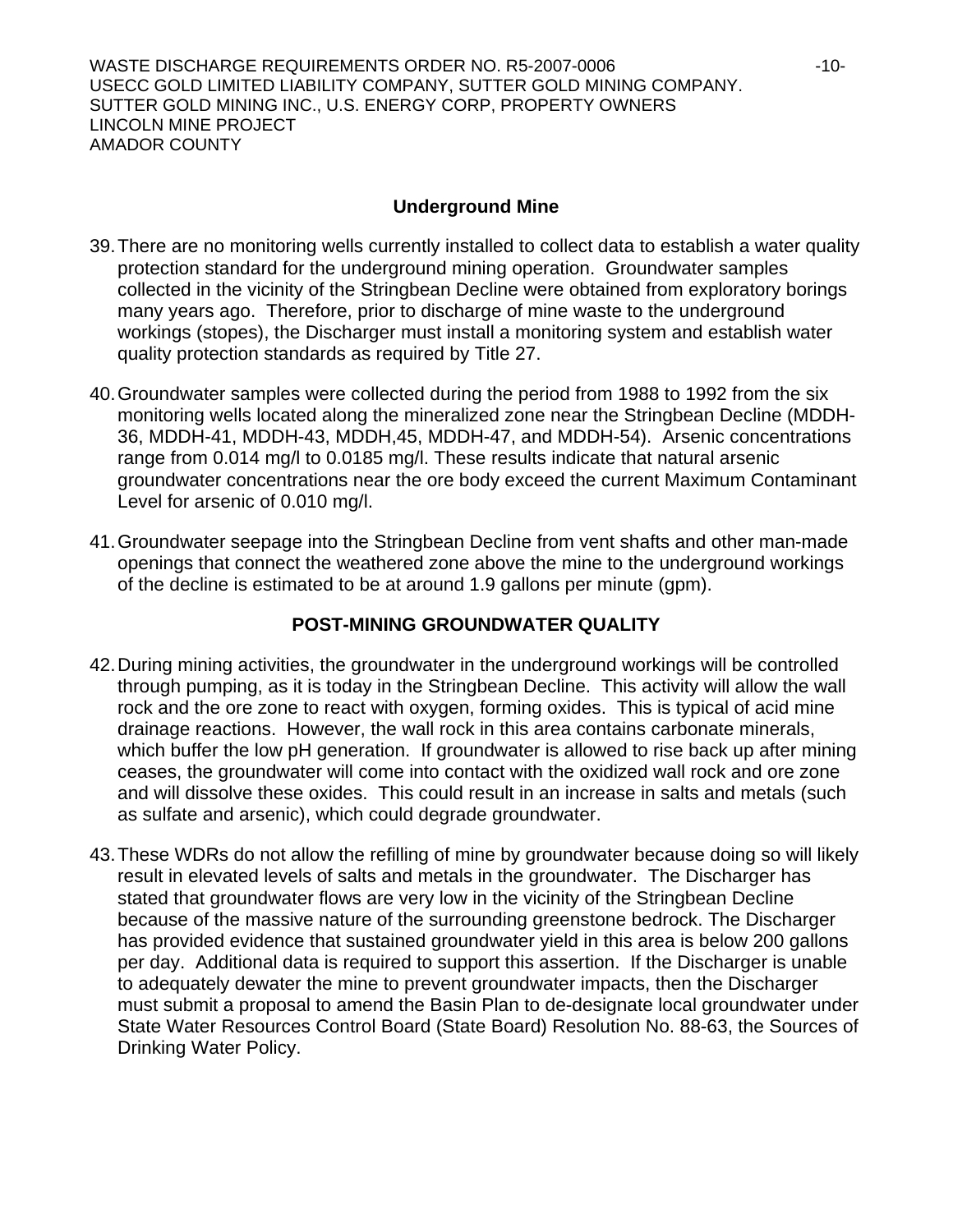WASTE DISCHARGE REQUIREMENTS ORDER NO. R5-2007-0006 -10- USECC GOLD LIMITED LIABILITY COMPANY, SUTTER GOLD MINING COMPANY. SUTTER GOLD MINING INC., U.S. ENERGY CORP, PROPERTY OWNERS LINCOLN MINE PROJECT AMADOR COUNTY

## **Underground Mine**

- 39. There are no monitoring wells currently installed to collect data to establish a water quality protection standard for the underground mining operation. Groundwater samples collected in the vicinity of the Stringbean Decline were obtained from exploratory borings many years ago. Therefore, prior to discharge of mine waste to the underground workings (stopes), the Discharger must install a monitoring system and establish water quality protection standards as required by Title 27.
- 40. Groundwater samples were collected during the period from 1988 to 1992 from the six monitoring wells located along the mineralized zone near the Stringbean Decline (MDDH-36, MDDH-41, MDDH-43, MDDH,45, MDDH-47, and MDDH-54). Arsenic concentrations range from 0.014 mg/l to 0.0185 mg/l. These results indicate that natural arsenic groundwater concentrations near the ore body exceed the current Maximum Contaminant Level for arsenic of 0.010 mg/l.
- 41. Groundwater seepage into the Stringbean Decline from vent shafts and other man-made openings that connect the weathered zone above the mine to the underground workings of the decline is estimated to be at around 1.9 gallons per minute (gpm).

## **POST-MINING GROUNDWATER QUALITY**

- 42. During mining activities, the groundwater in the underground workings will be controlled through pumping, as it is today in the Stringbean Decline. This activity will allow the wall rock and the ore zone to react with oxygen, forming oxides. This is typical of acid mine drainage reactions. However, the wall rock in this area contains carbonate minerals, which buffer the low pH generation. If groundwater is allowed to rise back up after mining ceases, the groundwater will come into contact with the oxidized wall rock and ore zone and will dissolve these oxides. This could result in an increase in salts and metals (such as sulfate and arsenic), which could degrade groundwater.
- 43. These WDRs do not allow the refilling of mine by groundwater because doing so will likely result in elevated levels of salts and metals in the groundwater. The Discharger has stated that groundwater flows are very low in the vicinity of the Stringbean Decline because of the massive nature of the surrounding greenstone bedrock. The Discharger has provided evidence that sustained groundwater yield in this area is below 200 gallons per day. Additional data is required to support this assertion. If the Discharger is unable to adequately dewater the mine to prevent groundwater impacts, then the Discharger must submit a proposal to amend the Basin Plan to de-designate local groundwater under State Water Resources Control Board (State Board) Resolution No. 88-63, the Sources of Drinking Water Policy.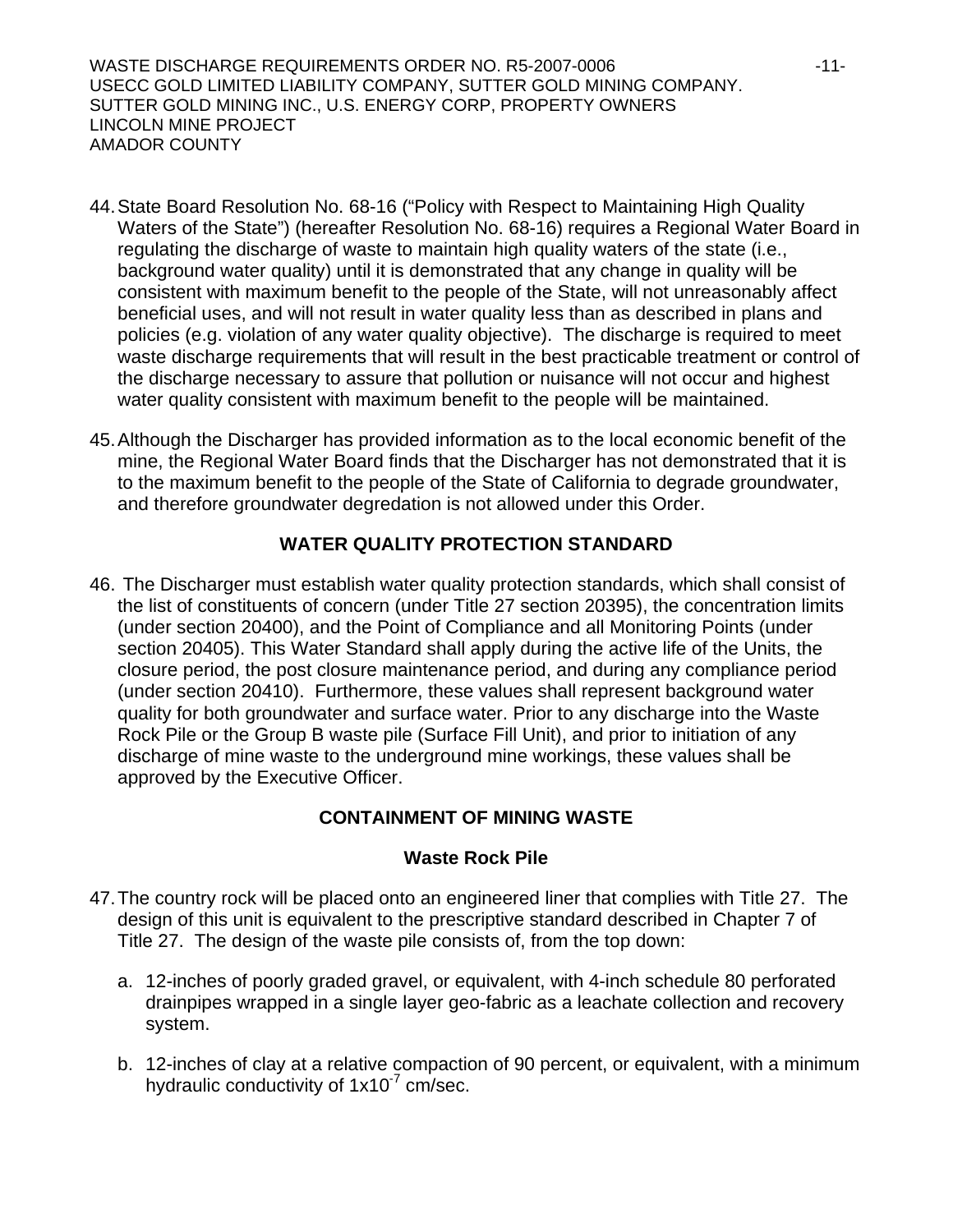WASTE DISCHARGE REQUIREMENTS ORDER NO. R5-2007-0006 -11- USECC GOLD LIMITED LIABILITY COMPANY, SUTTER GOLD MINING COMPANY. SUTTER GOLD MINING INC., U.S. ENERGY CORP, PROPERTY OWNERS LINCOLN MINE PROJECT AMADOR COUNTY

- 44. State Board Resolution No. 68-16 ("Policy with Respect to Maintaining High Quality Waters of the State") (hereafter Resolution No. 68-16) requires a Regional Water Board in regulating the discharge of waste to maintain high quality waters of the state (i.e., background water quality) until it is demonstrated that any change in quality will be consistent with maximum benefit to the people of the State, will not unreasonably affect beneficial uses, and will not result in water quality less than as described in plans and policies (e.g. violation of any water quality objective). The discharge is required to meet waste discharge requirements that will result in the best practicable treatment or control of the discharge necessary to assure that pollution or nuisance will not occur and highest water quality consistent with maximum benefit to the people will be maintained.
- 45. Although the Discharger has provided information as to the local economic benefit of the mine, the Regional Water Board finds that the Discharger has not demonstrated that it is to the maximum benefit to the people of the State of California to degrade groundwater, and therefore groundwater degredation is not allowed under this Order.

## **WATER QUALITY PROTECTION STANDARD**

46. The Discharger must establish water quality protection standards, which shall consist of the list of constituents of concern (under Title 27 section 20395), the concentration limits (under section 20400), and the Point of Compliance and all Monitoring Points (under section 20405). This Water Standard shall apply during the active life of the Units, the closure period, the post closure maintenance period, and during any compliance period (under section 20410). Furthermore, these values shall represent background water quality for both groundwater and surface water. Prior to any discharge into the Waste Rock Pile or the Group B waste pile (Surface Fill Unit), and prior to initiation of any discharge of mine waste to the underground mine workings, these values shall be approved by the Executive Officer.

## **CONTAINMENT OF MINING WASTE**

## **Waste Rock Pile**

- 47. The country rock will be placed onto an engineered liner that complies with Title 27. The design of this unit is equivalent to the prescriptive standard described in Chapter 7 of Title 27. The design of the waste pile consists of, from the top down:
	- a. 12-inches of poorly graded gravel, or equivalent, with 4-inch schedule 80 perforated drainpipes wrapped in a single layer geo-fabric as a leachate collection and recovery system.
	- b. 12-inches of clay at a relative compaction of 90 percent, or equivalent, with a minimum hydraulic conductivity of  $1x10<sup>-7</sup>$  cm/sec.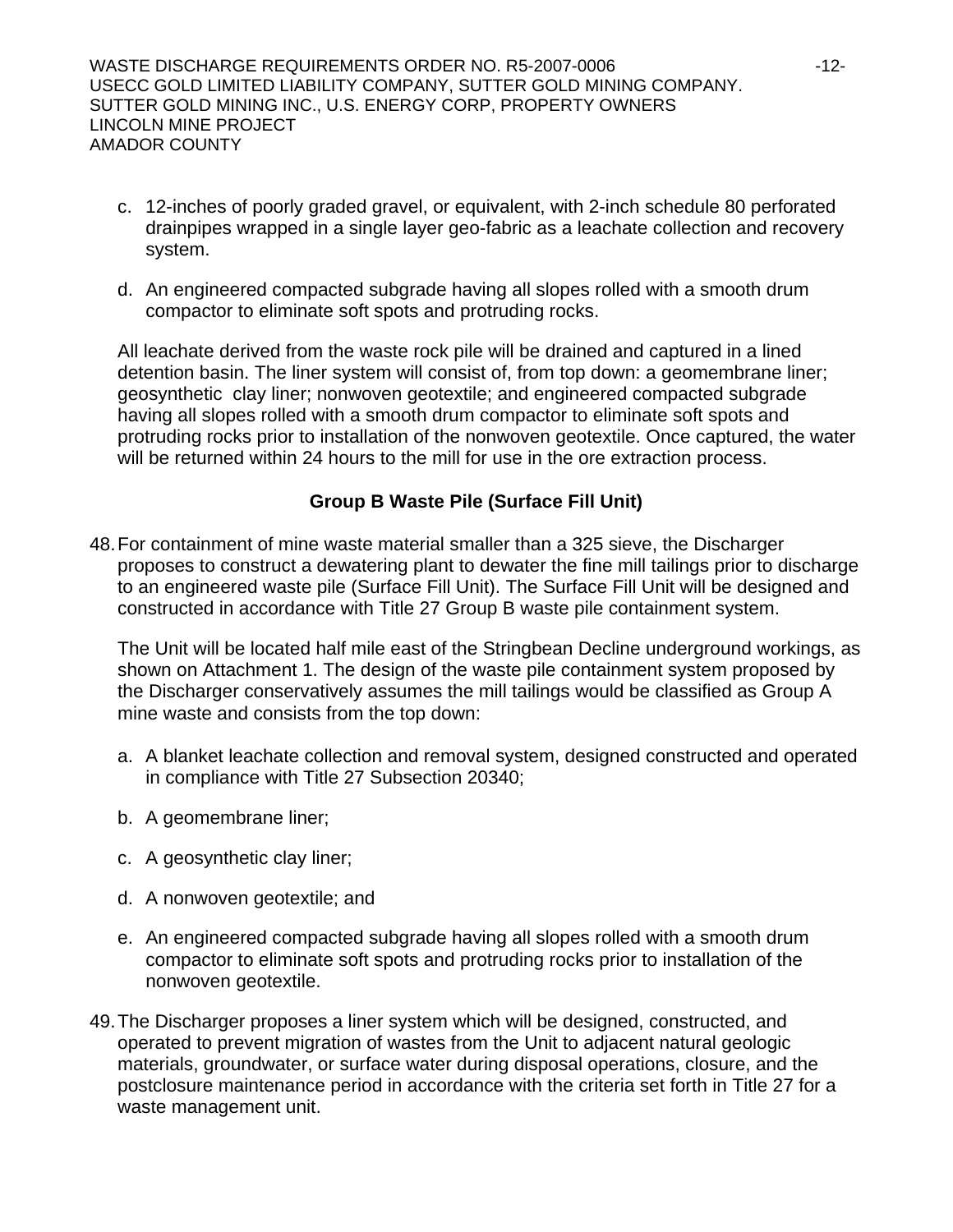WASTE DISCHARGE REQUIREMENTS ORDER NO. R5-2007-0006 -12- USECC GOLD LIMITED LIABILITY COMPANY, SUTTER GOLD MINING COMPANY. SUTTER GOLD MINING INC., U.S. ENERGY CORP, PROPERTY OWNERS LINCOLN MINE PROJECT AMADOR COUNTY

- c. 12-inches of poorly graded gravel, or equivalent, with 2-inch schedule 80 perforated drainpipes wrapped in a single layer geo-fabric as a leachate collection and recovery system.
- d. An engineered compacted subgrade having all slopes rolled with a smooth drum compactor to eliminate soft spots and protruding rocks.

All leachate derived from the waste rock pile will be drained and captured in a lined detention basin. The liner system will consist of, from top down: a geomembrane liner; geosynthetic clay liner; nonwoven geotextile; and engineered compacted subgrade having all slopes rolled with a smooth drum compactor to eliminate soft spots and protruding rocks prior to installation of the nonwoven geotextile. Once captured, the water will be returned within 24 hours to the mill for use in the ore extraction process.

## **Group B Waste Pile (Surface Fill Unit)**

48. For containment of mine waste material smaller than a 325 sieve, the Discharger proposes to construct a dewatering plant to dewater the fine mill tailings prior to discharge to an engineered waste pile (Surface Fill Unit). The Surface Fill Unit will be designed and constructed in accordance with Title 27 Group B waste pile containment system.

The Unit will be located half mile east of the Stringbean Decline underground workings, as shown on Attachment 1. The design of the waste pile containment system proposed by the Discharger conservatively assumes the mill tailings would be classified as Group A mine waste and consists from the top down:

- a. A blanket leachate collection and removal system, designed constructed and operated in compliance with Title 27 Subsection 20340;
- b. A geomembrane liner;
- c. A geosynthetic clay liner;
- d. A nonwoven geotextile; and
- e. An engineered compacted subgrade having all slopes rolled with a smooth drum compactor to eliminate soft spots and protruding rocks prior to installation of the nonwoven geotextile.
- 49. The Discharger proposes a liner system which will be designed, constructed, and operated to prevent migration of wastes from the Unit to adjacent natural geologic materials, groundwater, or surface water during disposal operations, closure, and the postclosure maintenance period in accordance with the criteria set forth in Title 27 for a waste management unit.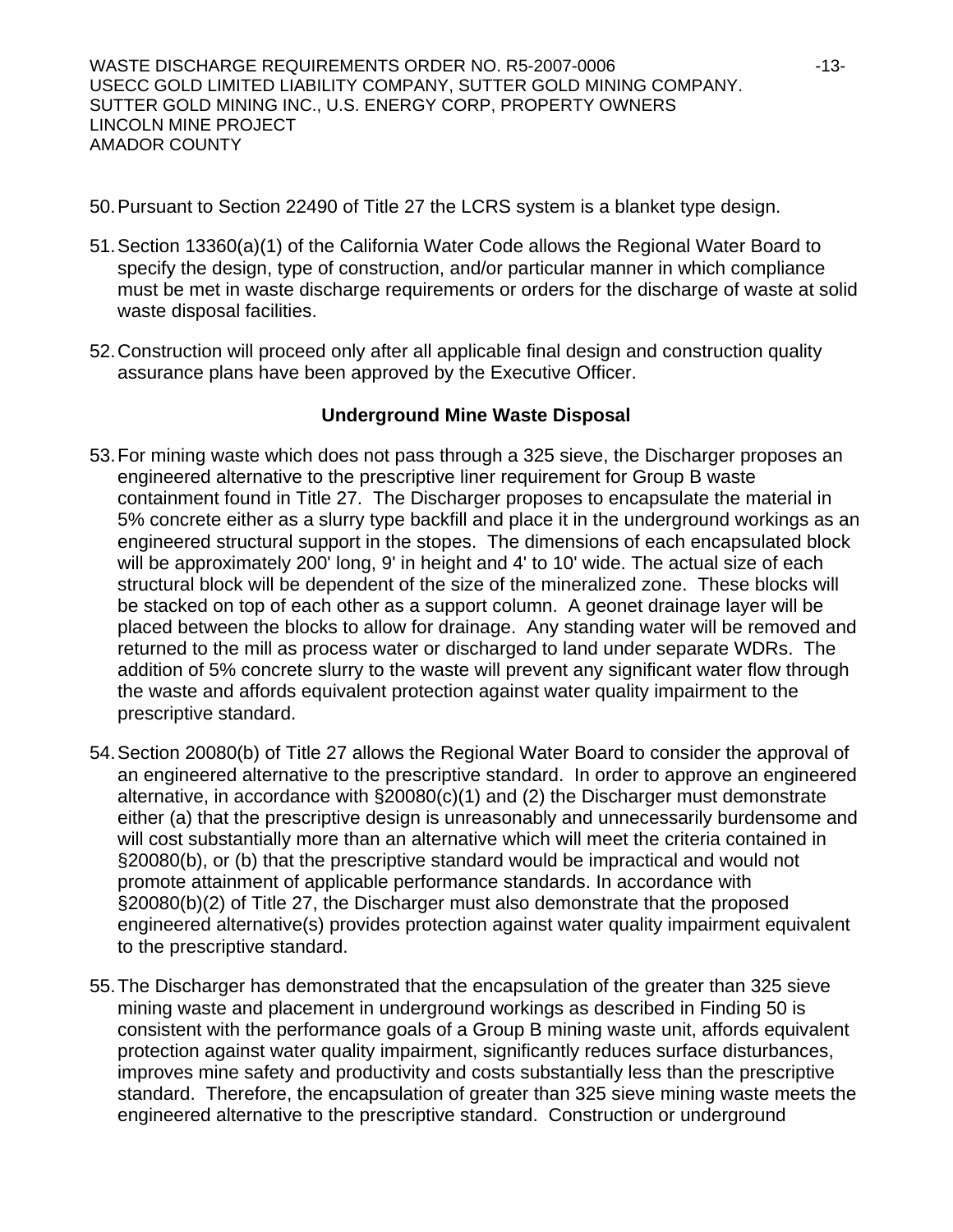WASTE DISCHARGE REQUIREMENTS ORDER NO. R5-2007-0006 -13- USECC GOLD LIMITED LIABILITY COMPANY, SUTTER GOLD MINING COMPANY. SUTTER GOLD MINING INC., U.S. ENERGY CORP, PROPERTY OWNERS LINCOLN MINE PROJECT AMADOR COUNTY

- 50. Pursuant to Section 22490 of Title 27 the LCRS system is a blanket type design.
- 51. Section 13360(a)(1) of the California Water Code allows the Regional Water Board to specify the design, type of construction, and/or particular manner in which compliance must be met in waste discharge requirements or orders for the discharge of waste at solid waste disposal facilities.
- 52. Construction will proceed only after all applicable final design and construction quality assurance plans have been approved by the Executive Officer.

#### **Underground Mine Waste Disposal**

- 53. For mining waste which does not pass through a 325 sieve, the Discharger proposes an engineered alternative to the prescriptive liner requirement for Group B waste containment found in Title 27. The Discharger proposes to encapsulate the material in 5% concrete either as a slurry type backfill and place it in the underground workings as an engineered structural support in the stopes. The dimensions of each encapsulated block will be approximately 200' long, 9' in height and 4' to 10' wide. The actual size of each structural block will be dependent of the size of the mineralized zone. These blocks will be stacked on top of each other as a support column. A geonet drainage layer will be placed between the blocks to allow for drainage. Any standing water will be removed and returned to the mill as process water or discharged to land under separate WDRs. The addition of 5% concrete slurry to the waste will prevent any significant water flow through the waste and affords equivalent protection against water quality impairment to the prescriptive standard.
- 54. Section 20080(b) of Title 27 allows the Regional Water Board to consider the approval of an engineered alternative to the prescriptive standard. In order to approve an engineered alternative, in accordance with §20080(c)(1) and (2) the Discharger must demonstrate either (a) that the prescriptive design is unreasonably and unnecessarily burdensome and will cost substantially more than an alternative which will meet the criteria contained in §20080(b), or (b) that the prescriptive standard would be impractical and would not promote attainment of applicable performance standards. In accordance with §20080(b)(2) of Title 27, the Discharger must also demonstrate that the proposed engineered alternative(s) provides protection against water quality impairment equivalent to the prescriptive standard.
- 55. The Discharger has demonstrated that the encapsulation of the greater than 325 sieve mining waste and placement in underground workings as described in Finding 50 is consistent with the performance goals of a Group B mining waste unit, affords equivalent protection against water quality impairment, significantly reduces surface disturbances, improves mine safety and productivity and costs substantially less than the prescriptive standard. Therefore, the encapsulation of greater than 325 sieve mining waste meets the engineered alternative to the prescriptive standard. Construction or underground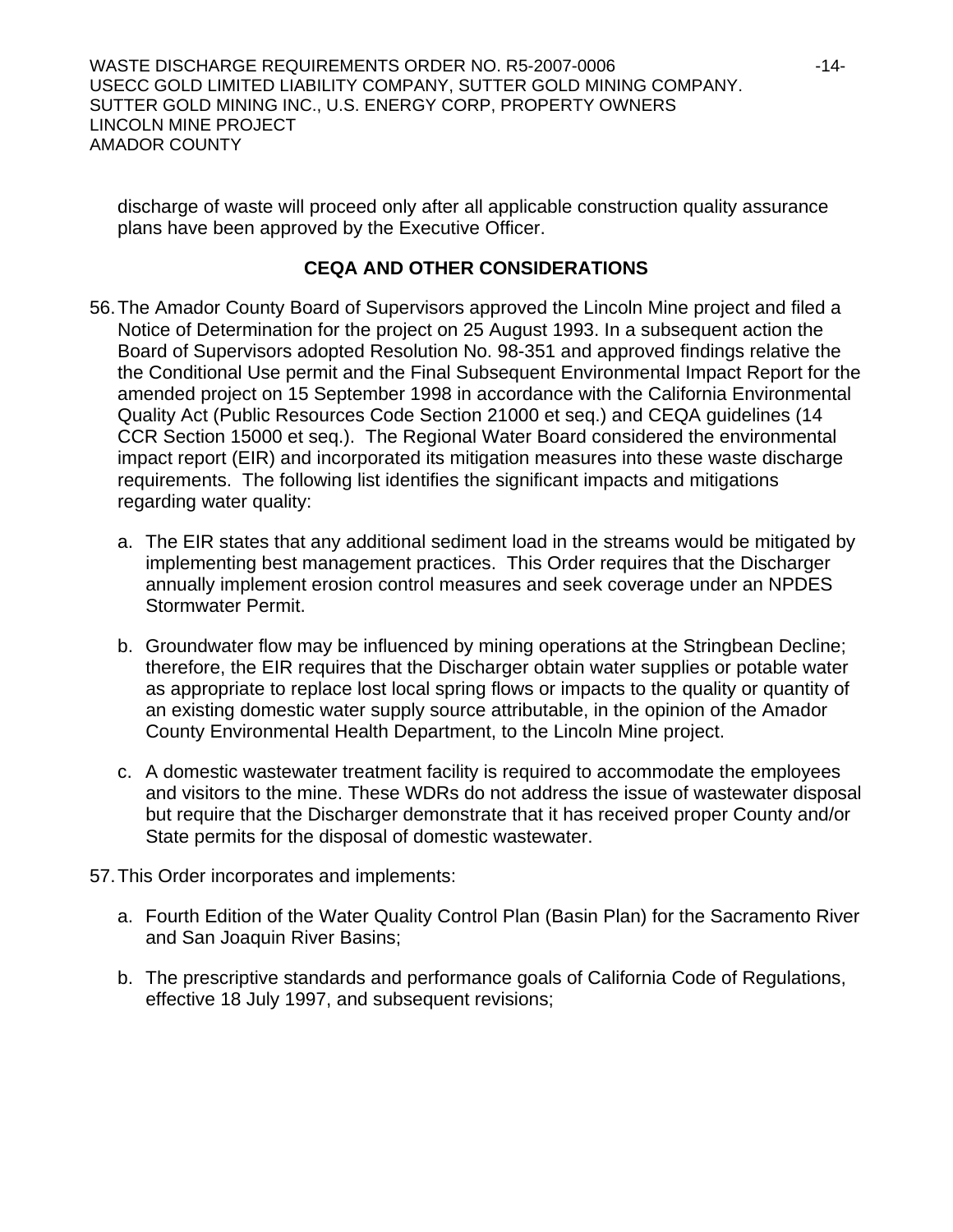WASTE DISCHARGE REQUIREMENTS ORDER NO. R5-2007-0006 -14- USECC GOLD LIMITED LIABILITY COMPANY, SUTTER GOLD MINING COMPANY. SUTTER GOLD MINING INC., U.S. ENERGY CORP, PROPERTY OWNERS LINCOLN MINE PROJECT AMADOR COUNTY

discharge of waste will proceed only after all applicable construction quality assurance plans have been approved by the Executive Officer.

## **CEQA AND OTHER CONSIDERATIONS**

- 56. The Amador County Board of Supervisors approved the Lincoln Mine project and filed a Notice of Determination for the project on 25 August 1993. In a subsequent action the Board of Supervisors adopted Resolution No. 98-351 and approved findings relative the the Conditional Use permit and the Final Subsequent Environmental Impact Report for the amended project on 15 September 1998 in accordance with the California Environmental Quality Act (Public Resources Code Section 21000 et seq.) and CEQA guidelines (14 CCR Section 15000 et seq.). The Regional Water Board considered the environmental impact report (EIR) and incorporated its mitigation measures into these waste discharge requirements. The following list identifies the significant impacts and mitigations regarding water quality:
	- a. The EIR states that any additional sediment load in the streams would be mitigated by implementing best management practices. This Order requires that the Discharger annually implement erosion control measures and seek coverage under an NPDES Stormwater Permit.
	- b. Groundwater flow may be influenced by mining operations at the Stringbean Decline; therefore, the EIR requires that the Discharger obtain water supplies or potable water as appropriate to replace lost local spring flows or impacts to the quality or quantity of an existing domestic water supply source attributable, in the opinion of the Amador County Environmental Health Department, to the Lincoln Mine project.
	- c. A domestic wastewater treatment facility is required to accommodate the employees and visitors to the mine. These WDRs do not address the issue of wastewater disposal but require that the Discharger demonstrate that it has received proper County and/or State permits for the disposal of domestic wastewater.
- 57. This Order incorporates and implements:
	- a. Fourth Edition of the Water Quality Control Plan (Basin Plan) for the Sacramento River and San Joaquin River Basins;
	- b. The prescriptive standards and performance goals of California Code of Regulations, effective 18 July 1997, and subsequent revisions;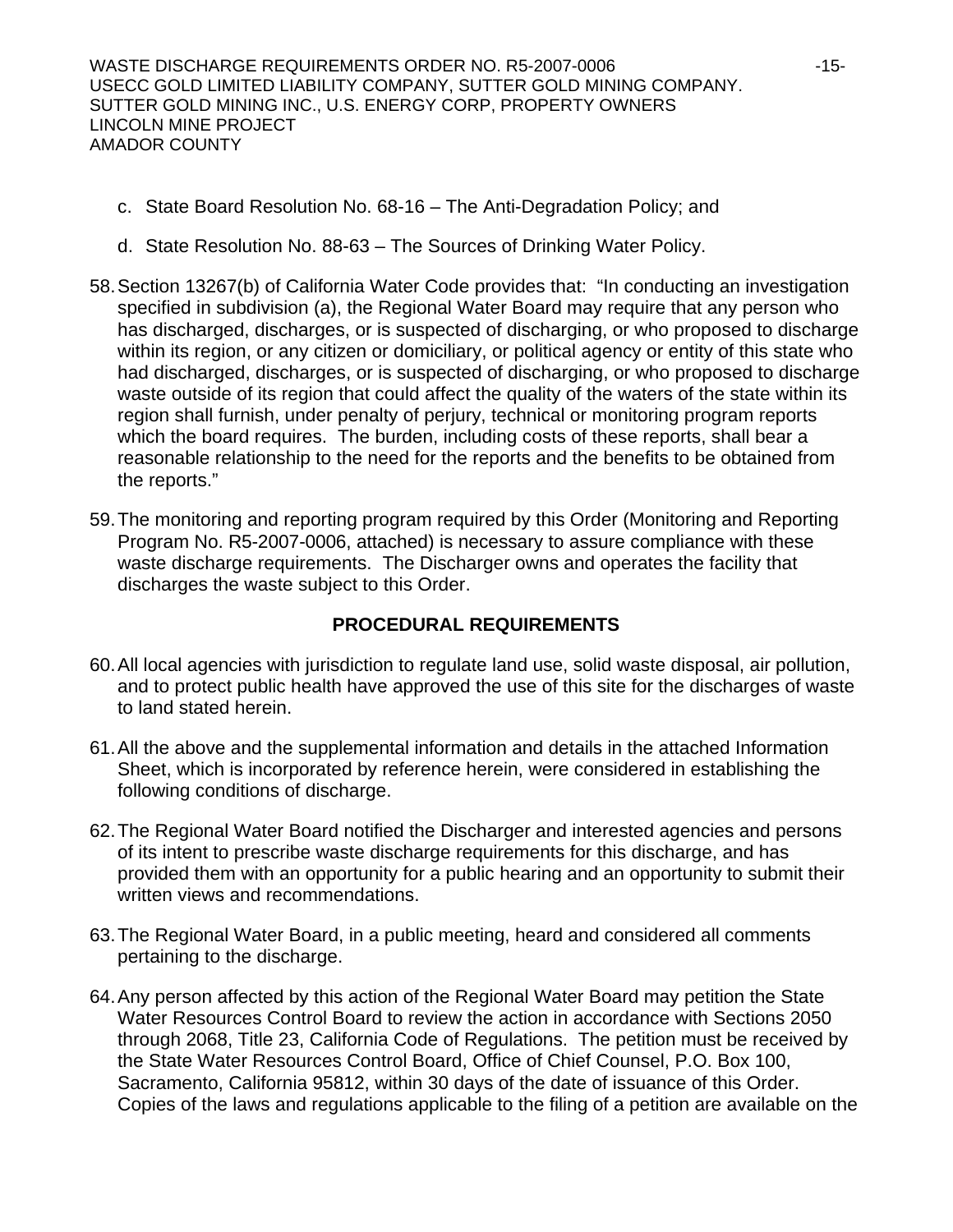WASTE DISCHARGE REQUIREMENTS ORDER NO. R5-2007-0006 -15- USECC GOLD LIMITED LIABILITY COMPANY, SUTTER GOLD MINING COMPANY. SUTTER GOLD MINING INC., U.S. ENERGY CORP, PROPERTY OWNERS LINCOLN MINE PROJECT AMADOR COUNTY

- c. State Board Resolution No. 68-16 The Anti-Degradation Policy; and
- d. State Resolution No. 88-63 The Sources of Drinking Water Policy.
- 58. Section 13267(b) of California Water Code provides that: "In conducting an investigation specified in subdivision (a), the Regional Water Board may require that any person who has discharged, discharges, or is suspected of discharging, or who proposed to discharge within its region, or any citizen or domiciliary, or political agency or entity of this state who had discharged, discharges, or is suspected of discharging, or who proposed to discharge waste outside of its region that could affect the quality of the waters of the state within its region shall furnish, under penalty of perjury, technical or monitoring program reports which the board requires. The burden, including costs of these reports, shall bear a reasonable relationship to the need for the reports and the benefits to be obtained from the reports."
- 59. The monitoring and reporting program required by this Order (Monitoring and Reporting Program No. R5-2007-0006, attached) is necessary to assure compliance with these waste discharge requirements. The Discharger owns and operates the facility that discharges the waste subject to this Order.

## **PROCEDURAL REQUIREMENTS**

- 60. All local agencies with jurisdiction to regulate land use, solid waste disposal, air pollution, and to protect public health have approved the use of this site for the discharges of waste to land stated herein.
- 61. All the above and the supplemental information and details in the attached Information Sheet, which is incorporated by reference herein, were considered in establishing the following conditions of discharge.
- 62. The Regional Water Board notified the Discharger and interested agencies and persons of its intent to prescribe waste discharge requirements for this discharge, and has provided them with an opportunity for a public hearing and an opportunity to submit their written views and recommendations.
- 63. The Regional Water Board, in a public meeting, heard and considered all comments pertaining to the discharge.
- 64. Any person affected by this action of the Regional Water Board may petition the State Water Resources Control Board to review the action in accordance with Sections 2050 through 2068, Title 23, California Code of Regulations. The petition must be received by the State Water Resources Control Board, Office of Chief Counsel, P.O. Box 100, Sacramento, California 95812, within 30 days of the date of issuance of this Order. Copies of the laws and regulations applicable to the filing of a petition are available on the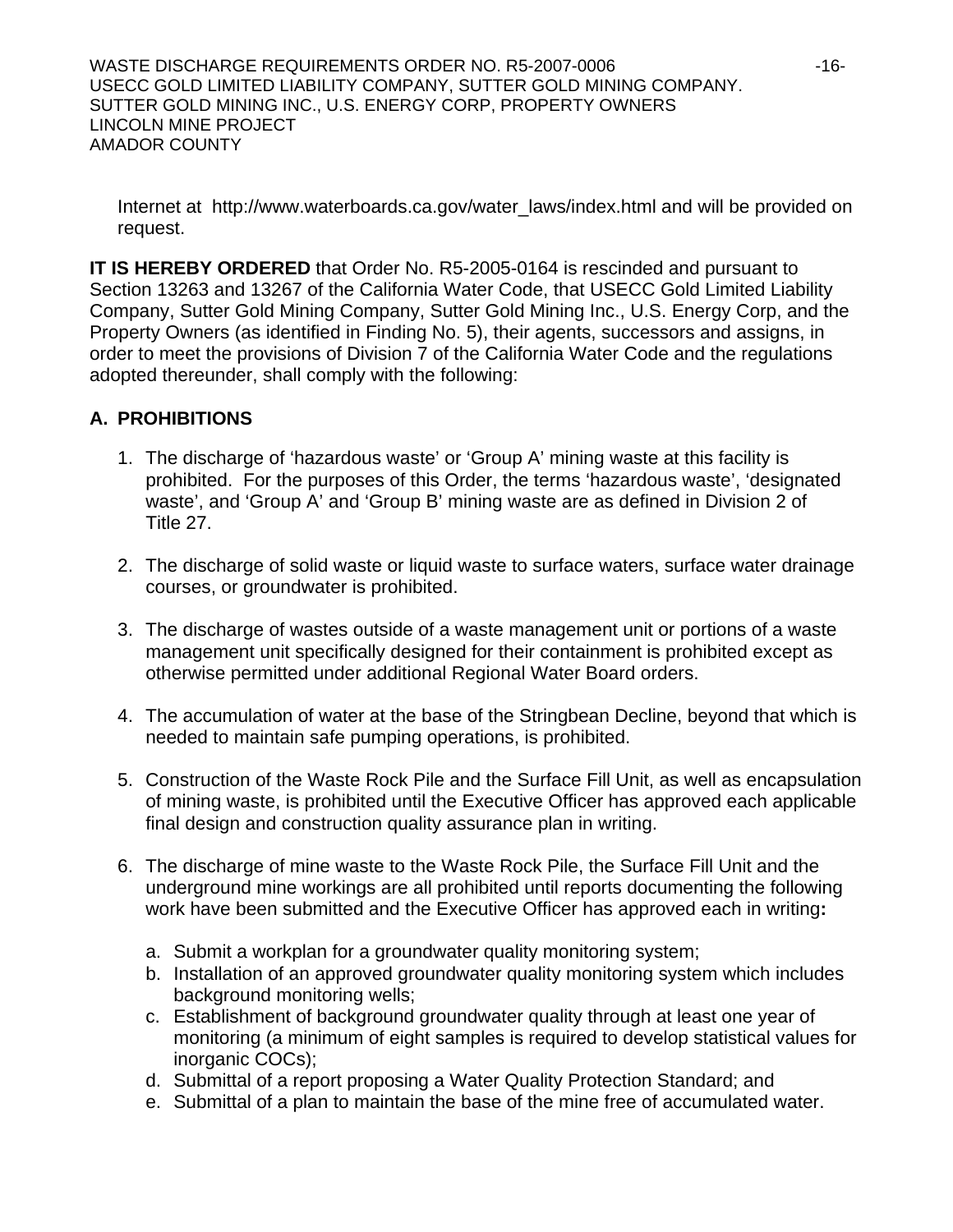WASTE DISCHARGE REQUIREMENTS ORDER NO. R5-2007-0006 -16- USECC GOLD LIMITED LIABILITY COMPANY, SUTTER GOLD MINING COMPANY. SUTTER GOLD MINING INC., U.S. ENERGY CORP, PROPERTY OWNERS LINCOLN MINE PROJECT AMADOR COUNTY

Internet at http://www.waterboards.ca.gov/water\_laws/index.html and will be provided on request.

**IT IS HEREBY ORDERED** that Order No. R5-2005-0164 is rescinded and pursuant to Section 13263 and 13267 of the California Water Code, that USECC Gold Limited Liability Company, Sutter Gold Mining Company, Sutter Gold Mining Inc., U.S. Energy Corp, and the Property Owners (as identified in Finding No. 5), their agents, successors and assigns, in order to meet the provisions of Division 7 of the California Water Code and the regulations adopted thereunder, shall comply with the following:

## **A. PROHIBITIONS**

- 1. The discharge of 'hazardous waste' or 'Group A' mining waste at this facility is prohibited. For the purposes of this Order, the terms 'hazardous waste', 'designated waste', and 'Group A' and 'Group B' mining waste are as defined in Division 2 of Title 27.
- 2. The discharge of solid waste or liquid waste to surface waters, surface water drainage courses, or groundwater is prohibited.
- 3. The discharge of wastes outside of a waste management unit or portions of a waste management unit specifically designed for their containment is prohibited except as otherwise permitted under additional Regional Water Board orders.
- 4. The accumulation of water at the base of the Stringbean Decline, beyond that which is needed to maintain safe pumping operations, is prohibited.
- 5. Construction of the Waste Rock Pile and the Surface Fill Unit, as well as encapsulation of mining waste, is prohibited until the Executive Officer has approved each applicable final design and construction quality assurance plan in writing.
- 6. The discharge of mine waste to the Waste Rock Pile, the Surface Fill Unit and the underground mine workings are all prohibited until reports documenting the following work have been submitted and the Executive Officer has approved each in writing**:** 
	- a. Submit a workplan for a groundwater quality monitoring system;
	- b. Installation of an approved groundwater quality monitoring system which includes background monitoring wells;
	- c. Establishment of background groundwater quality through at least one year of monitoring (a minimum of eight samples is required to develop statistical values for inorganic COCs);
	- d. Submittal of a report proposing a Water Quality Protection Standard; and
	- e. Submittal of a plan to maintain the base of the mine free of accumulated water.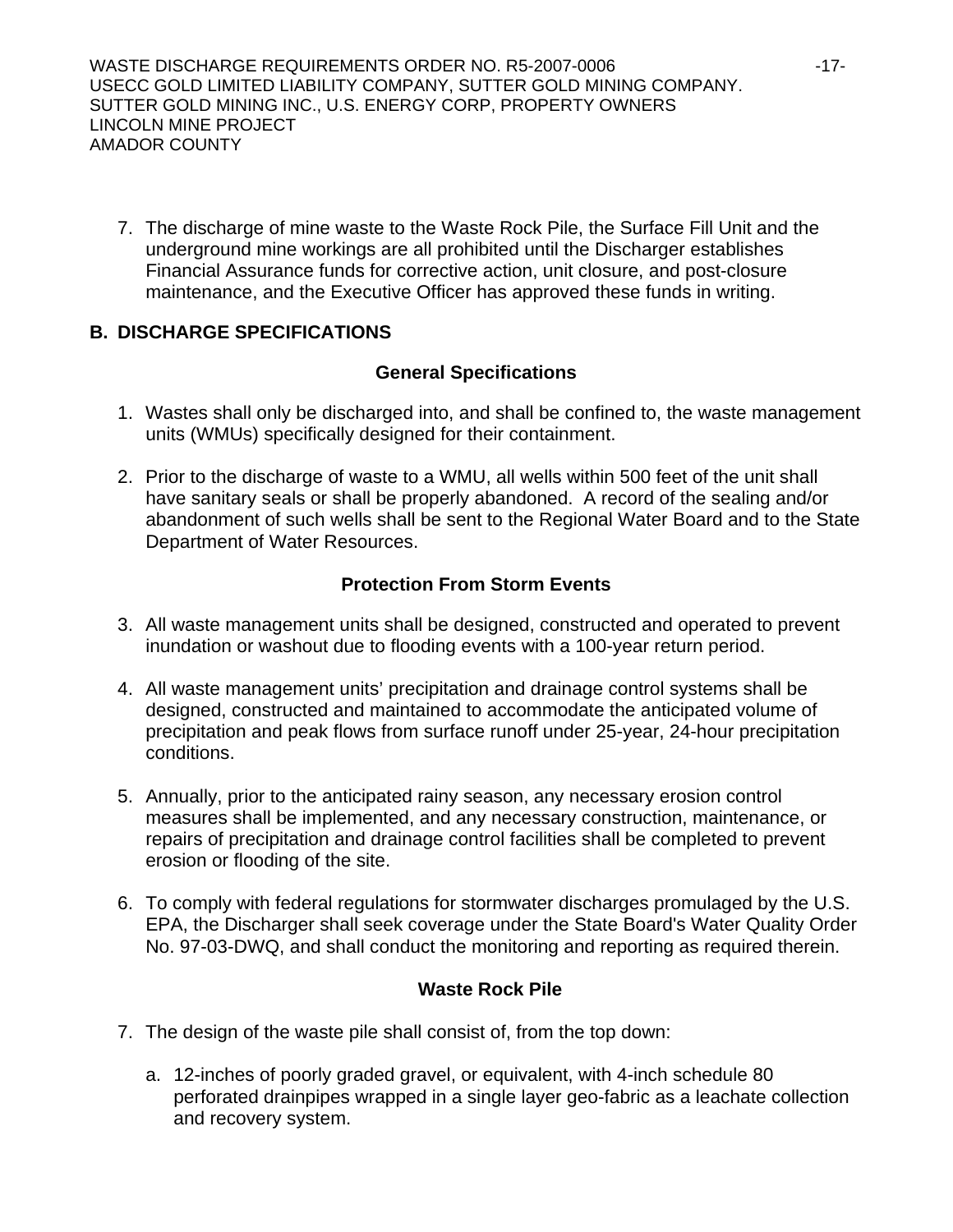WASTE DISCHARGE REQUIREMENTS ORDER NO. R5-2007-0006  $-17$ -USECC GOLD LIMITED LIABILITY COMPANY, SUTTER GOLD MINING COMPANY. SUTTER GOLD MINING INC., U.S. ENERGY CORP, PROPERTY OWNERS LINCOLN MINE PROJECT AMADOR COUNTY

7. The discharge of mine waste to the Waste Rock Pile, the Surface Fill Unit and the underground mine workings are all prohibited until the Discharger establishes Financial Assurance funds for corrective action, unit closure, and post-closure maintenance, and the Executive Officer has approved these funds in writing.

## **B. DISCHARGE SPECIFICATIONS**

## **General Specifications**

- 1. Wastes shall only be discharged into, and shall be confined to, the waste management units (WMUs) specifically designed for their containment.
- 2. Prior to the discharge of waste to a WMU, all wells within 500 feet of the unit shall have sanitary seals or shall be properly abandoned. A record of the sealing and/or abandonment of such wells shall be sent to the Regional Water Board and to the State Department of Water Resources.

## **Protection From Storm Events**

- 3. All waste management units shall be designed, constructed and operated to prevent inundation or washout due to flooding events with a 100-year return period.
- 4. All waste management units' precipitation and drainage control systems shall be designed, constructed and maintained to accommodate the anticipated volume of precipitation and peak flows from surface runoff under 25-year, 24-hour precipitation conditions.
- 5. Annually, prior to the anticipated rainy season, any necessary erosion control measures shall be implemented, and any necessary construction, maintenance, or repairs of precipitation and drainage control facilities shall be completed to prevent erosion or flooding of the site.
- 6. To comply with federal regulations for stormwater discharges promulaged by the U.S. EPA, the Discharger shall seek coverage under the State Board's Water Quality Order No. 97-03-DWQ, and shall conduct the monitoring and reporting as required therein.

## **Waste Rock Pile**

- 7. The design of the waste pile shall consist of, from the top down:
	- a. 12-inches of poorly graded gravel, or equivalent, with 4-inch schedule 80 perforated drainpipes wrapped in a single layer geo-fabric as a leachate collection and recovery system.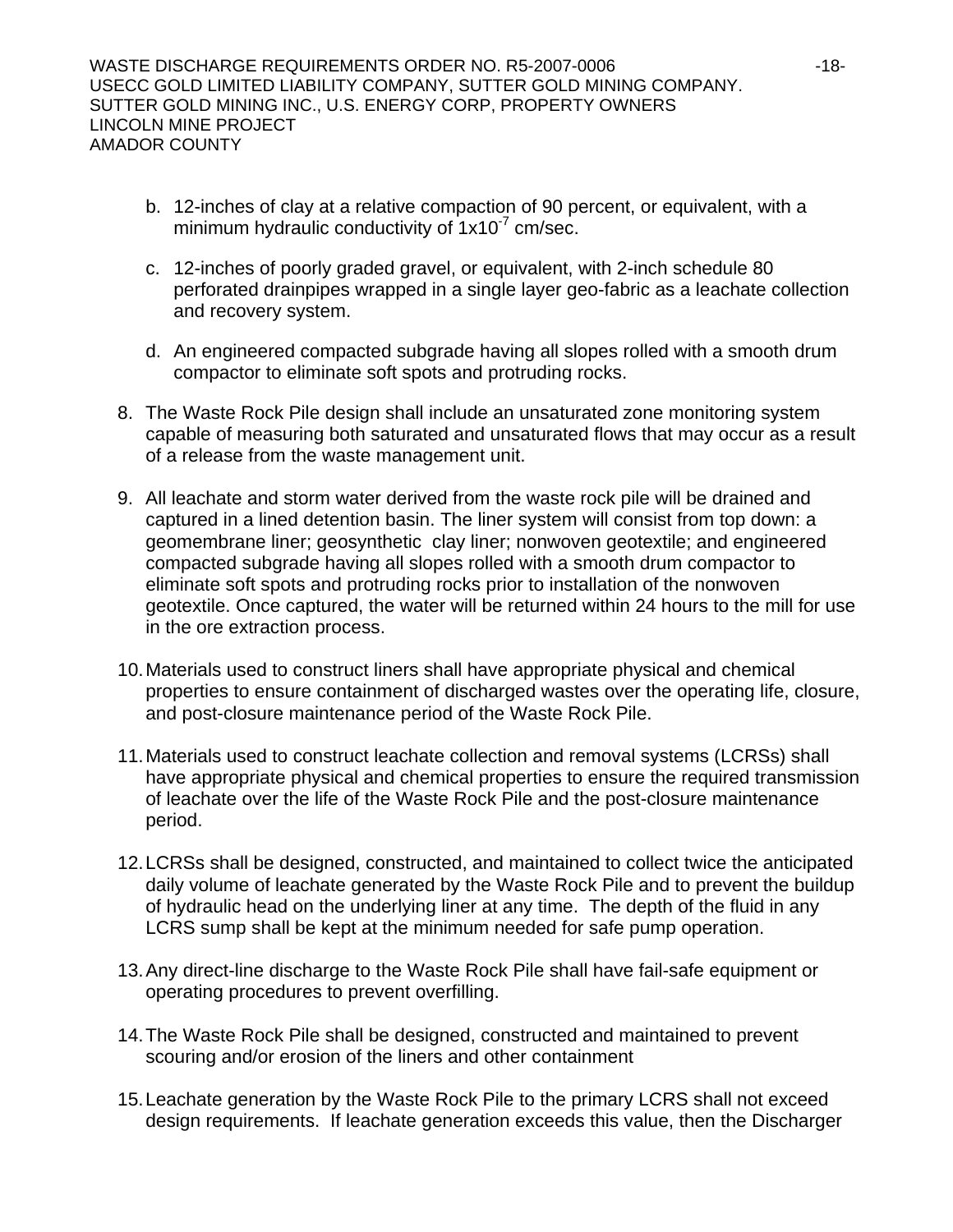- b. 12-inches of clay at a relative compaction of 90 percent, or equivalent, with a minimum hydraulic conductivity of  $1x10<sup>-7</sup>$  cm/sec.
- c. 12-inches of poorly graded gravel, or equivalent, with 2-inch schedule 80 perforated drainpipes wrapped in a single layer geo-fabric as a leachate collection and recovery system.
- d. An engineered compacted subgrade having all slopes rolled with a smooth drum compactor to eliminate soft spots and protruding rocks.
- 8. The Waste Rock Pile design shall include an unsaturated zone monitoring system capable of measuring both saturated and unsaturated flows that may occur as a result of a release from the waste management unit.
- 9. All leachate and storm water derived from the waste rock pile will be drained and captured in a lined detention basin. The liner system will consist from top down: a geomembrane liner; geosynthetic clay liner; nonwoven geotextile; and engineered compacted subgrade having all slopes rolled with a smooth drum compactor to eliminate soft spots and protruding rocks prior to installation of the nonwoven geotextile. Once captured, the water will be returned within 24 hours to the mill for use in the ore extraction process.
- 10. Materials used to construct liners shall have appropriate physical and chemical properties to ensure containment of discharged wastes over the operating life, closure, and post-closure maintenance period of the Waste Rock Pile.
- 11. Materials used to construct leachate collection and removal systems (LCRSs) shall have appropriate physical and chemical properties to ensure the required transmission of leachate over the life of the Waste Rock Pile and the post-closure maintenance period.
- 12. LCRSs shall be designed, constructed, and maintained to collect twice the anticipated daily volume of leachate generated by the Waste Rock Pile and to prevent the buildup of hydraulic head on the underlying liner at any time. The depth of the fluid in any LCRS sump shall be kept at the minimum needed for safe pump operation.
- 13. Any direct-line discharge to the Waste Rock Pile shall have fail-safe equipment or operating procedures to prevent overfilling.
- 14. The Waste Rock Pile shall be designed, constructed and maintained to prevent scouring and/or erosion of the liners and other containment
- 15. Leachate generation by the Waste Rock Pile to the primary LCRS shall not exceed design requirements. If leachate generation exceeds this value, then the Discharger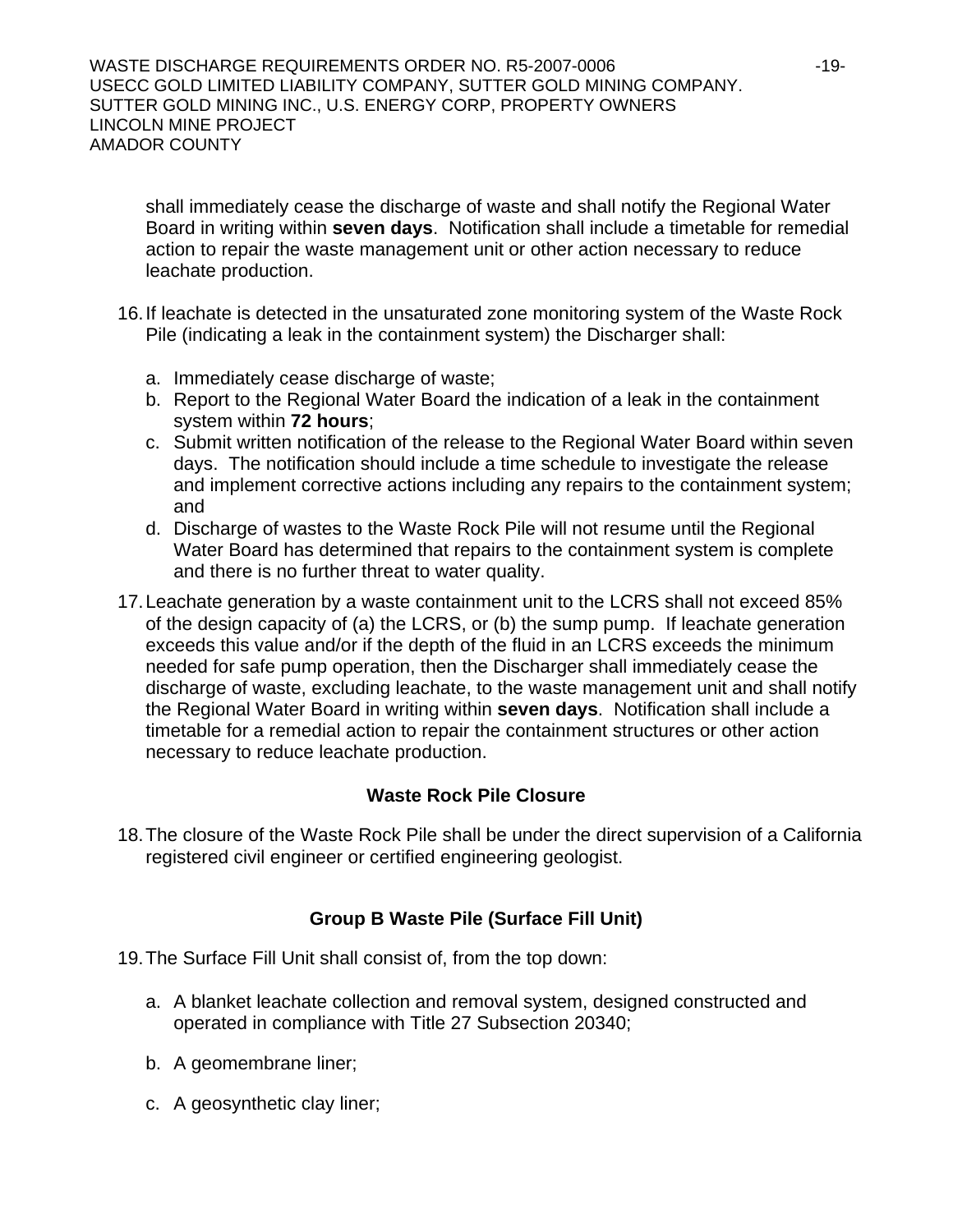shall immediately cease the discharge of waste and shall notify the Regional Water Board in writing within **seven days**. Notification shall include a timetable for remedial action to repair the waste management unit or other action necessary to reduce leachate production.

- 16. If leachate is detected in the unsaturated zone monitoring system of the Waste Rock Pile (indicating a leak in the containment system) the Discharger shall:
	- a. Immediately cease discharge of waste;
	- b. Report to the Regional Water Board the indication of a leak in the containment system within **72 hours**;
	- c. Submit written notification of the release to the Regional Water Board within seven days. The notification should include a time schedule to investigate the release and implement corrective actions including any repairs to the containment system; and
	- d. Discharge of wastes to the Waste Rock Pile will not resume until the Regional Water Board has determined that repairs to the containment system is complete and there is no further threat to water quality.
- 17. Leachate generation by a waste containment unit to the LCRS shall not exceed 85% of the design capacity of (a) the LCRS, or (b) the sump pump. If leachate generation exceeds this value and/or if the depth of the fluid in an LCRS exceeds the minimum needed for safe pump operation, then the Discharger shall immediately cease the discharge of waste, excluding leachate, to the waste management unit and shall notify the Regional Water Board in writing within **seven days**. Notification shall include a timetable for a remedial action to repair the containment structures or other action necessary to reduce leachate production.

## **Waste Rock Pile Closure**

18. The closure of the Waste Rock Pile shall be under the direct supervision of a California registered civil engineer or certified engineering geologist.

## **Group B Waste Pile (Surface Fill Unit)**

- 19. The Surface Fill Unit shall consist of, from the top down:
	- a. A blanket leachate collection and removal system, designed constructed and operated in compliance with Title 27 Subsection 20340;
	- b. A geomembrane liner;
	- c. A geosynthetic clay liner;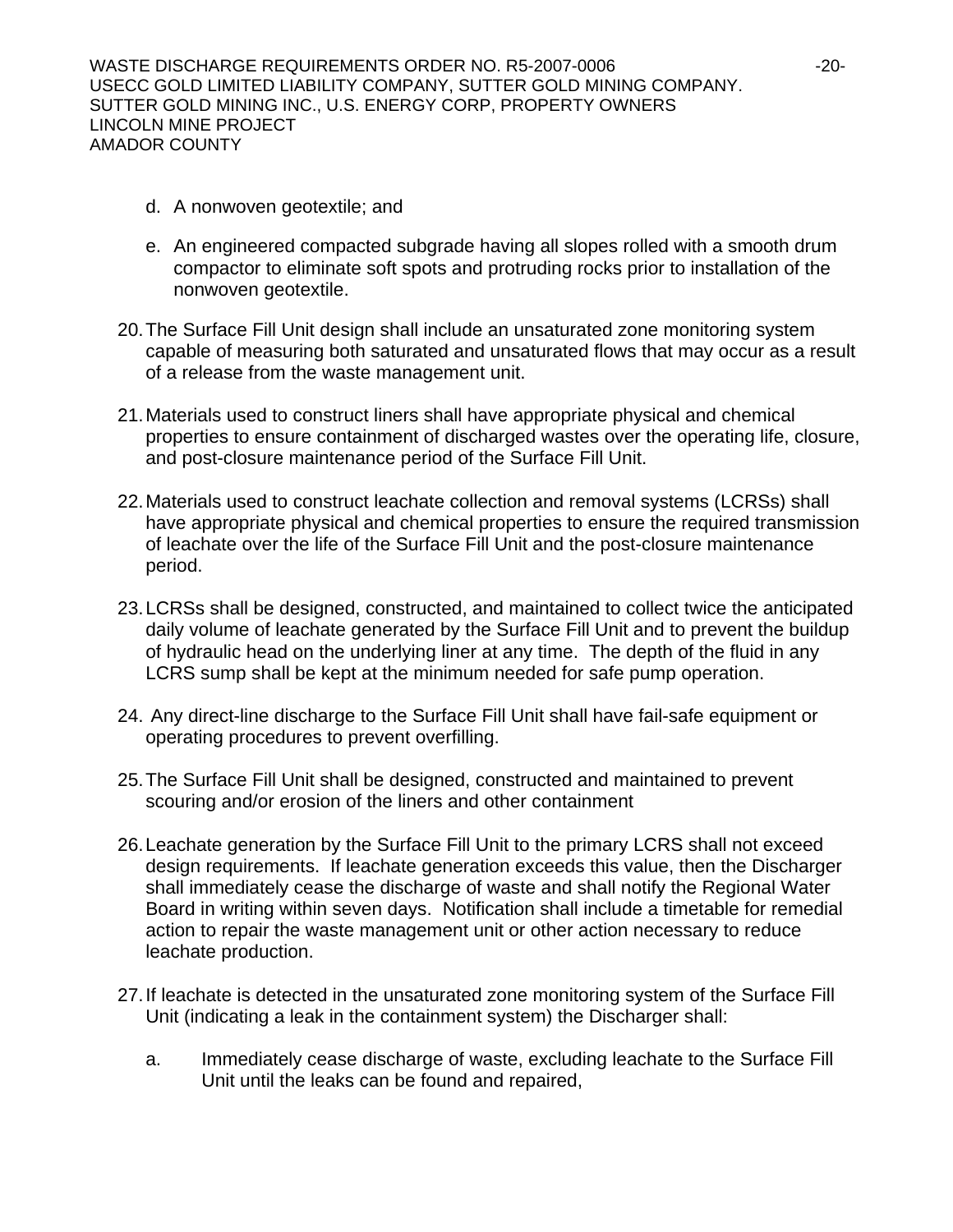- d. A nonwoven geotextile; and
- e. An engineered compacted subgrade having all slopes rolled with a smooth drum compactor to eliminate soft spots and protruding rocks prior to installation of the nonwoven geotextile.
- 20. The Surface Fill Unit design shall include an unsaturated zone monitoring system capable of measuring both saturated and unsaturated flows that may occur as a result of a release from the waste management unit.
- 21. Materials used to construct liners shall have appropriate physical and chemical properties to ensure containment of discharged wastes over the operating life, closure, and post-closure maintenance period of the Surface Fill Unit.
- 22. Materials used to construct leachate collection and removal systems (LCRSs) shall have appropriate physical and chemical properties to ensure the required transmission of leachate over the life of the Surface Fill Unit and the post-closure maintenance period.
- 23. LCRSs shall be designed, constructed, and maintained to collect twice the anticipated daily volume of leachate generated by the Surface Fill Unit and to prevent the buildup of hydraulic head on the underlying liner at any time. The depth of the fluid in any LCRS sump shall be kept at the minimum needed for safe pump operation.
- 24. Any direct-line discharge to the Surface Fill Unit shall have fail-safe equipment or operating procedures to prevent overfilling.
- 25. The Surface Fill Unit shall be designed, constructed and maintained to prevent scouring and/or erosion of the liners and other containment
- 26. Leachate generation by the Surface Fill Unit to the primary LCRS shall not exceed design requirements. If leachate generation exceeds this value, then the Discharger shall immediately cease the discharge of waste and shall notify the Regional Water Board in writing within seven days. Notification shall include a timetable for remedial action to repair the waste management unit or other action necessary to reduce leachate production.
- 27. If leachate is detected in the unsaturated zone monitoring system of the Surface Fill Unit (indicating a leak in the containment system) the Discharger shall:
	- a. Immediately cease discharge of waste, excluding leachate to the Surface Fill Unit until the leaks can be found and repaired,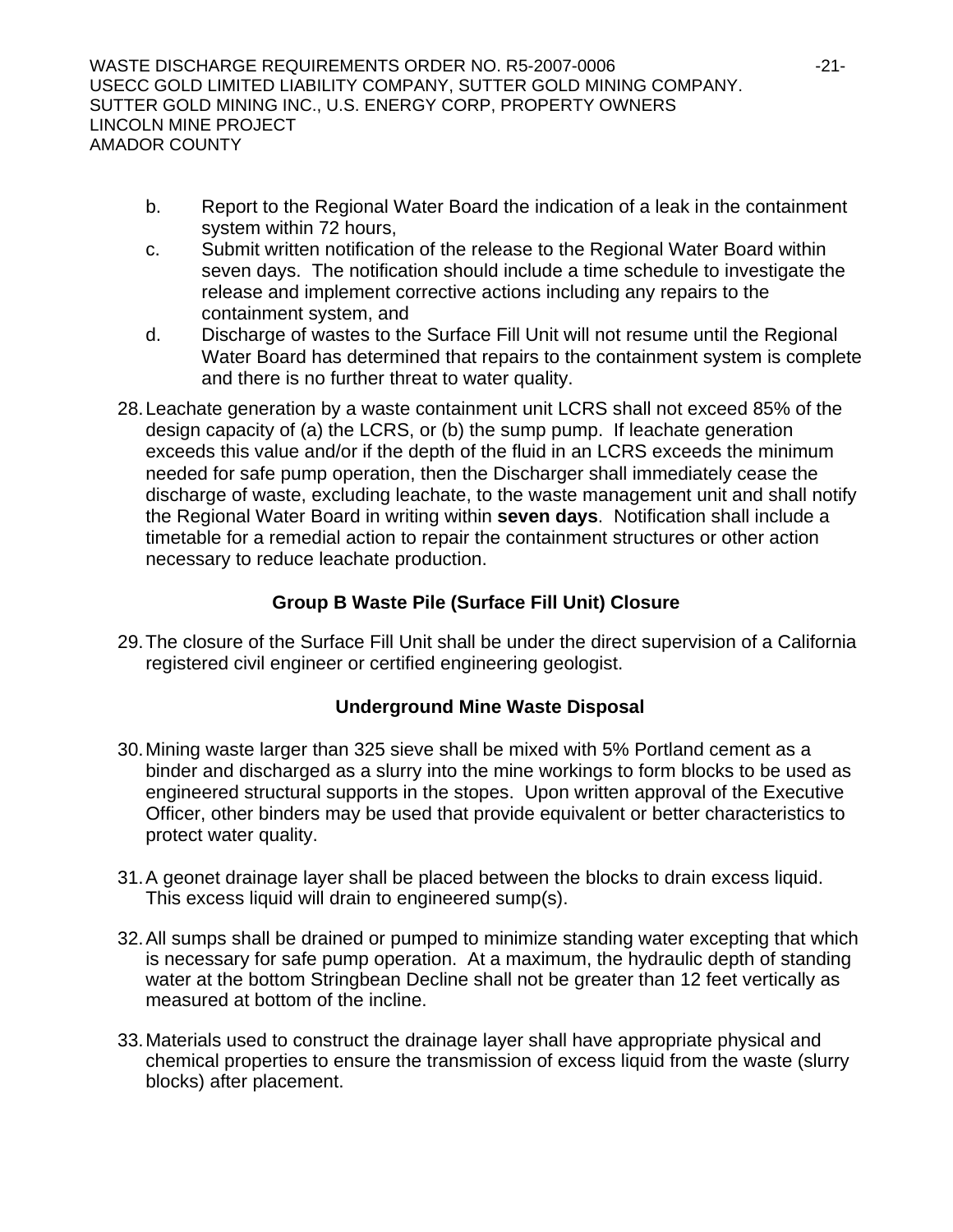WASTE DISCHARGE REQUIREMENTS ORDER NO. R5-2007-0006 -21- USECC GOLD LIMITED LIABILITY COMPANY, SUTTER GOLD MINING COMPANY. SUTTER GOLD MINING INC., U.S. ENERGY CORP, PROPERTY OWNERS LINCOLN MINE PROJECT AMADOR COUNTY

- b. Report to the Regional Water Board the indication of a leak in the containment system within 72 hours,
- c. Submit written notification of the release to the Regional Water Board within seven days. The notification should include a time schedule to investigate the release and implement corrective actions including any repairs to the containment system, and
- d. Discharge of wastes to the Surface Fill Unit will not resume until the Regional Water Board has determined that repairs to the containment system is complete and there is no further threat to water quality.
- 28. Leachate generation by a waste containment unit LCRS shall not exceed 85% of the design capacity of (a) the LCRS, or (b) the sump pump. If leachate generation exceeds this value and/or if the depth of the fluid in an LCRS exceeds the minimum needed for safe pump operation, then the Discharger shall immediately cease the discharge of waste, excluding leachate, to the waste management unit and shall notify the Regional Water Board in writing within **seven days**. Notification shall include a timetable for a remedial action to repair the containment structures or other action necessary to reduce leachate production.

## **Group B Waste Pile (Surface Fill Unit) Closure**

29. The closure of the Surface Fill Unit shall be under the direct supervision of a California registered civil engineer or certified engineering geologist.

## **Underground Mine Waste Disposal**

- 30. Mining waste larger than 325 sieve shall be mixed with 5% Portland cement as a binder and discharged as a slurry into the mine workings to form blocks to be used as engineered structural supports in the stopes. Upon written approval of the Executive Officer, other binders may be used that provide equivalent or better characteristics to protect water quality.
- 31. A geonet drainage layer shall be placed between the blocks to drain excess liquid. This excess liquid will drain to engineered sump(s).
- 32. All sumps shall be drained or pumped to minimize standing water excepting that which is necessary for safe pump operation. At a maximum, the hydraulic depth of standing water at the bottom Stringbean Decline shall not be greater than 12 feet vertically as measured at bottom of the incline.
- 33. Materials used to construct the drainage layer shall have appropriate physical and chemical properties to ensure the transmission of excess liquid from the waste (slurry blocks) after placement.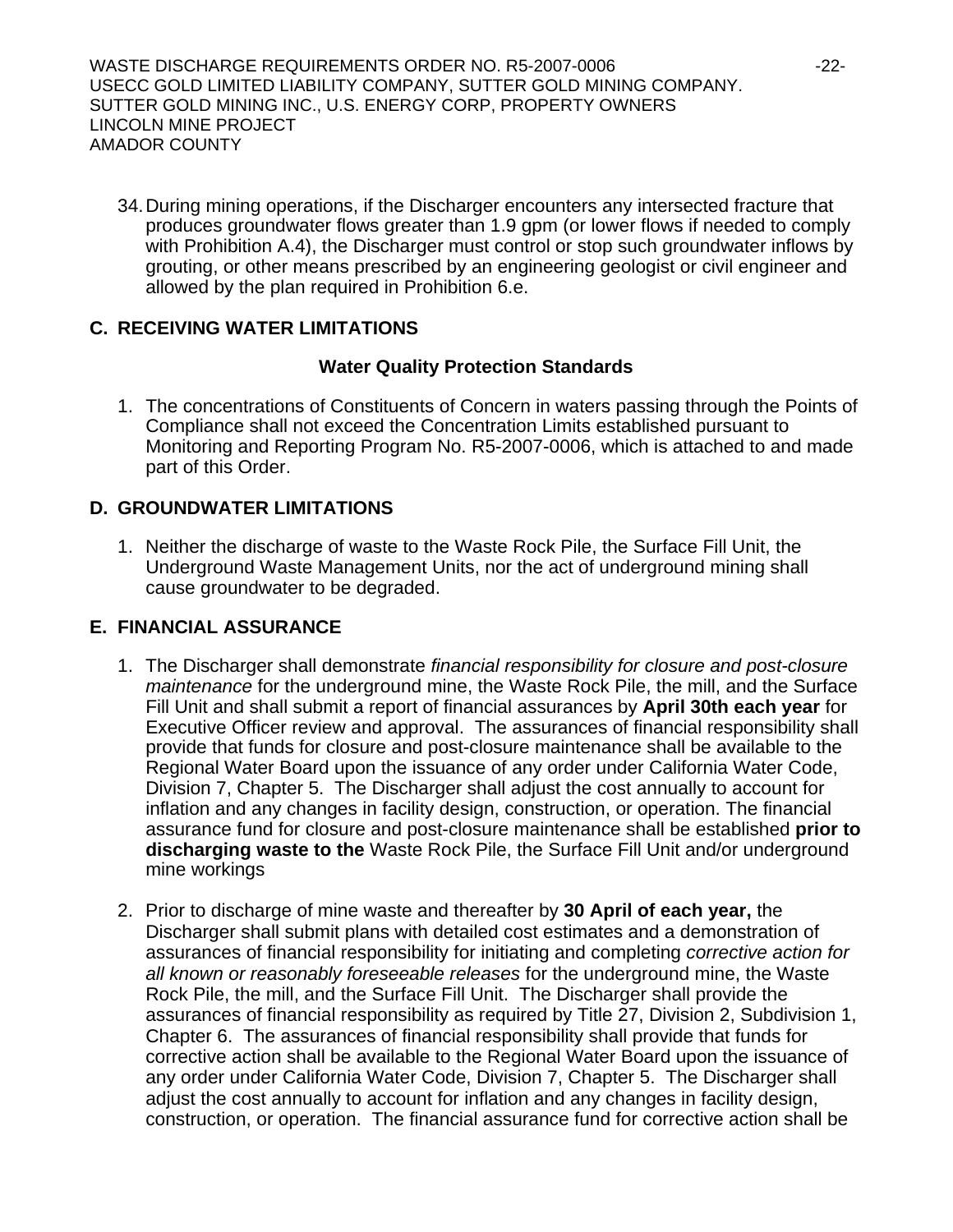WASTE DISCHARGE REQUIREMENTS ORDER NO. R5-2007-0006 -22- USECC GOLD LIMITED LIABILITY COMPANY, SUTTER GOLD MINING COMPANY. SUTTER GOLD MINING INC., U.S. ENERGY CORP, PROPERTY OWNERS LINCOLN MINE PROJECT AMADOR COUNTY

34. During mining operations, if the Discharger encounters any intersected fracture that produces groundwater flows greater than 1.9 gpm (or lower flows if needed to comply with Prohibition A.4), the Discharger must control or stop such groundwater inflows by grouting, or other means prescribed by an engineering geologist or civil engineer and allowed by the plan required in Prohibition 6.e.

## **C. RECEIVING WATER LIMITATIONS**

## **Water Quality Protection Standards**

1. The concentrations of Constituents of Concern in waters passing through the Points of Compliance shall not exceed the Concentration Limits established pursuant to Monitoring and Reporting Program No. R5-2007-0006, which is attached to and made part of this Order.

## **D. GROUNDWATER LIMITATIONS**

1. Neither the discharge of waste to the Waste Rock Pile, the Surface Fill Unit, the Underground Waste Management Units, nor the act of underground mining shall cause groundwater to be degraded.

## **E. FINANCIAL ASSURANCE**

- 1. The Discharger shall demonstrate *financial responsibility for closure and post-closure maintenance* for the underground mine, the Waste Rock Pile, the mill, and the Surface Fill Unit and shall submit a report of financial assurances by **April 30th each year** for Executive Officer review and approval. The assurances of financial responsibility shall provide that funds for closure and post-closure maintenance shall be available to the Regional Water Board upon the issuance of any order under California Water Code, Division 7, Chapter 5. The Discharger shall adjust the cost annually to account for inflation and any changes in facility design, construction, or operation. The financial assurance fund for closure and post-closure maintenance shall be established **prior to discharging waste to the** Waste Rock Pile, the Surface Fill Unit and/or underground mine workings
- 2. Prior to discharge of mine waste and thereafter by **30 April of each year,** the Discharger shall submit plans with detailed cost estimates and a demonstration of assurances of financial responsibility for initiating and completing *corrective action for all known or reasonably foreseeable releases* for the underground mine, the Waste Rock Pile, the mill, and the Surface Fill Unit. The Discharger shall provide the assurances of financial responsibility as required by Title 27, Division 2, Subdivision 1, Chapter 6. The assurances of financial responsibility shall provide that funds for corrective action shall be available to the Regional Water Board upon the issuance of any order under California Water Code, Division 7, Chapter 5. The Discharger shall adjust the cost annually to account for inflation and any changes in facility design, construction, or operation. The financial assurance fund for corrective action shall be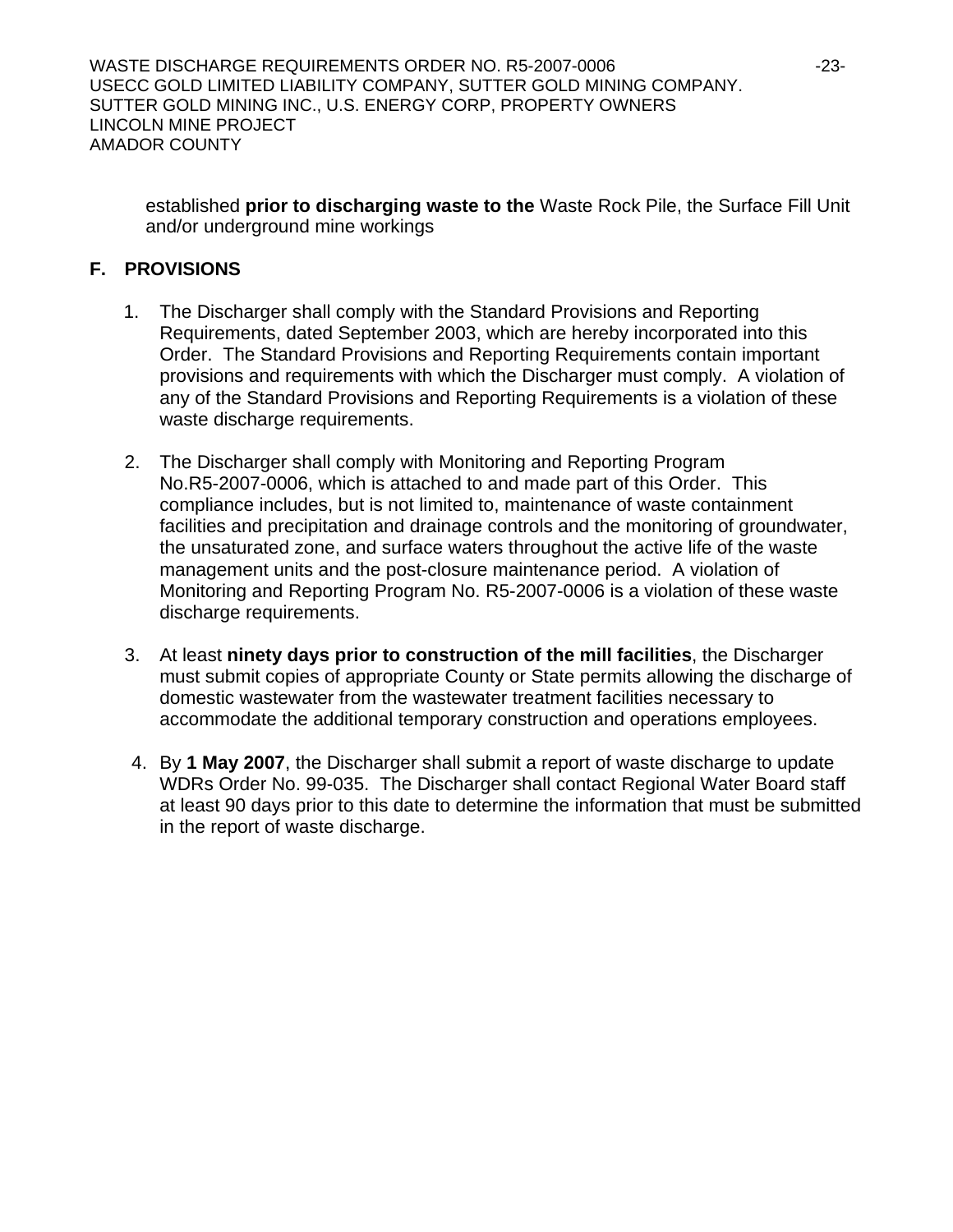established **prior to discharging waste to the** Waste Rock Pile, the Surface Fill Unit and/or underground mine workings

## **F. PROVISIONS**

- 1. The Discharger shall comply with the Standard Provisions and Reporting Requirements, dated September 2003, which are hereby incorporated into this Order. The Standard Provisions and Reporting Requirements contain important provisions and requirements with which the Discharger must comply. A violation of any of the Standard Provisions and Reporting Requirements is a violation of these waste discharge requirements.
- 2. The Discharger shall comply with Monitoring and Reporting Program No.R5-2007-0006, which is attached to and made part of this Order. This compliance includes, but is not limited to, maintenance of waste containment facilities and precipitation and drainage controls and the monitoring of groundwater, the unsaturated zone, and surface waters throughout the active life of the waste management units and the post-closure maintenance period. A violation of Monitoring and Reporting Program No. R5-2007-0006 is a violation of these waste discharge requirements.
- 3. At least **ninety days prior to construction of the mill facilities**, the Discharger must submit copies of appropriate County or State permits allowing the discharge of domestic wastewater from the wastewater treatment facilities necessary to accommodate the additional temporary construction and operations employees.
- 4. By **1 May 2007**, the Discharger shall submit a report of waste discharge to update WDRs Order No. 99-035. The Discharger shall contact Regional Water Board staff at least 90 days prior to this date to determine the information that must be submitted in the report of waste discharge.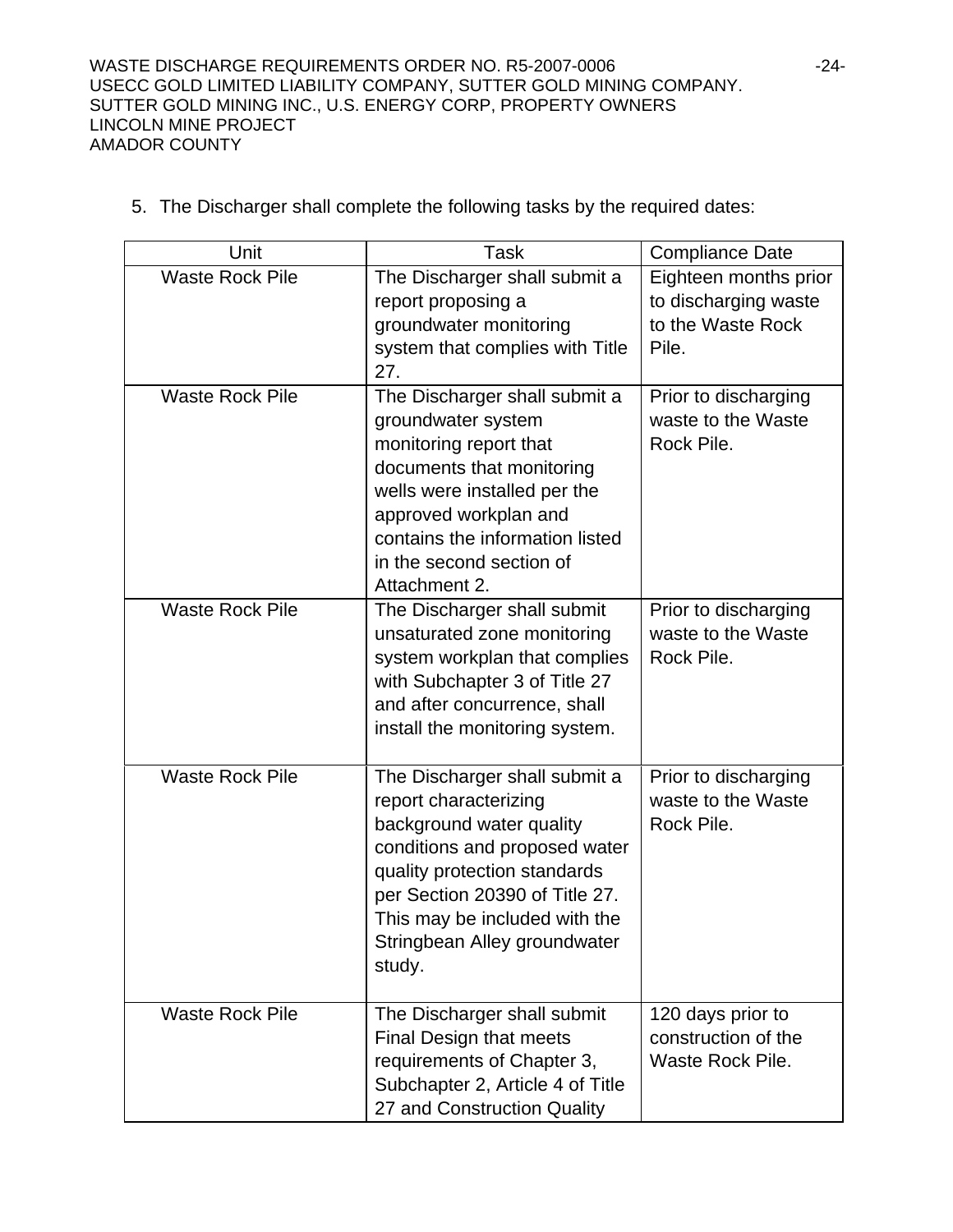WASTE DISCHARGE REQUIREMENTS ORDER NO. R5-2007-0006 -24-USECC GOLD LIMITED LIABILITY COMPANY, SUTTER GOLD MINING COMPANY. SUTTER GOLD MINING INC., U.S. ENERGY CORP, PROPERTY OWNERS LINCOLN MINE PROJECT AMADOR COUNTY

| Unit                   | <b>Task</b>                                                                                                                                                                                                                                                      | <b>Compliance Date</b>                                                      |
|------------------------|------------------------------------------------------------------------------------------------------------------------------------------------------------------------------------------------------------------------------------------------------------------|-----------------------------------------------------------------------------|
| <b>Waste Rock Pile</b> | The Discharger shall submit a<br>report proposing a<br>groundwater monitoring<br>system that complies with Title<br>27.                                                                                                                                          | Eighteen months prior<br>to discharging waste<br>to the Waste Rock<br>Pile. |
| <b>Waste Rock Pile</b> | The Discharger shall submit a<br>groundwater system<br>monitoring report that<br>documents that monitoring<br>wells were installed per the<br>approved workplan and<br>contains the information listed<br>in the second section of<br>Attachment 2.              | Prior to discharging<br>waste to the Waste<br>Rock Pile.                    |
| <b>Waste Rock Pile</b> | The Discharger shall submit<br>unsaturated zone monitoring<br>system workplan that complies<br>with Subchapter 3 of Title 27<br>and after concurrence, shall<br>install the monitoring system.                                                                   | Prior to discharging<br>waste to the Waste<br>Rock Pile.                    |
| <b>Waste Rock Pile</b> | The Discharger shall submit a<br>report characterizing<br>background water quality<br>conditions and proposed water<br>quality protection standards<br>per Section 20390 of Title 27.<br>This may be included with the<br>Stringbean Alley groundwater<br>study. | Prior to discharging<br>waste to the Waste<br>Rock Pile.                    |
| <b>Waste Rock Pile</b> | The Discharger shall submit<br>Final Design that meets<br>requirements of Chapter 3,<br>Subchapter 2, Article 4 of Title<br>27 and Construction Quality                                                                                                          | 120 days prior to<br>construction of the<br>Waste Rock Pile.                |

5. The Discharger shall complete the following tasks by the required dates: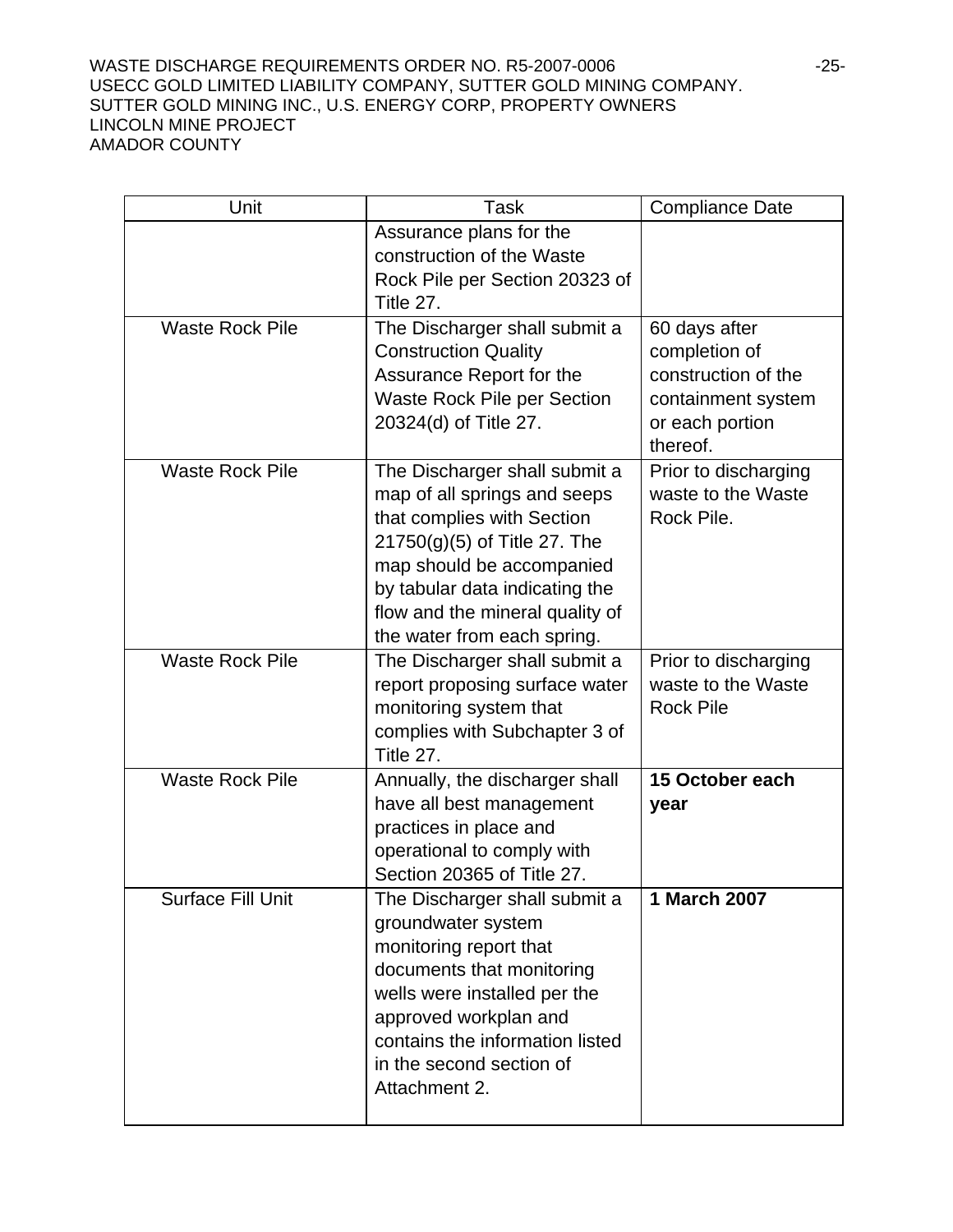#### WASTE DISCHARGE REQUIREMENTS ORDER NO. R5-2007-0006 -25-USECC GOLD LIMITED LIABILITY COMPANY, SUTTER GOLD MINING COMPANY. SUTTER GOLD MINING INC., U.S. ENERGY CORP, PROPERTY OWNERS LINCOLN MINE PROJECT AMADOR COUNTY

| Unit                     | Task                                                                                                                                                                                                                                                           | <b>Compliance Date</b>                                                                                     |
|--------------------------|----------------------------------------------------------------------------------------------------------------------------------------------------------------------------------------------------------------------------------------------------------------|------------------------------------------------------------------------------------------------------------|
|                          | Assurance plans for the<br>construction of the Waste<br>Rock Pile per Section 20323 of<br>Title 27.                                                                                                                                                            |                                                                                                            |
| <b>Waste Rock Pile</b>   | The Discharger shall submit a<br><b>Construction Quality</b><br>Assurance Report for the<br><b>Waste Rock Pile per Section</b><br>20324(d) of Title 27.                                                                                                        | 60 days after<br>completion of<br>construction of the<br>containment system<br>or each portion<br>thereof. |
| <b>Waste Rock Pile</b>   | The Discharger shall submit a<br>map of all springs and seeps<br>that complies with Section<br>$21750(g)(5)$ of Title 27. The<br>map should be accompanied<br>by tabular data indicating the<br>flow and the mineral quality of<br>the water from each spring. | Prior to discharging<br>waste to the Waste<br>Rock Pile.                                                   |
| <b>Waste Rock Pile</b>   | The Discharger shall submit a<br>report proposing surface water<br>monitoring system that<br>complies with Subchapter 3 of<br>Title 27.                                                                                                                        | Prior to discharging<br>waste to the Waste<br><b>Rock Pile</b>                                             |
| <b>Waste Rock Pile</b>   | Annually, the discharger shall<br>have all best management<br>practices in place and<br>operational to comply with<br>Section 20365 of Title 27.                                                                                                               | 15 October each<br>year                                                                                    |
| <b>Surface Fill Unit</b> | The Discharger shall submit a<br>groundwater system<br>monitoring report that<br>documents that monitoring<br>wells were installed per the<br>approved workplan and<br>contains the information listed<br>in the second section of<br>Attachment 2.            | 1 March 2007                                                                                               |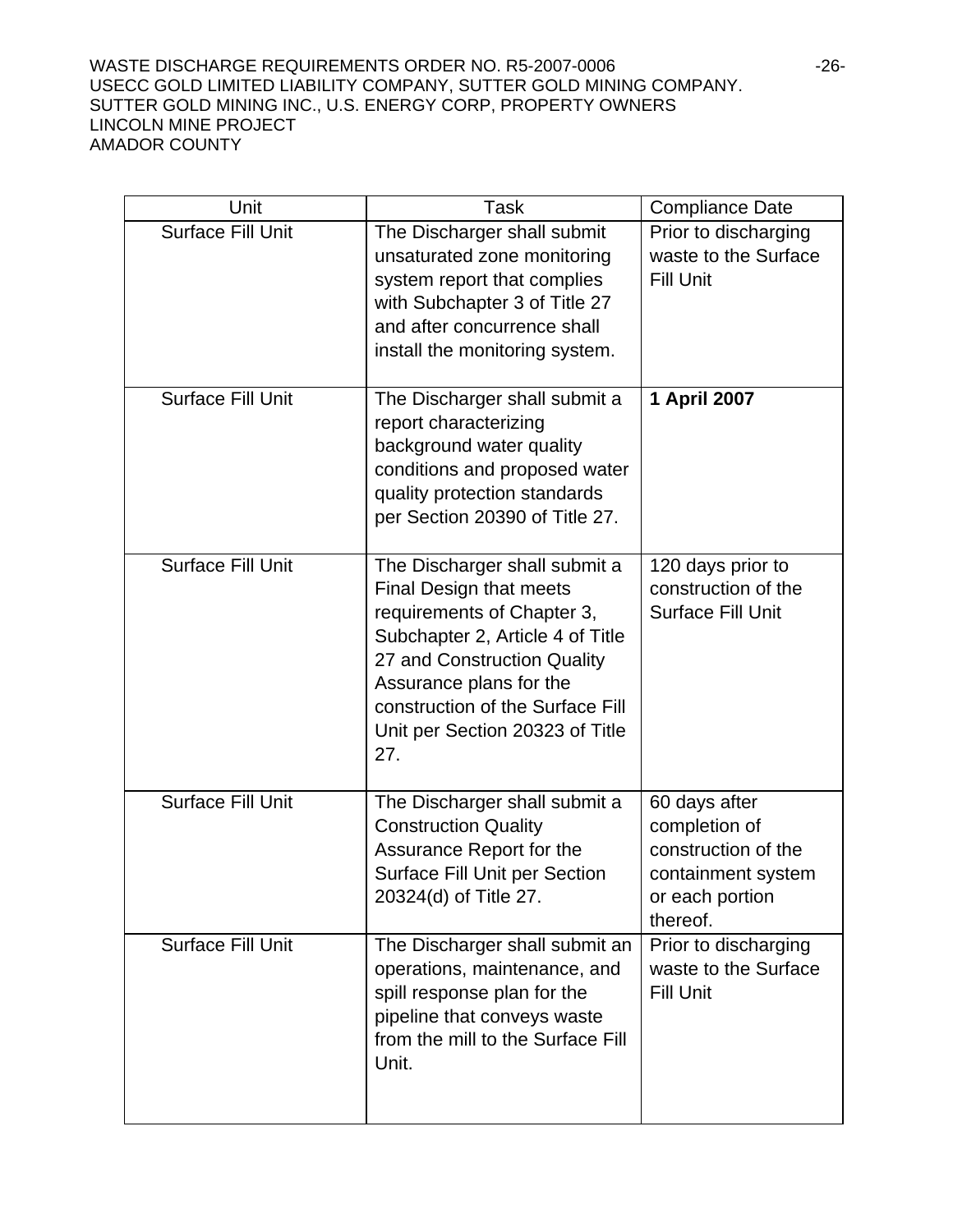#### WASTE DISCHARGE REQUIREMENTS ORDER NO. R5-2007-0006 -26-USECC GOLD LIMITED LIABILITY COMPANY, SUTTER GOLD MINING COMPANY. SUTTER GOLD MINING INC., U.S. ENERGY CORP, PROPERTY OWNERS LINCOLN MINE PROJECT AMADOR COUNTY

| Unit                     | Task                                                                                                                                                                                                                                                               | <b>Compliance Date</b>                                                                                     |
|--------------------------|--------------------------------------------------------------------------------------------------------------------------------------------------------------------------------------------------------------------------------------------------------------------|------------------------------------------------------------------------------------------------------------|
| <b>Surface Fill Unit</b> | The Discharger shall submit<br>unsaturated zone monitoring<br>system report that complies<br>with Subchapter 3 of Title 27<br>and after concurrence shall<br>install the monitoring system.                                                                        | Prior to discharging<br>waste to the Surface<br><b>Fill Unit</b>                                           |
| <b>Surface Fill Unit</b> | The Discharger shall submit a<br>report characterizing<br>background water quality<br>conditions and proposed water<br>quality protection standards<br>per Section 20390 of Title 27.                                                                              | 1 April 2007                                                                                               |
| <b>Surface Fill Unit</b> | The Discharger shall submit a<br>Final Design that meets<br>requirements of Chapter 3,<br>Subchapter 2, Article 4 of Title<br>27 and Construction Quality<br>Assurance plans for the<br>construction of the Surface Fill<br>Unit per Section 20323 of Title<br>27. | 120 days prior to<br>construction of the<br><b>Surface Fill Unit</b>                                       |
| <b>Surface Fill Unit</b> | The Discharger shall submit a<br><b>Construction Quality</b><br>Assurance Report for the<br><b>Surface Fill Unit per Section</b><br>20324(d) of Title 27.                                                                                                          | 60 days after<br>completion of<br>construction of the<br>containment system<br>or each portion<br>thereof. |
| <b>Surface Fill Unit</b> | The Discharger shall submit an<br>operations, maintenance, and<br>spill response plan for the<br>pipeline that conveys waste<br>from the mill to the Surface Fill<br>Unit.                                                                                         | Prior to discharging<br>waste to the Surface<br><b>Fill Unit</b>                                           |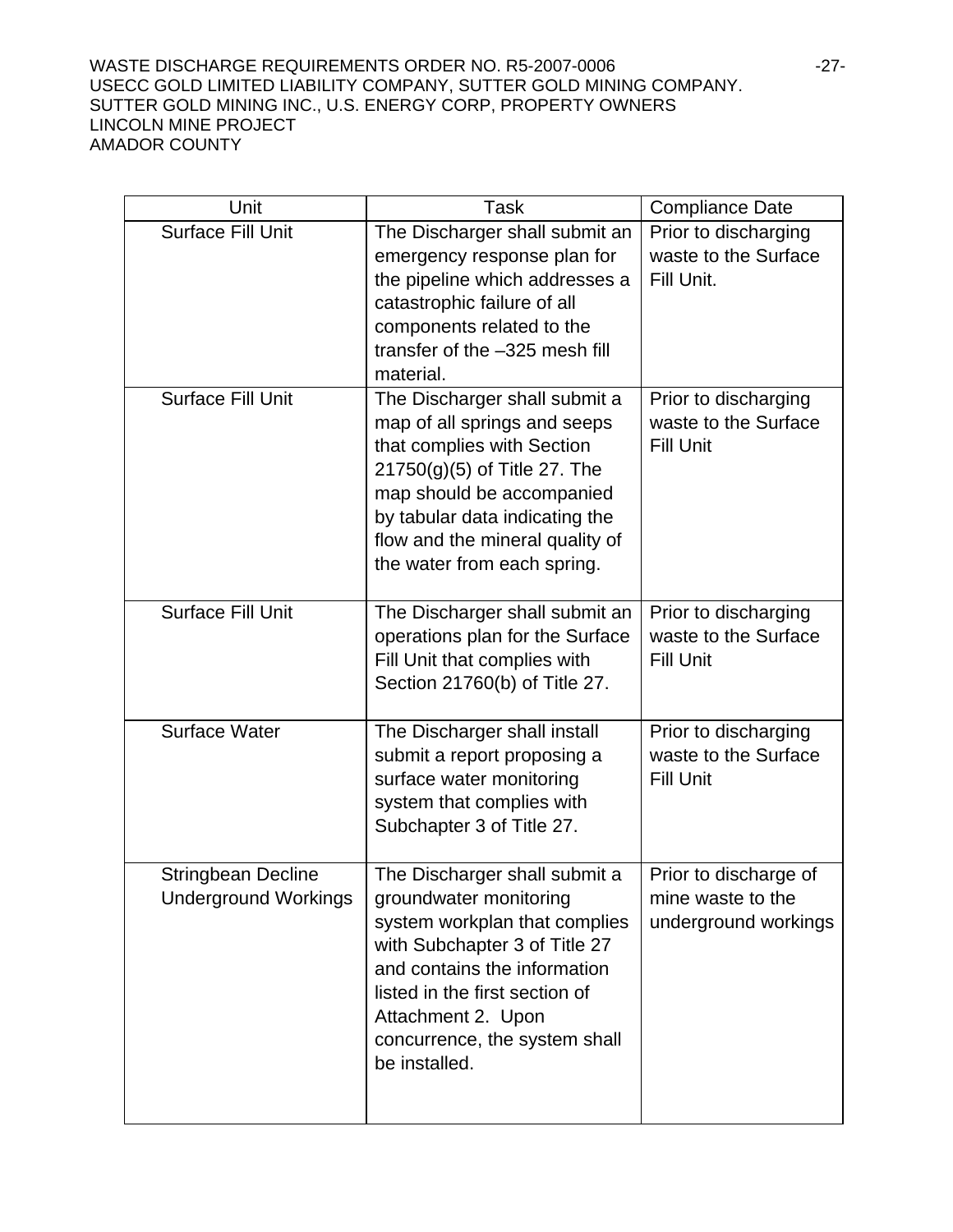#### WASTE DISCHARGE REQUIREMENTS ORDER NO. R5-2007-0006 -27-USECC GOLD LIMITED LIABILITY COMPANY, SUTTER GOLD MINING COMPANY. SUTTER GOLD MINING INC., U.S. ENERGY CORP, PROPERTY OWNERS LINCOLN MINE PROJECT AMADOR COUNTY

| Unit                                                     | Task                                                                                                                                                                                                                                                                | <b>Compliance Date</b>                                             |
|----------------------------------------------------------|---------------------------------------------------------------------------------------------------------------------------------------------------------------------------------------------------------------------------------------------------------------------|--------------------------------------------------------------------|
| <b>Surface Fill Unit</b>                                 | The Discharger shall submit an<br>emergency response plan for<br>the pipeline which addresses a<br>catastrophic failure of all<br>components related to the<br>transfer of the -325 mesh fill<br>material.                                                          | Prior to discharging<br>waste to the Surface<br>Fill Unit.         |
| <b>Surface Fill Unit</b>                                 | The Discharger shall submit a<br>map of all springs and seeps<br>that complies with Section<br>21750(g)(5) of Title 27. The<br>map should be accompanied<br>by tabular data indicating the<br>flow and the mineral quality of<br>the water from each spring.        | Prior to discharging<br>waste to the Surface<br><b>Fill Unit</b>   |
| <b>Surface Fill Unit</b>                                 | The Discharger shall submit an<br>operations plan for the Surface<br>Fill Unit that complies with<br>Section 21760(b) of Title 27.                                                                                                                                  | Prior to discharging<br>waste to the Surface<br><b>Fill Unit</b>   |
| <b>Surface Water</b>                                     | The Discharger shall install<br>submit a report proposing a<br>surface water monitoring<br>system that complies with<br>Subchapter 3 of Title 27.                                                                                                                   | Prior to discharging<br>waste to the Surface<br><b>Fill Unit</b>   |
| <b>Stringbean Decline</b><br><b>Underground Workings</b> | The Discharger shall submit a<br>groundwater monitoring<br>system workplan that complies<br>with Subchapter 3 of Title 27<br>and contains the information<br>listed in the first section of<br>Attachment 2. Upon<br>concurrence, the system shall<br>be installed. | Prior to discharge of<br>mine waste to the<br>underground workings |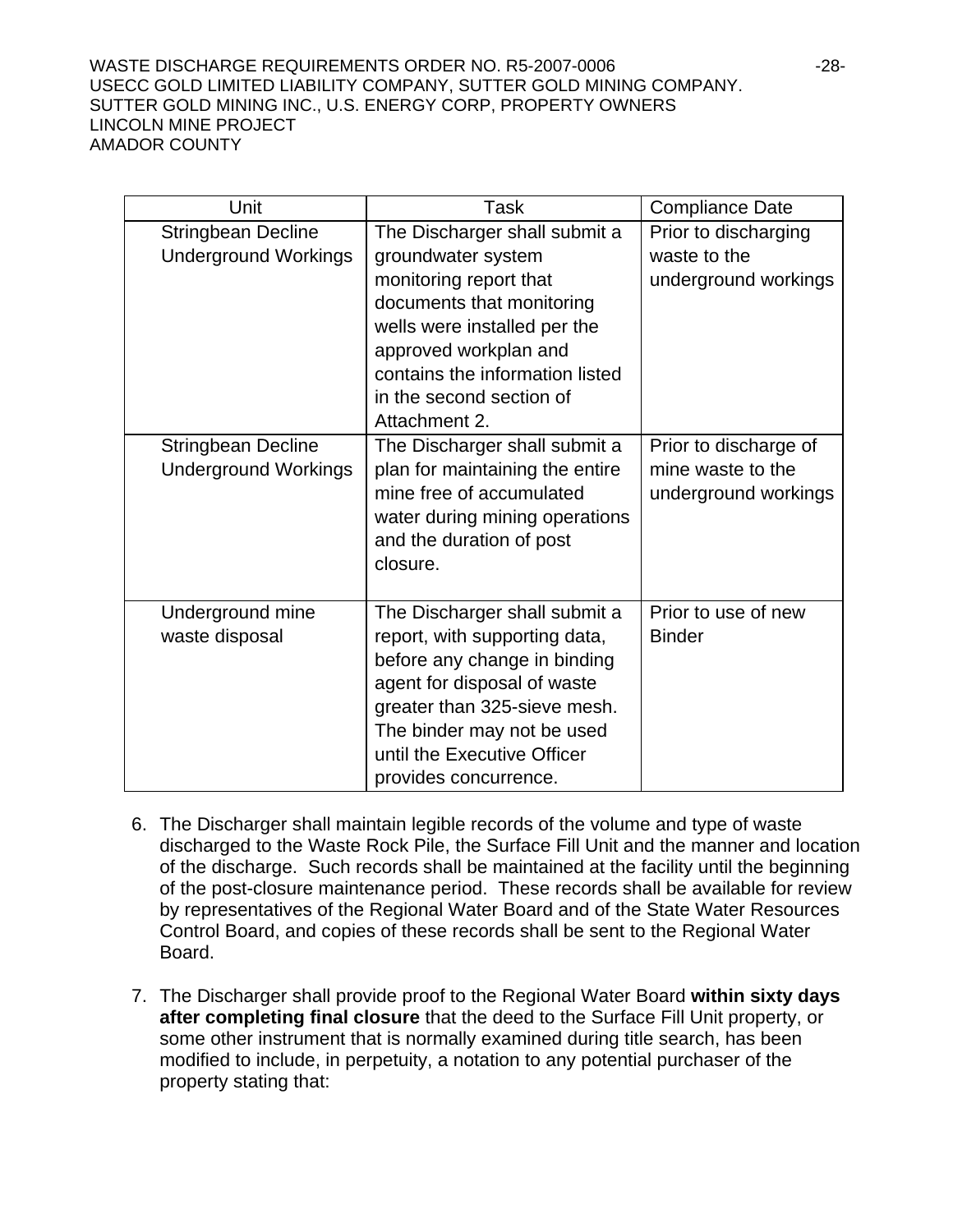#### WASTE DISCHARGE REQUIREMENTS ORDER NO. R5-2007-0006 -28- USECC GOLD LIMITED LIABILITY COMPANY, SUTTER GOLD MINING COMPANY. SUTTER GOLD MINING INC., U.S. ENERGY CORP, PROPERTY OWNERS LINCOLN MINE PROJECT AMADOR COUNTY

| Unit                        | <b>Task</b>                     | <b>Compliance Date</b> |
|-----------------------------|---------------------------------|------------------------|
| <b>Stringbean Decline</b>   | The Discharger shall submit a   | Prior to discharging   |
| <b>Underground Workings</b> | groundwater system              | waste to the           |
|                             | monitoring report that          | underground workings   |
|                             | documents that monitoring       |                        |
|                             | wells were installed per the    |                        |
|                             | approved workplan and           |                        |
|                             | contains the information listed |                        |
|                             | in the second section of        |                        |
|                             | Attachment 2.                   |                        |
| <b>Stringbean Decline</b>   | The Discharger shall submit a   | Prior to discharge of  |
| <b>Underground Workings</b> | plan for maintaining the entire | mine waste to the      |
|                             | mine free of accumulated        | underground workings   |
|                             | water during mining operations  |                        |
|                             | and the duration of post        |                        |
|                             | closure.                        |                        |
|                             |                                 |                        |
| Underground mine            | The Discharger shall submit a   | Prior to use of new    |
| waste disposal              | report, with supporting data,   | <b>Binder</b>          |
|                             | before any change in binding    |                        |
|                             | agent for disposal of waste     |                        |
|                             | greater than 325-sieve mesh.    |                        |
|                             | The binder may not be used      |                        |
|                             | until the Executive Officer     |                        |
|                             | provides concurrence.           |                        |

- 6. The Discharger shall maintain legible records of the volume and type of waste discharged to the Waste Rock Pile, the Surface Fill Unit and the manner and location of the discharge. Such records shall be maintained at the facility until the beginning of the post-closure maintenance period. These records shall be available for review by representatives of the Regional Water Board and of the State Water Resources Control Board, and copies of these records shall be sent to the Regional Water Board.
- 7. The Discharger shall provide proof to the Regional Water Board **within sixty days after completing final closure** that the deed to the Surface Fill Unit property, or some other instrument that is normally examined during title search, has been modified to include, in perpetuity, a notation to any potential purchaser of the property stating that: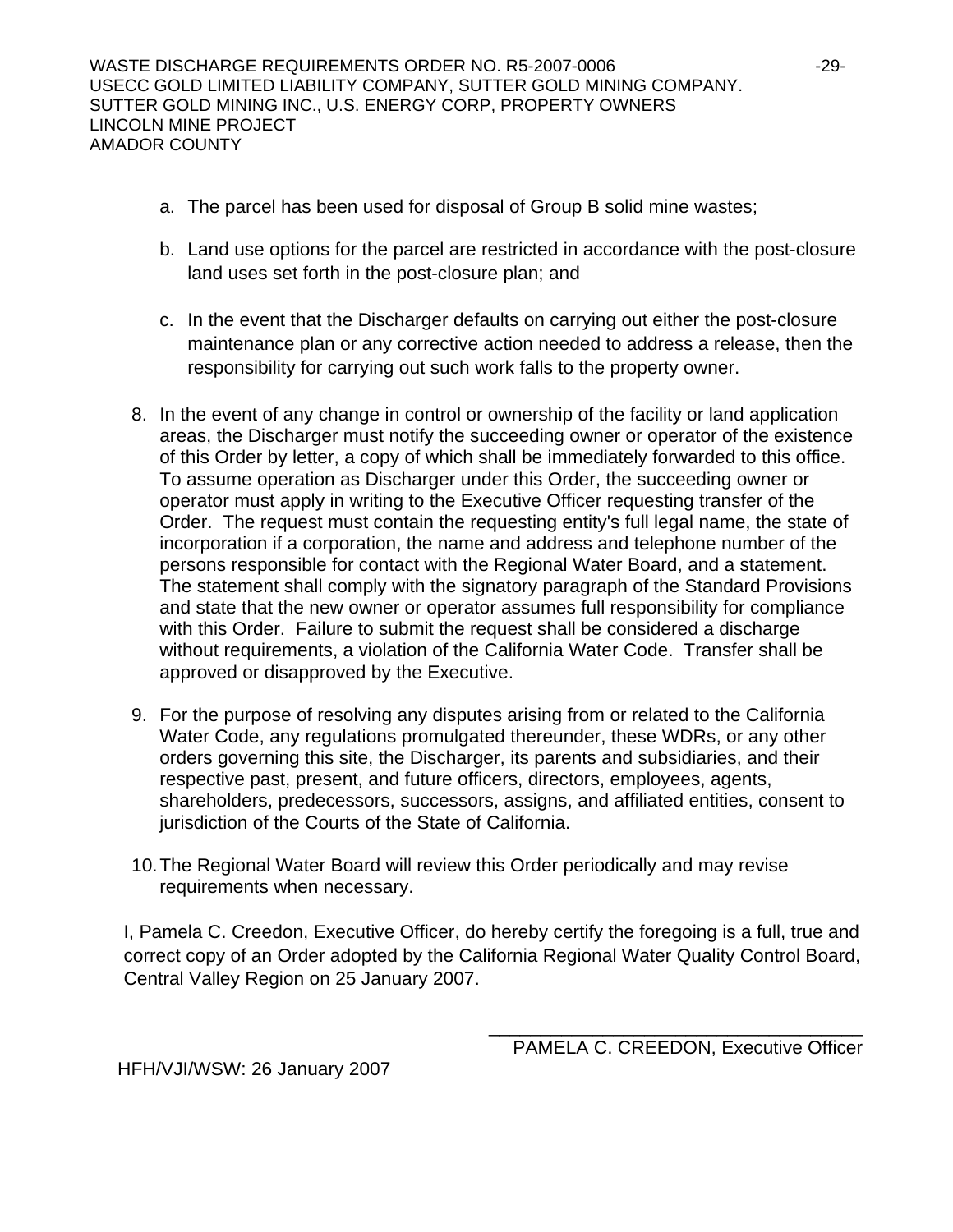- a. The parcel has been used for disposal of Group B solid mine wastes;
- b. Land use options for the parcel are restricted in accordance with the post-closure land uses set forth in the post-closure plan; and
- c. In the event that the Discharger defaults on carrying out either the post-closure maintenance plan or any corrective action needed to address a release, then the responsibility for carrying out such work falls to the property owner.
- 8. In the event of any change in control or ownership of the facility or land application areas, the Discharger must notify the succeeding owner or operator of the existence of this Order by letter, a copy of which shall be immediately forwarded to this office. To assume operation as Discharger under this Order, the succeeding owner or operator must apply in writing to the Executive Officer requesting transfer of the Order. The request must contain the requesting entity's full legal name, the state of incorporation if a corporation, the name and address and telephone number of the persons responsible for contact with the Regional Water Board, and a statement. The statement shall comply with the signatory paragraph of the Standard Provisions and state that the new owner or operator assumes full responsibility for compliance with this Order. Failure to submit the request shall be considered a discharge without requirements, a violation of the California Water Code. Transfer shall be approved or disapproved by the Executive.
- 9. For the purpose of resolving any disputes arising from or related to the California Water Code, any regulations promulgated thereunder, these WDRs, or any other orders governing this site, the Discharger, its parents and subsidiaries, and their respective past, present, and future officers, directors, employees, agents, shareholders, predecessors, successors, assigns, and affiliated entities, consent to jurisdiction of the Courts of the State of California.
- 10. The Regional Water Board will review this Order periodically and may revise requirements when necessary.

I, Pamela C. Creedon, Executive Officer, do hereby certify the foregoing is a full, true and correct copy of an Order adopted by the California Regional Water Quality Control Board, Central Valley Region on 25 January 2007.

\_\_\_\_\_\_\_\_\_\_\_\_\_\_\_\_\_\_\_\_\_\_\_\_\_\_\_\_\_\_\_\_\_\_\_\_

HFH/VJI/WSW: 26 January 2007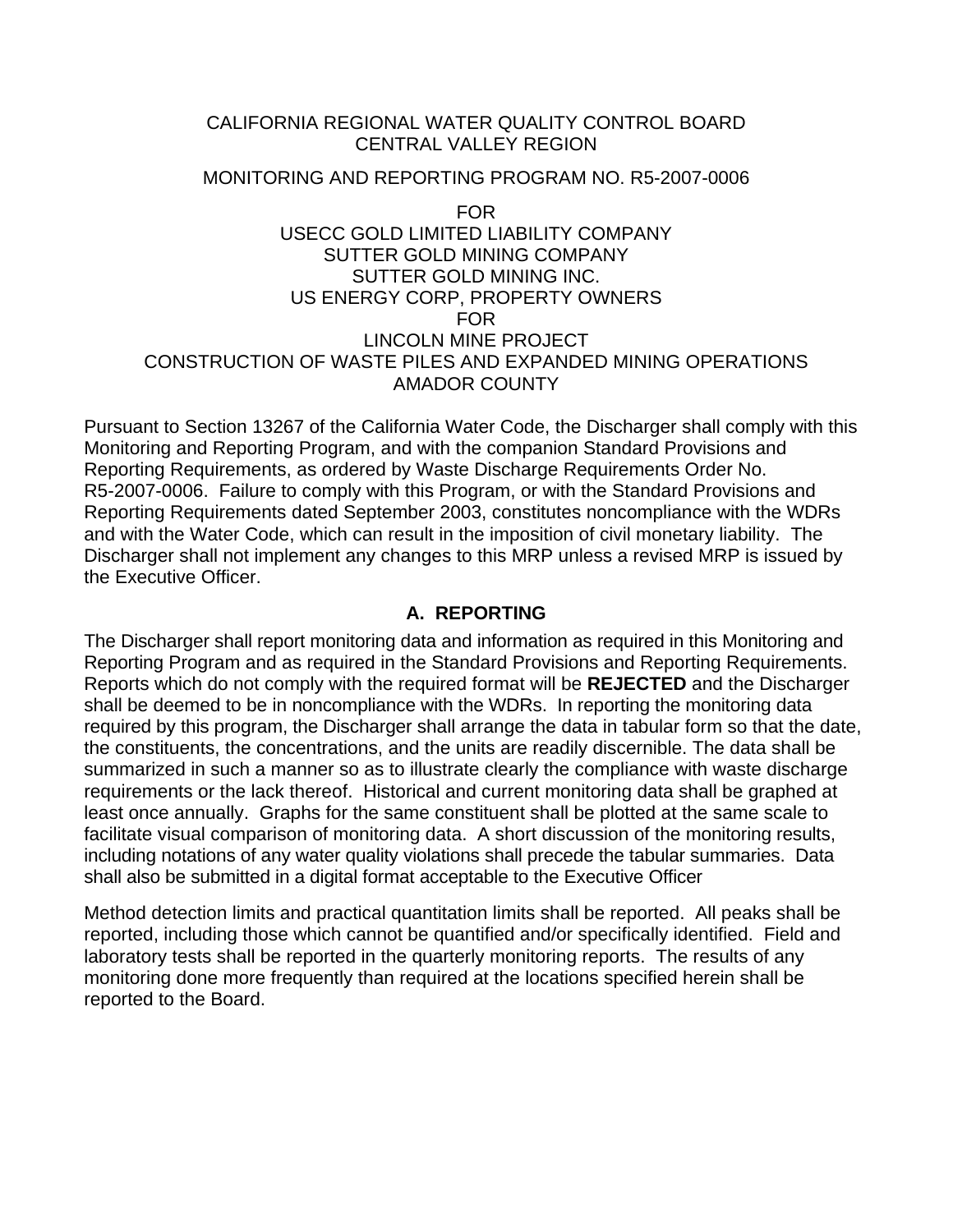## CALIFORNIA REGIONAL WATER QUALITY CONTROL BOARD CENTRAL VALLEY REGION

#### MONITORING AND REPORTING PROGRAM NO. R5-2007-0006

FOR USECC GOLD LIMITED LIABILITY COMPANY SUTTER GOLD MINING COMPANY SUTTER GOLD MINING INC. US ENERGY CORP, PROPERTY OWNERS FOR LINCOLN MINE PROJECT CONSTRUCTION OF WASTE PILES AND EXPANDED MINING OPERATIONS AMADOR COUNTY

Pursuant to Section 13267 of the California Water Code, the Discharger shall comply with this Monitoring and Reporting Program, and with the companion Standard Provisions and Reporting Requirements, as ordered by Waste Discharge Requirements Order No. R5-2007-0006. Failure to comply with this Program, or with the Standard Provisions and Reporting Requirements dated September 2003, constitutes noncompliance with the WDRs and with the Water Code, which can result in the imposition of civil monetary liability. The Discharger shall not implement any changes to this MRP unless a revised MRP is issued by the Executive Officer.

## **A. REPORTING**

The Discharger shall report monitoring data and information as required in this Monitoring and Reporting Program and as required in the Standard Provisions and Reporting Requirements. Reports which do not comply with the required format will be **REJECTED** and the Discharger shall be deemed to be in noncompliance with the WDRs. In reporting the monitoring data required by this program, the Discharger shall arrange the data in tabular form so that the date, the constituents, the concentrations, and the units are readily discernible. The data shall be summarized in such a manner so as to illustrate clearly the compliance with waste discharge requirements or the lack thereof. Historical and current monitoring data shall be graphed at least once annually. Graphs for the same constituent shall be plotted at the same scale to facilitate visual comparison of monitoring data. A short discussion of the monitoring results, including notations of any water quality violations shall precede the tabular summaries. Data shall also be submitted in a digital format acceptable to the Executive Officer

Method detection limits and practical quantitation limits shall be reported. All peaks shall be reported, including those which cannot be quantified and/or specifically identified. Field and laboratory tests shall be reported in the quarterly monitoring reports. The results of any monitoring done more frequently than required at the locations specified herein shall be reported to the Board.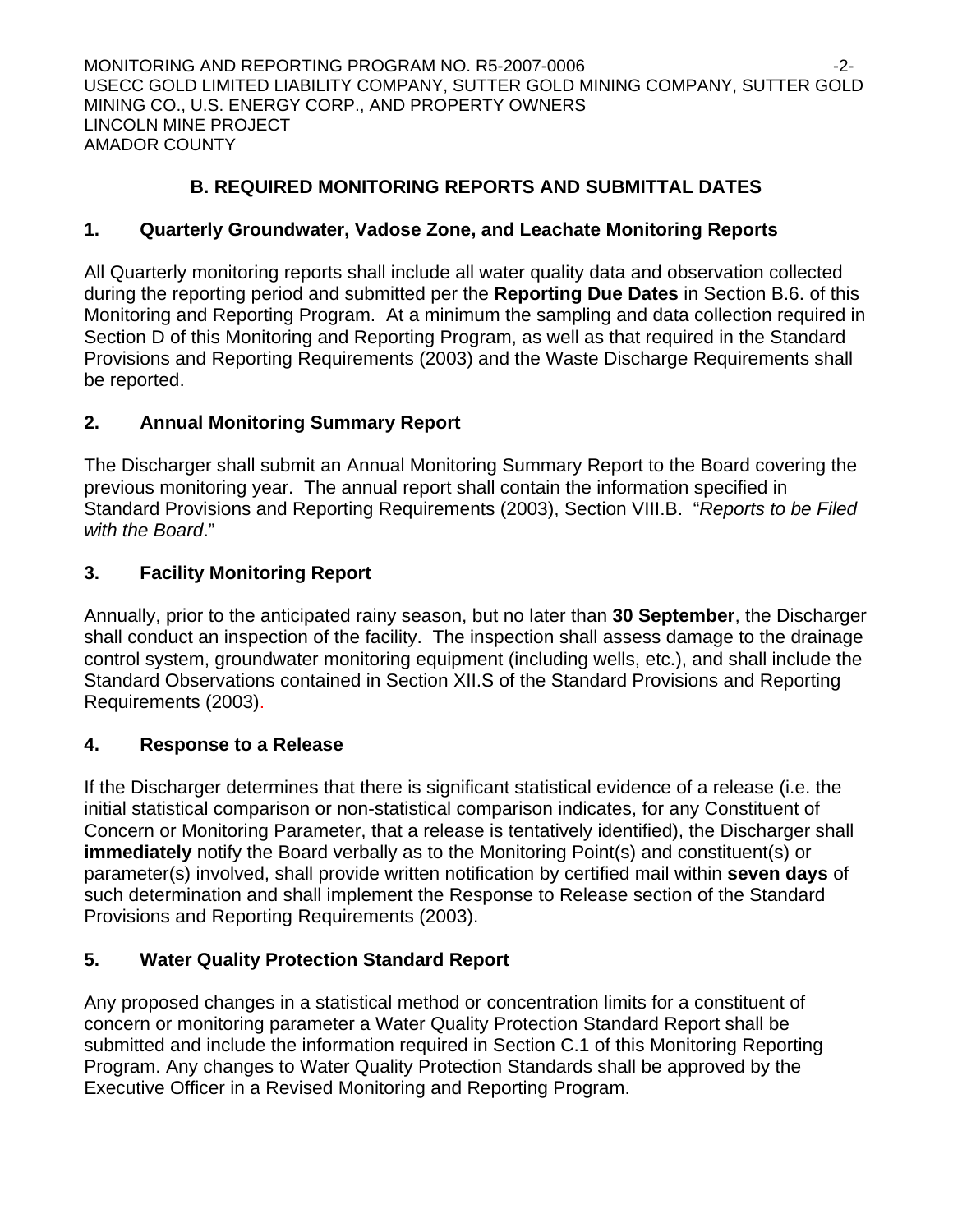## **B. REQUIRED MONITORING REPORTS AND SUBMITTAL DATES**

## **1. Quarterly Groundwater, Vadose Zone, and Leachate Monitoring Reports**

All Quarterly monitoring reports shall include all water quality data and observation collected during the reporting period and submitted per the **Reporting Due Dates** in Section B.6. of this Monitoring and Reporting Program. At a minimum the sampling and data collection required in Section D of this Monitoring and Reporting Program, as well as that required in the Standard Provisions and Reporting Requirements (2003) and the Waste Discharge Requirements shall be reported.

## **2. Annual Monitoring Summary Report**

The Discharger shall submit an Annual Monitoring Summary Report to the Board covering the previous monitoring year. The annual report shall contain the information specified in Standard Provisions and Reporting Requirements (2003), Section VIII.B. "*Reports to be Filed with the Board*."

## **3. Facility Monitoring Report**

Annually, prior to the anticipated rainy season, but no later than **30 September**, the Discharger shall conduct an inspection of the facility. The inspection shall assess damage to the drainage control system, groundwater monitoring equipment (including wells, etc.), and shall include the Standard Observations contained in Section XII.S of the Standard Provisions and Reporting Requirements (2003).

## **4. Response to a Release**

If the Discharger determines that there is significant statistical evidence of a release (i.e. the initial statistical comparison or non-statistical comparison indicates, for any Constituent of Concern or Monitoring Parameter, that a release is tentatively identified), the Discharger shall **immediately** notify the Board verbally as to the Monitoring Point(s) and constituent(s) or parameter(s) involved, shall provide written notification by certified mail within **seven days** of such determination and shall implement the Response to Release section of the Standard Provisions and Reporting Requirements (2003).

## **5. Water Quality Protection Standard Report**

Any proposed changes in a statistical method or concentration limits for a constituent of concern or monitoring parameter a Water Quality Protection Standard Report shall be submitted and include the information required in Section C.1 of this Monitoring Reporting Program. Any changes to Water Quality Protection Standards shall be approved by the Executive Officer in a Revised Monitoring and Reporting Program.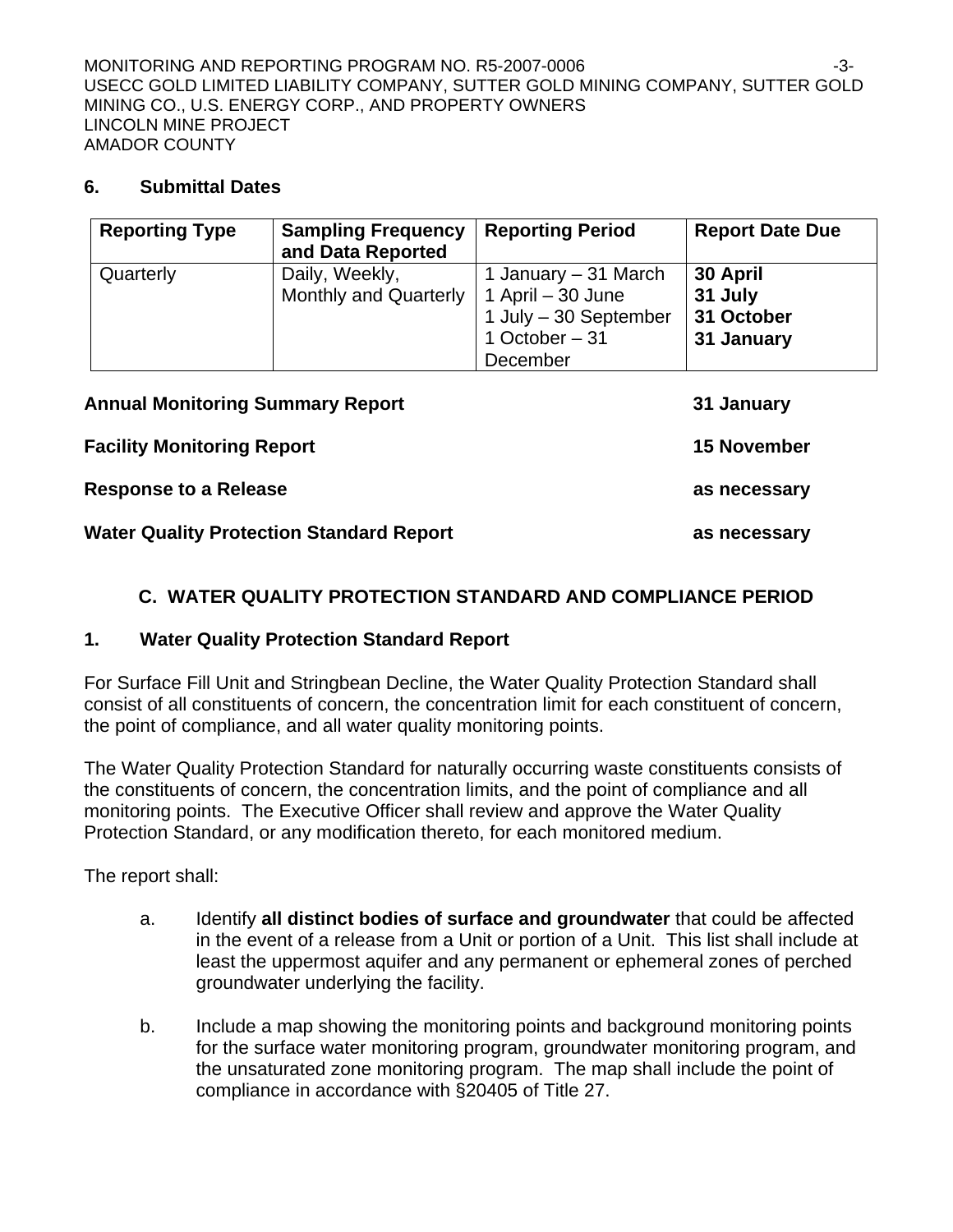## **6. Submittal Dates**

| <b>Reporting Type</b> | <b>Sampling Frequency</b><br>and Data Reported | <b>Reporting Period</b>                                                                            | <b>Report Date Due</b>                          |
|-----------------------|------------------------------------------------|----------------------------------------------------------------------------------------------------|-------------------------------------------------|
| Quarterly             | Daily, Weekly,<br><b>Monthly and Quarterly</b> | 1 January – 31 March<br>1 April – 30 June<br>1 July $-30$ September<br>1 October $-31$<br>December | 30 April<br>31 July<br>31 October<br>31 January |

| <b>Annual Monitoring Summary Report</b>         | 31 January         |
|-------------------------------------------------|--------------------|
| <b>Facility Monitoring Report</b>               | <b>15 November</b> |
| <b>Response to a Release</b>                    | as necessary       |
| <b>Water Quality Protection Standard Report</b> | as necessary       |

## **C. WATER QUALITY PROTECTION STANDARD AND COMPLIANCE PERIOD**

## **1. Water Quality Protection Standard Report**

For Surface Fill Unit and Stringbean Decline, the Water Quality Protection Standard shall consist of all constituents of concern, the concentration limit for each constituent of concern, the point of compliance, and all water quality monitoring points.

The Water Quality Protection Standard for naturally occurring waste constituents consists of the constituents of concern, the concentration limits, and the point of compliance and all monitoring points. The Executive Officer shall review and approve the Water Quality Protection Standard, or any modification thereto, for each monitored medium.

The report shall:

- a. Identify **all distinct bodies of surface and groundwater** that could be affected in the event of a release from a Unit or portion of a Unit. This list shall include at least the uppermost aquifer and any permanent or ephemeral zones of perched groundwater underlying the facility.
- b. Include a map showing the monitoring points and background monitoring points for the surface water monitoring program, groundwater monitoring program, and the unsaturated zone monitoring program. The map shall include the point of compliance in accordance with §20405 of Title 27.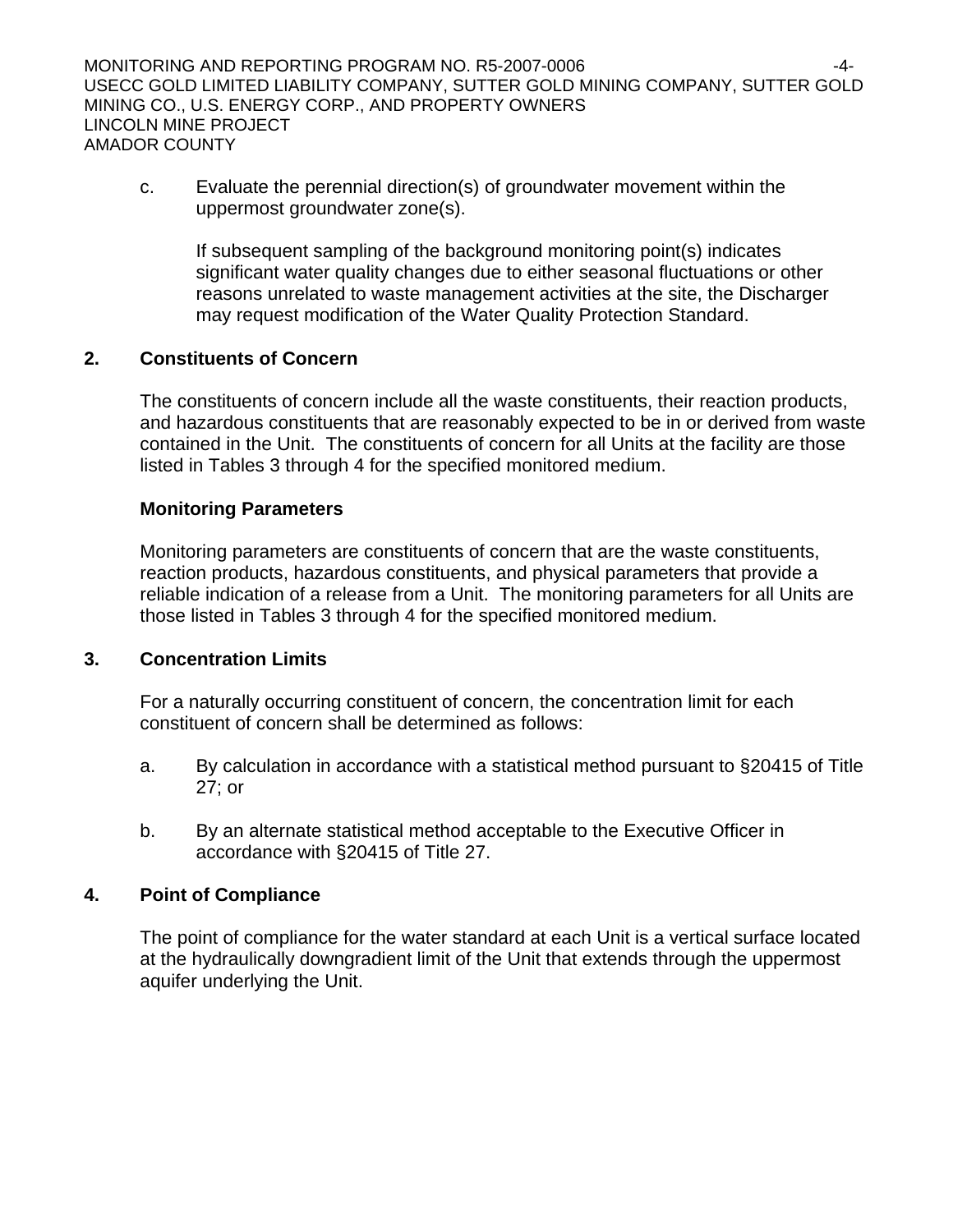MONITORING AND REPORTING PROGRAM NO. R5-2007-0006 USECC GOLD LIMITED LIABILITY COMPANY, SUTTER GOLD MINING COMPANY, SUTTER GOLD MINING CO., U.S. ENERGY CORP., AND PROPERTY OWNERS LINCOLN MINE PROJECT AMADOR COUNTY

c. Evaluate the perennial direction(s) of groundwater movement within the uppermost groundwater zone(s).

 If subsequent sampling of the background monitoring point(s) indicates significant water quality changes due to either seasonal fluctuations or other reasons unrelated to waste management activities at the site, the Discharger may request modification of the Water Quality Protection Standard.

## **2. Constituents of Concern**

 The constituents of concern include all the waste constituents, their reaction products, and hazardous constituents that are reasonably expected to be in or derived from waste contained in the Unit. The constituents of concern for all Units at the facility are those listed in Tables 3 through 4 for the specified monitored medium.

#### **Monitoring Parameters**

 Monitoring parameters are constituents of concern that are the waste constituents, reaction products, hazardous constituents, and physical parameters that provide a reliable indication of a release from a Unit. The monitoring parameters for all Units are those listed in Tables 3 through 4 for the specified monitored medium.

## **3. Concentration Limits**

 For a naturally occurring constituent of concern, the concentration limit for each constituent of concern shall be determined as follows:

- a. By calculation in accordance with a statistical method pursuant to §20415 of Title 27; or
- b. By an alternate statistical method acceptable to the Executive Officer in accordance with §20415 of Title 27.

## **4. Point of Compliance**

 The point of compliance for the water standard at each Unit is a vertical surface located at the hydraulically downgradient limit of the Unit that extends through the uppermost aquifer underlying the Unit.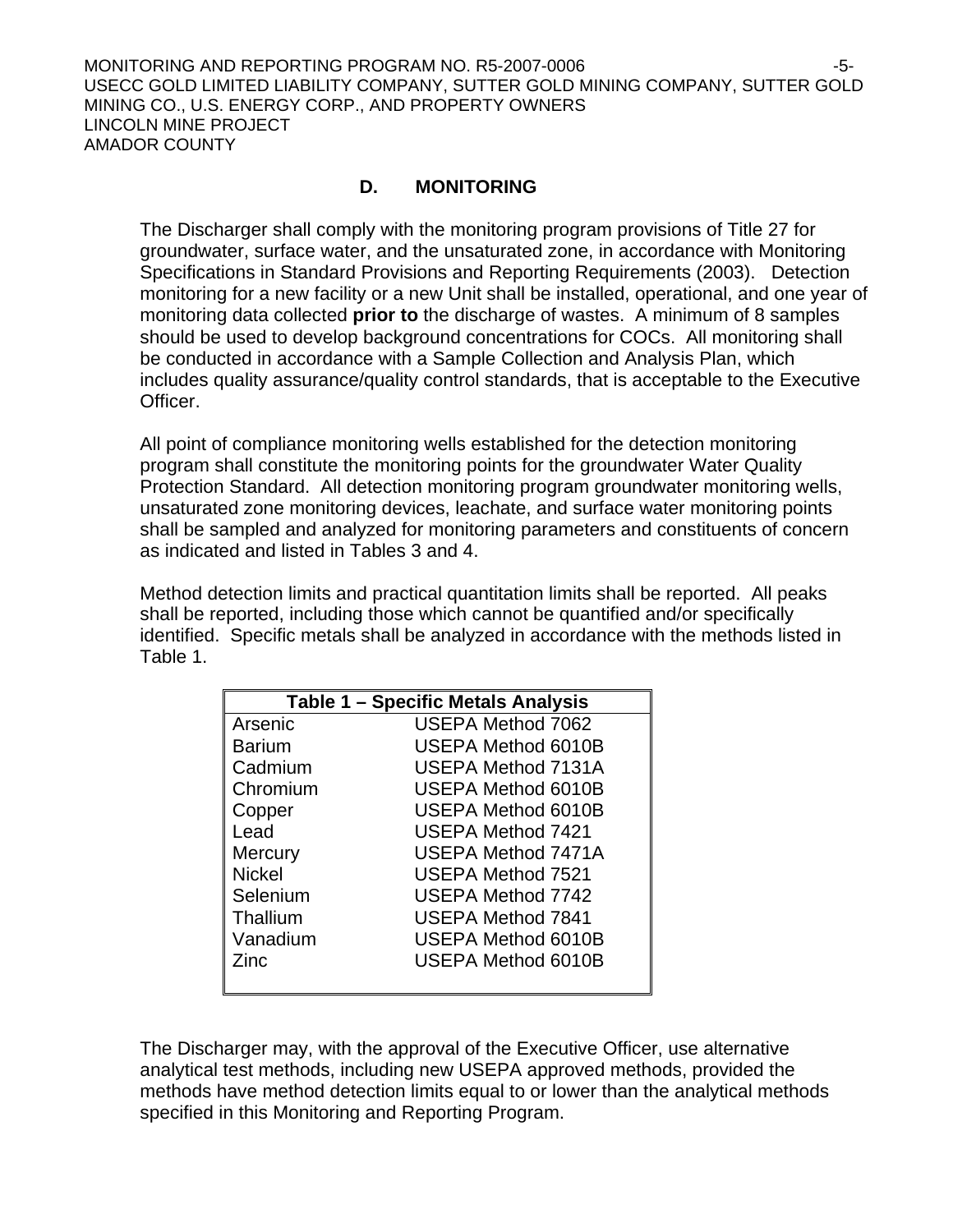MONITORING AND REPORTING PROGRAM NO. R5-2007-0006 -5- USECC GOLD LIMITED LIABILITY COMPANY, SUTTER GOLD MINING COMPANY, SUTTER GOLD MINING CO., U.S. ENERGY CORP., AND PROPERTY OWNERS LINCOLN MINE PROJECT AMADOR COUNTY

## **D. MONITORING**

The Discharger shall comply with the monitoring program provisions of Title 27 for groundwater, surface water, and the unsaturated zone, in accordance with Monitoring Specifications in Standard Provisions and Reporting Requirements (2003). Detection monitoring for a new facility or a new Unit shall be installed, operational, and one year of monitoring data collected **prior to** the discharge of wastes. A minimum of 8 samples should be used to develop background concentrations for COCs. All monitoring shall be conducted in accordance with a Sample Collection and Analysis Plan, which includes quality assurance/quality control standards, that is acceptable to the Executive Officer.

All point of compliance monitoring wells established for the detection monitoring program shall constitute the monitoring points for the groundwater Water Quality Protection Standard. All detection monitoring program groundwater monitoring wells, unsaturated zone monitoring devices, leachate, and surface water monitoring points shall be sampled and analyzed for monitoring parameters and constituents of concern as indicated and listed in Tables 3 and 4.

Method detection limits and practical quantitation limits shall be reported. All peaks shall be reported, including those which cannot be quantified and/or specifically identified. Specific metals shall be analyzed in accordance with the methods listed in Table 1.

|               | <b>Table 1 - Specific Metals Analysis</b> |
|---------------|-------------------------------------------|
| Arsenic       | <b>USEPA Method 7062</b>                  |
| Barium        | USEPA Method 6010B                        |
| Cadmium       | <b>USEPA Method 7131A</b>                 |
| Chromium      | USEPA Method 6010B                        |
| Copper        | USEPA Method 6010B                        |
| Lead          | USEPA Method 7421                         |
| Mercury       | USEPA Method 7471A                        |
| <b>Nickel</b> | <b>USEPA Method 7521</b>                  |
| Selenium      | <b>USEPA Method 7742</b>                  |
| Thallium      | <b>USEPA Method 7841</b>                  |
| Vanadium      | USEPA Method 6010B                        |
| Zinc          | USEPA Method 6010B                        |
|               |                                           |

The Discharger may, with the approval of the Executive Officer, use alternative analytical test methods, including new USEPA approved methods, provided the methods have method detection limits equal to or lower than the analytical methods specified in this Monitoring and Reporting Program.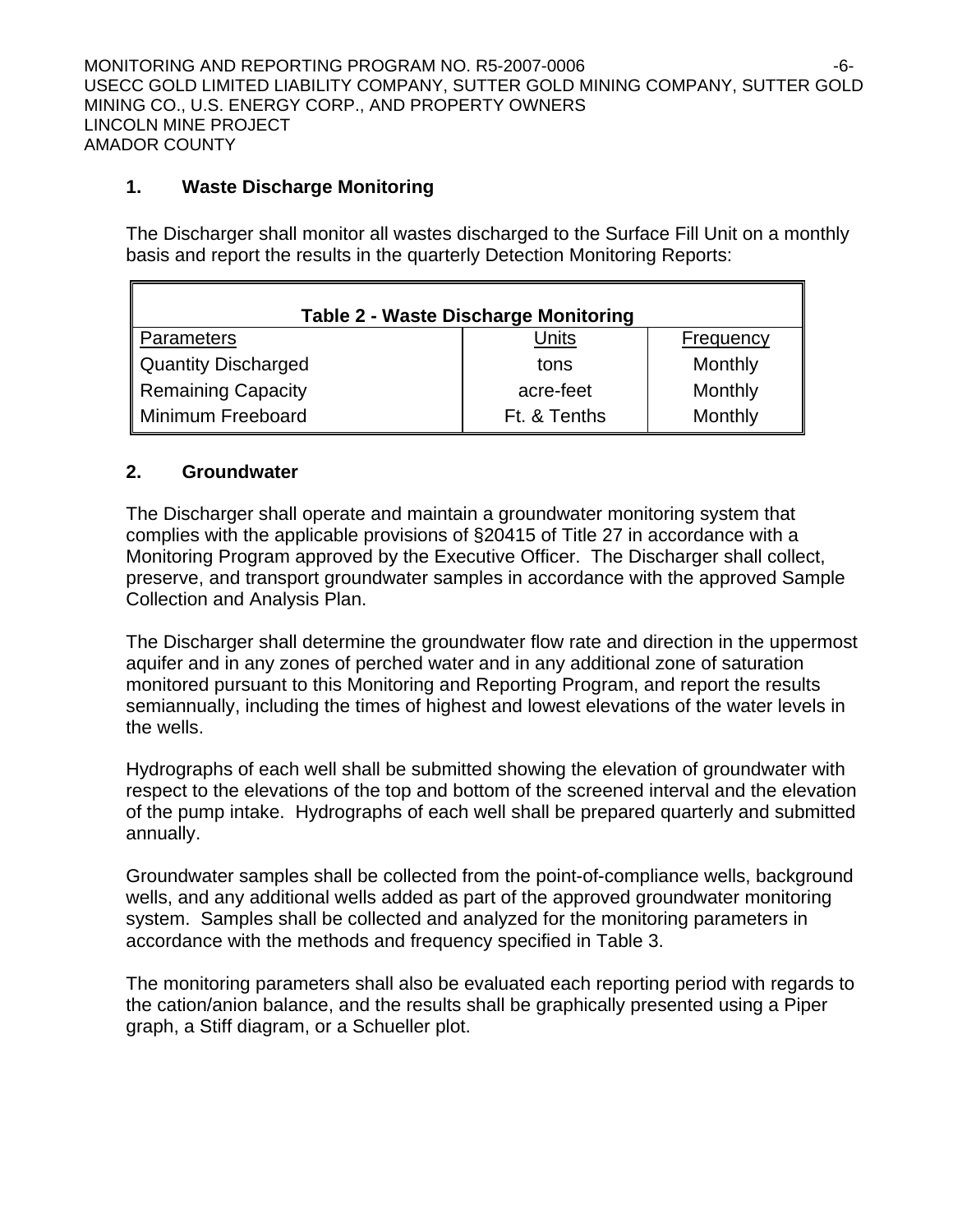MONITORING AND REPORTING PROGRAM NO. R5-2007-0006 -6- USECC GOLD LIMITED LIABILITY COMPANY, SUTTER GOLD MINING COMPANY, SUTTER GOLD MINING CO., U.S. ENERGY CORP., AND PROPERTY OWNERS LINCOLN MINE PROJECT AMADOR COUNTY

## **1. Waste Discharge Monitoring**

The Discharger shall monitor all wastes discharged to the Surface Fill Unit on a monthly basis and report the results in the quarterly Detection Monitoring Reports:

| <b>Table 2 - Waste Discharge Monitoring</b> |              |           |  |
|---------------------------------------------|--------------|-----------|--|
| ∥ Parameters                                | Units        | Frequency |  |
| Quantity Discharged                         | tons         | Monthly   |  |
| Remaining Capacity                          | acre-feet    | Monthly   |  |
| Minimum Freeboard                           | Ft. & Tenths | Monthly   |  |

## **2. Groundwater**

 $\blacksquare$ 

The Discharger shall operate and maintain a groundwater monitoring system that complies with the applicable provisions of §20415 of Title 27 in accordance with a Monitoring Program approved by the Executive Officer. The Discharger shall collect, preserve, and transport groundwater samples in accordance with the approved Sample Collection and Analysis Plan.

The Discharger shall determine the groundwater flow rate and direction in the uppermost aquifer and in any zones of perched water and in any additional zone of saturation monitored pursuant to this Monitoring and Reporting Program, and report the results semiannually, including the times of highest and lowest elevations of the water levels in the wells.

Hydrographs of each well shall be submitted showing the elevation of groundwater with respect to the elevations of the top and bottom of the screened interval and the elevation of the pump intake. Hydrographs of each well shall be prepared quarterly and submitted annually.

Groundwater samples shall be collected from the point-of-compliance wells, background wells, and any additional wells added as part of the approved groundwater monitoring system. Samples shall be collected and analyzed for the monitoring parameters in accordance with the methods and frequency specified in Table 3.

The monitoring parameters shall also be evaluated each reporting period with regards to the cation/anion balance, and the results shall be graphically presented using a Piper graph, a Stiff diagram, or a Schueller plot.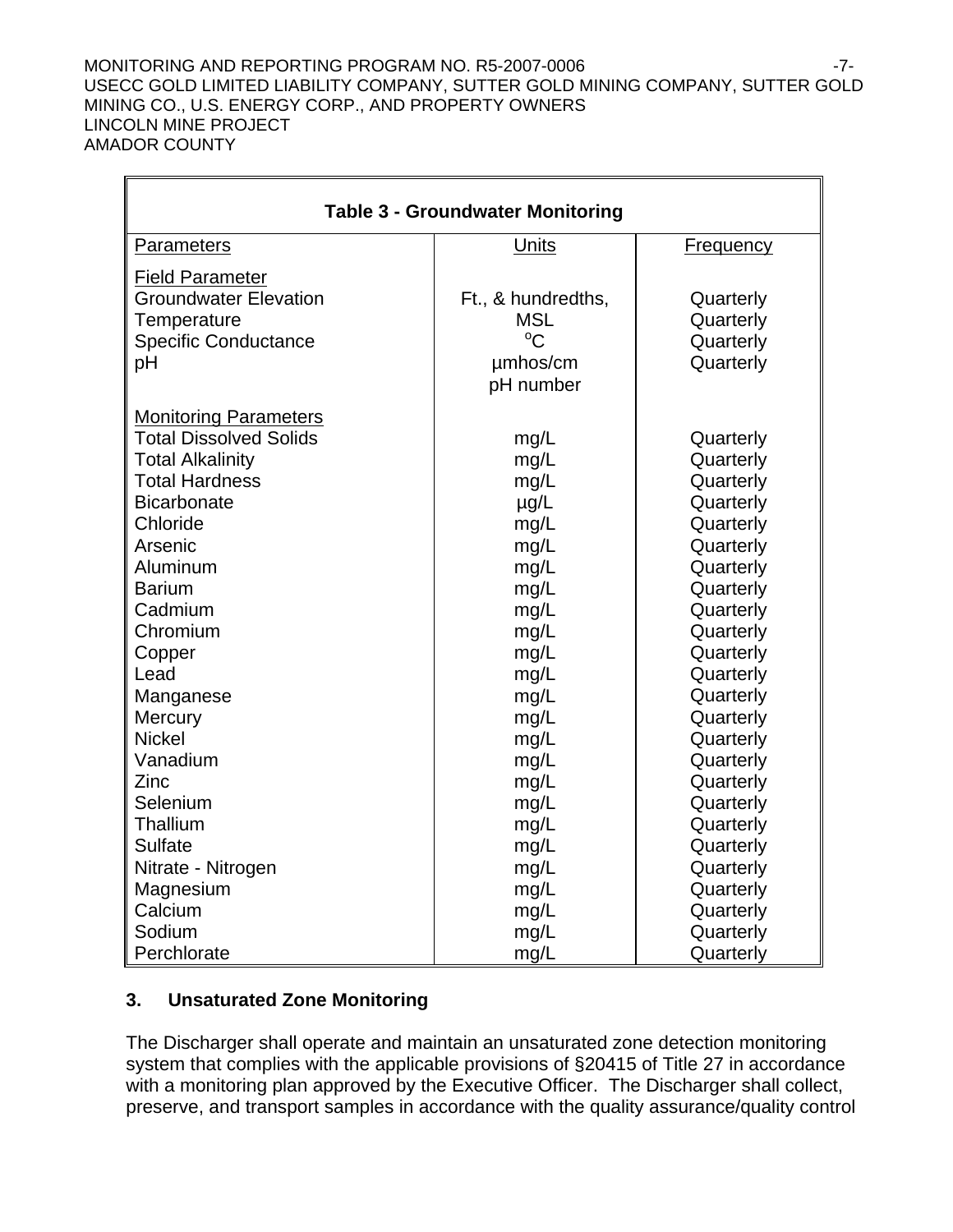#### MONITORING AND REPORTING PROGRAM NO. R5-2007-0006 **FILLION** 17-USECC GOLD LIMITED LIABILITY COMPANY, SUTTER GOLD MINING COMPANY, SUTTER GOLD MINING CO., U.S. ENERGY CORP., AND PROPERTY OWNERS LINCOLN MINE PROJECT AMADOR COUNTY

| <b>Table 3 - Groundwater Monitoring</b> |                    |                  |  |
|-----------------------------------------|--------------------|------------------|--|
| <b>Parameters</b>                       | <b>Units</b>       | <b>Frequency</b> |  |
| <b>Field Parameter</b>                  |                    |                  |  |
| <b>Groundwater Elevation</b>            | Ft., & hundredths, | Quarterly        |  |
| Temperature                             | <b>MSL</b>         | Quarterly        |  |
| <b>Specific Conductance</b>             | $^{\circ}C$        | Quarterly        |  |
| pH                                      | umhos/cm           | Quarterly        |  |
|                                         | pH number          |                  |  |
| <b>Monitoring Parameters</b>            |                    |                  |  |
| <b>Total Dissolved Solids</b>           | mg/L               | Quarterly        |  |
| <b>Total Alkalinity</b>                 | mg/L               | Quarterly        |  |
| <b>Total Hardness</b>                   | mg/L               | Quarterly        |  |
| <b>Bicarbonate</b>                      | $\mu$ g/L          | Quarterly        |  |
| Chloride                                | mg/L               | Quarterly        |  |
| Arsenic                                 | mg/L               | Quarterly        |  |
| Aluminum                                | mg/L               | Quarterly        |  |
| <b>Barium</b>                           | mg/L               | Quarterly        |  |
| Cadmium                                 | mg/L               | Quarterly        |  |
| Chromium                                | mg/L               | Quarterly        |  |
| Copper                                  | mg/L               | Quarterly        |  |
| Lead                                    | mg/L               | Quarterly        |  |
| Manganese                               | mg/L               | Quarterly        |  |
| Mercury                                 | mg/L               | Quarterly        |  |
| <b>Nickel</b>                           | mg/L               | Quarterly        |  |
| Vanadium                                | mg/L               | Quarterly        |  |
| Zinc                                    | mg/L               | Quarterly        |  |
| Selenium                                | mg/L               | Quarterly        |  |
| Thallium                                | mg/L               | Quarterly        |  |
| <b>Sulfate</b>                          | mg/L               | Quarterly        |  |
| Nitrate - Nitrogen                      | mg/L               | Quarterly        |  |
| Magnesium                               | mg/L               | Quarterly        |  |
| Calcium                                 | mg/L               | Quarterly        |  |
| Sodium                                  | mg/L               | Quarterly        |  |
| Perchlorate                             | mg/L               | Quarterly        |  |

## **3. Unsaturated Zone Monitoring**

r.

The Discharger shall operate and maintain an unsaturated zone detection monitoring system that complies with the applicable provisions of §20415 of Title 27 in accordance with a monitoring plan approved by the Executive Officer. The Discharger shall collect, preserve, and transport samples in accordance with the quality assurance/quality control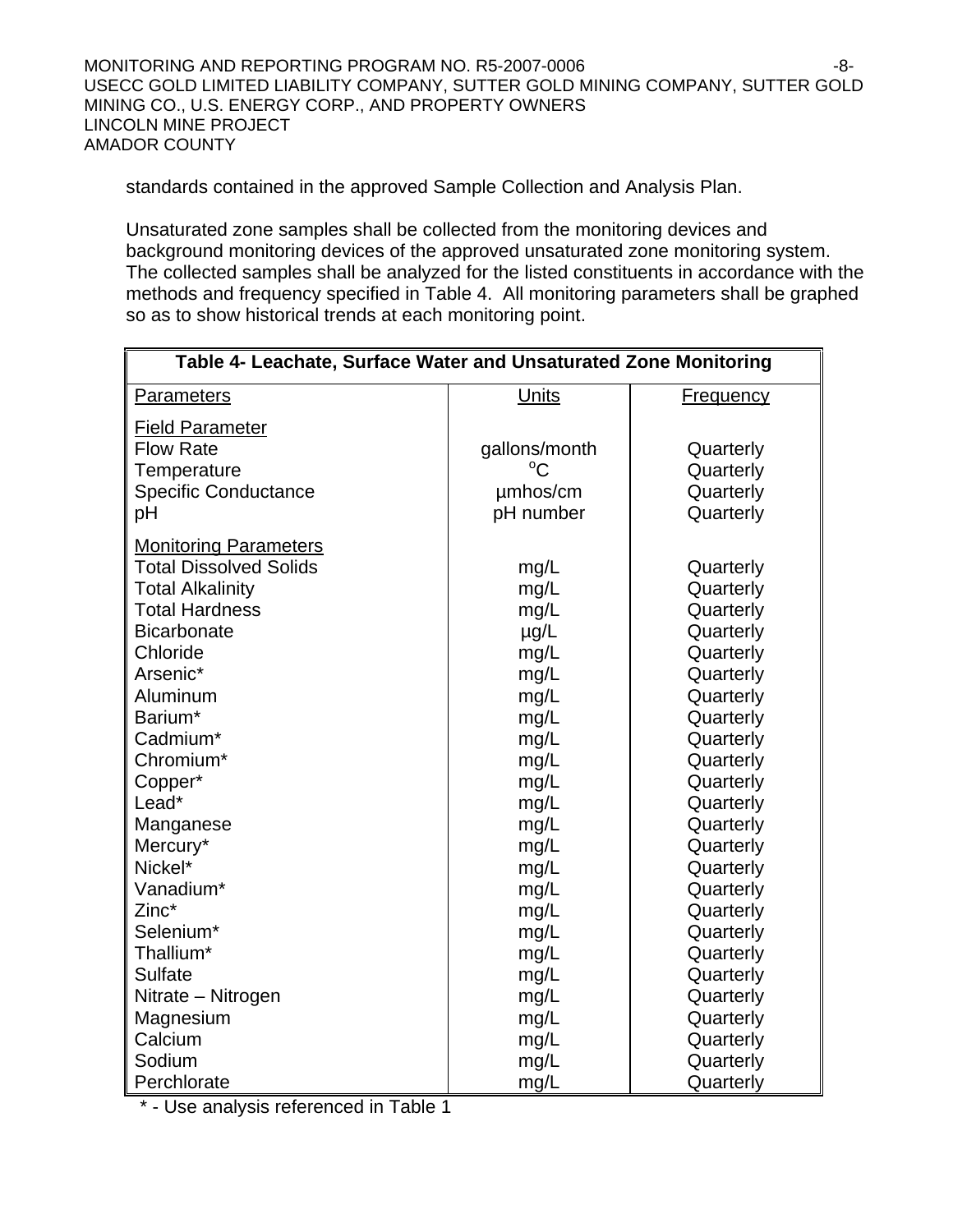MONITORING AND REPORTING PROGRAM NO. R5-2007-0006 **FOULD** 18-8-USECC GOLD LIMITED LIABILITY COMPANY, SUTTER GOLD MINING COMPANY, SUTTER GOLD MINING CO., U.S. ENERGY CORP., AND PROPERTY OWNERS LINCOLN MINE PROJECT AMADOR COUNTY

standards contained in the approved Sample Collection and Analysis Plan.

Unsaturated zone samples shall be collected from the monitoring devices and background monitoring devices of the approved unsaturated zone monitoring system. The collected samples shall be analyzed for the listed constituents in accordance with the methods and frequency specified in Table 4. All monitoring parameters shall be graphed so as to show historical trends at each monitoring point.

| Table 4- Leachate, Surface Water and Unsaturated Zone Monitoring |               |                  |
|------------------------------------------------------------------|---------------|------------------|
| Parameters                                                       | Units         | <b>Frequency</b> |
| <b>Field Parameter</b>                                           |               |                  |
| <b>Flow Rate</b>                                                 | gallons/month | Quarterly        |
| Temperature                                                      | $^{\circ}C$   | Quarterly        |
| <b>Specific Conductance</b>                                      | umhos/cm      | Quarterly        |
| pH                                                               | pH number     | Quarterly        |
| <b>Monitoring Parameters</b>                                     |               |                  |
| <b>Total Dissolved Solids</b>                                    | mg/L          | Quarterly        |
| <b>Total Alkalinity</b>                                          | mg/L          | Quarterly        |
| <b>Total Hardness</b>                                            | mg/L          | Quarterly        |
| <b>Bicarbonate</b>                                               | $\mu$ g/L     | Quarterly        |
| Chloride                                                         | mg/L          | Quarterly        |
| Arsenic*                                                         | mg/L          | Quarterly        |
| Aluminum                                                         | mg/L          | Quarterly        |
| Barium*                                                          | mg/L          | Quarterly        |
| Cadmium*                                                         | mg/L          | Quarterly        |
| Chromium*                                                        | mg/L          | Quarterly        |
| Copper*                                                          | mg/L          | Quarterly        |
| Lead*                                                            | mg/L          | Quarterly        |
| Manganese                                                        | mg/L          | Quarterly        |
| Mercury*                                                         | mg/L          | Quarterly        |
| Nickel*                                                          | mg/L          | Quarterly        |
| Vanadium*                                                        | mg/L          | Quarterly        |
| Zinc*                                                            | mg/L          | Quarterly        |
| Selenium*                                                        | mg/L          | Quarterly        |
| Thallium*                                                        | mg/L          | Quarterly        |
| <b>Sulfate</b>                                                   | mg/L          | Quarterly        |
| Nitrate - Nitrogen                                               | mg/L          | Quarterly        |
| Magnesium                                                        | mg/L          | Quarterly        |
| Calcium                                                          | mg/L          | Quarterly        |
| Sodium                                                           | mg/L          | Quarterly        |
| Perchlorate                                                      | mg/L          | Quarterly        |

\* - Use analysis referenced in Table 1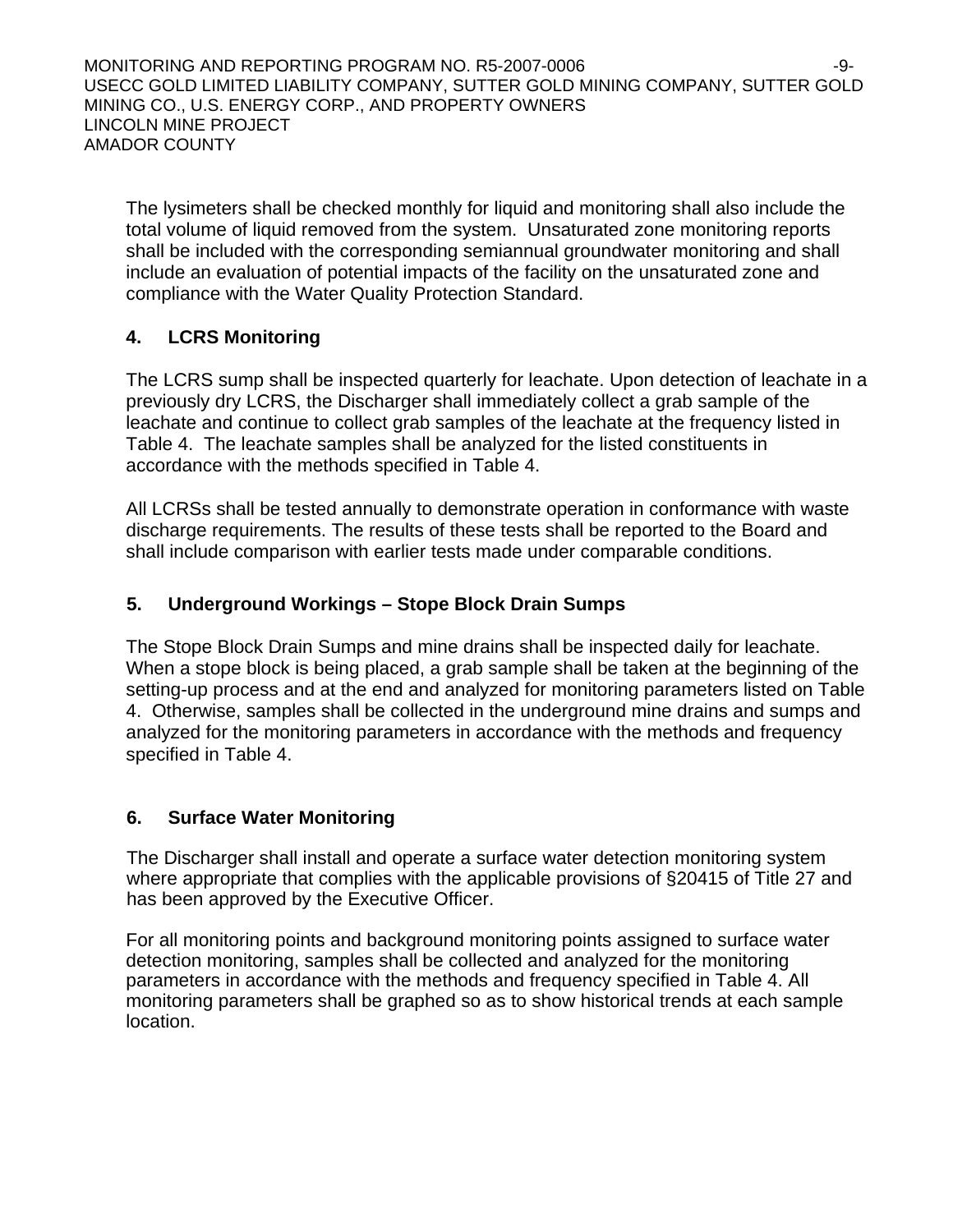MONITORING AND REPORTING PROGRAM NO. R5-2007-0006 -9- USECC GOLD LIMITED LIABILITY COMPANY, SUTTER GOLD MINING COMPANY, SUTTER GOLD MINING CO., U.S. ENERGY CORP., AND PROPERTY OWNERS LINCOLN MINE PROJECT AMADOR COUNTY

The lysimeters shall be checked monthly for liquid and monitoring shall also include the total volume of liquid removed from the system. Unsaturated zone monitoring reports shall be included with the corresponding semiannual groundwater monitoring and shall include an evaluation of potential impacts of the facility on the unsaturated zone and compliance with the Water Quality Protection Standard.

## **4. LCRS Monitoring**

The LCRS sump shall be inspected quarterly for leachate. Upon detection of leachate in a previously dry LCRS, the Discharger shall immediately collect a grab sample of the leachate and continue to collect grab samples of the leachate at the frequency listed in Table 4. The leachate samples shall be analyzed for the listed constituents in accordance with the methods specified in Table 4.

All LCRSs shall be tested annually to demonstrate operation in conformance with waste discharge requirements. The results of these tests shall be reported to the Board and shall include comparison with earlier tests made under comparable conditions.

## **5. Underground Workings – Stope Block Drain Sumps**

The Stope Block Drain Sumps and mine drains shall be inspected daily for leachate. When a stope block is being placed, a grab sample shall be taken at the beginning of the setting-up process and at the end and analyzed for monitoring parameters listed on Table 4. Otherwise, samples shall be collected in the underground mine drains and sumps and analyzed for the monitoring parameters in accordance with the methods and frequency specified in Table 4.

## **6. Surface Water Monitoring**

The Discharger shall install and operate a surface water detection monitoring system where appropriate that complies with the applicable provisions of §20415 of Title 27 and has been approved by the Executive Officer.

For all monitoring points and background monitoring points assigned to surface water detection monitoring, samples shall be collected and analyzed for the monitoring parameters in accordance with the methods and frequency specified in Table 4. All monitoring parameters shall be graphed so as to show historical trends at each sample location.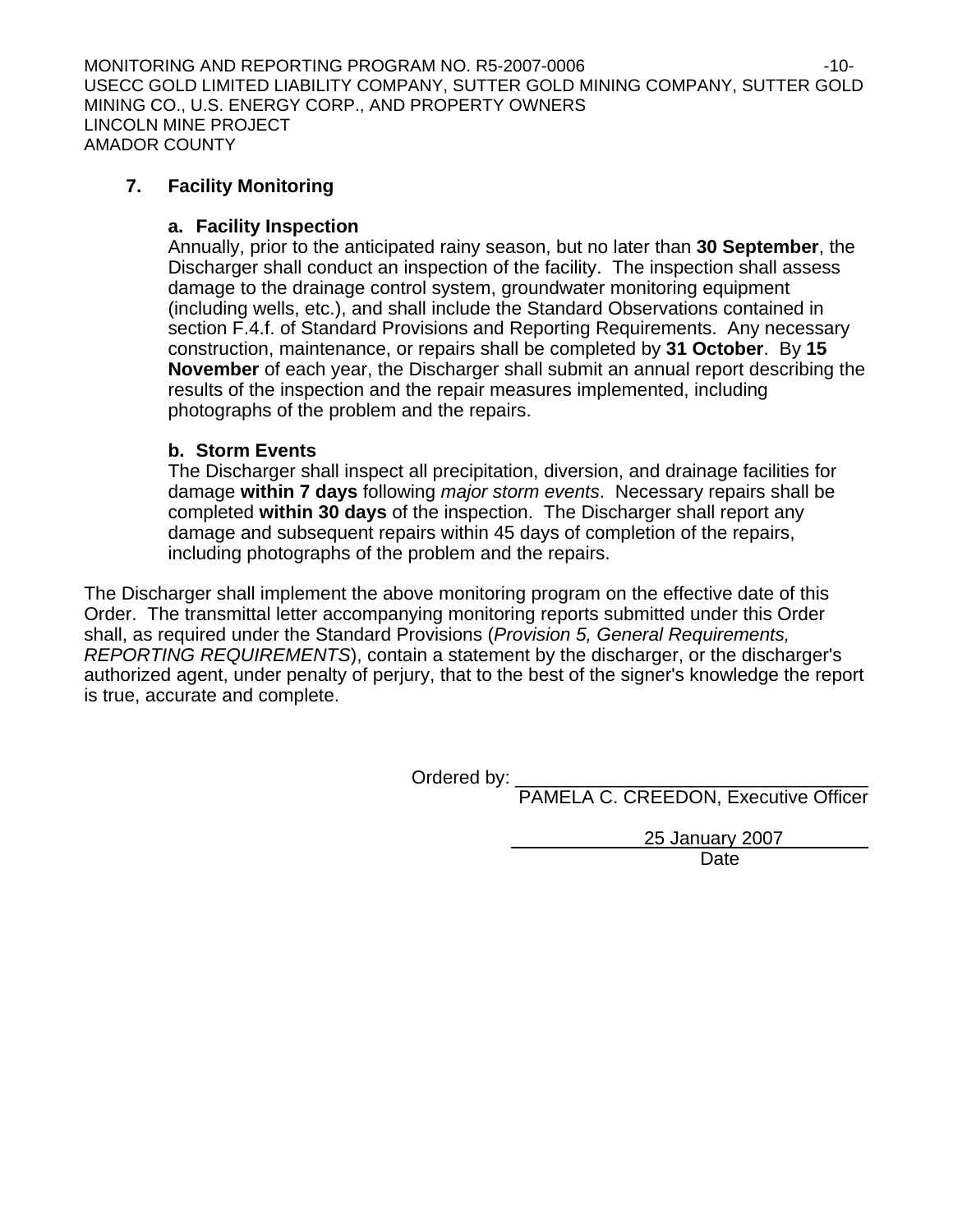MONITORING AND REPORTING PROGRAM NO. R5-2007-0006 -10- USECC GOLD LIMITED LIABILITY COMPANY, SUTTER GOLD MINING COMPANY, SUTTER GOLD MINING CO., U.S. ENERGY CORP., AND PROPERTY OWNERS LINCOLN MINE PROJECT AMADOR COUNTY

## **7. Facility Monitoring**

## **a. Facility Inspection**

Annually, prior to the anticipated rainy season, but no later than **30 September**, the Discharger shall conduct an inspection of the facility. The inspection shall assess damage to the drainage control system, groundwater monitoring equipment (including wells, etc.), and shall include the Standard Observations contained in section F.4.f. of Standard Provisions and Reporting Requirements. Any necessary construction, maintenance, or repairs shall be completed by **31 October**. By **15 November** of each year, the Discharger shall submit an annual report describing the results of the inspection and the repair measures implemented, including photographs of the problem and the repairs.

## **b. Storm Events**

The Discharger shall inspect all precipitation, diversion, and drainage facilities for damage **within 7 days** following *major storm events*. Necessary repairs shall be completed **within 30 days** of the inspection. The Discharger shall report any damage and subsequent repairs within 45 days of completion of the repairs, including photographs of the problem and the repairs.

The Discharger shall implement the above monitoring program on the effective date of this Order. The transmittal letter accompanying monitoring reports submitted under this Order shall, as required under the Standard Provisions (*Provision 5, General Requirements, REPORTING REQUIREMENTS*), contain a statement by the discharger, or the discharger's authorized agent, under penalty of perjury, that to the best of the signer's knowledge the report is true, accurate and complete.

Ordered by:

PAMELA C. CREEDON, Executive Officer

 25 January 2007 **Date Date Date**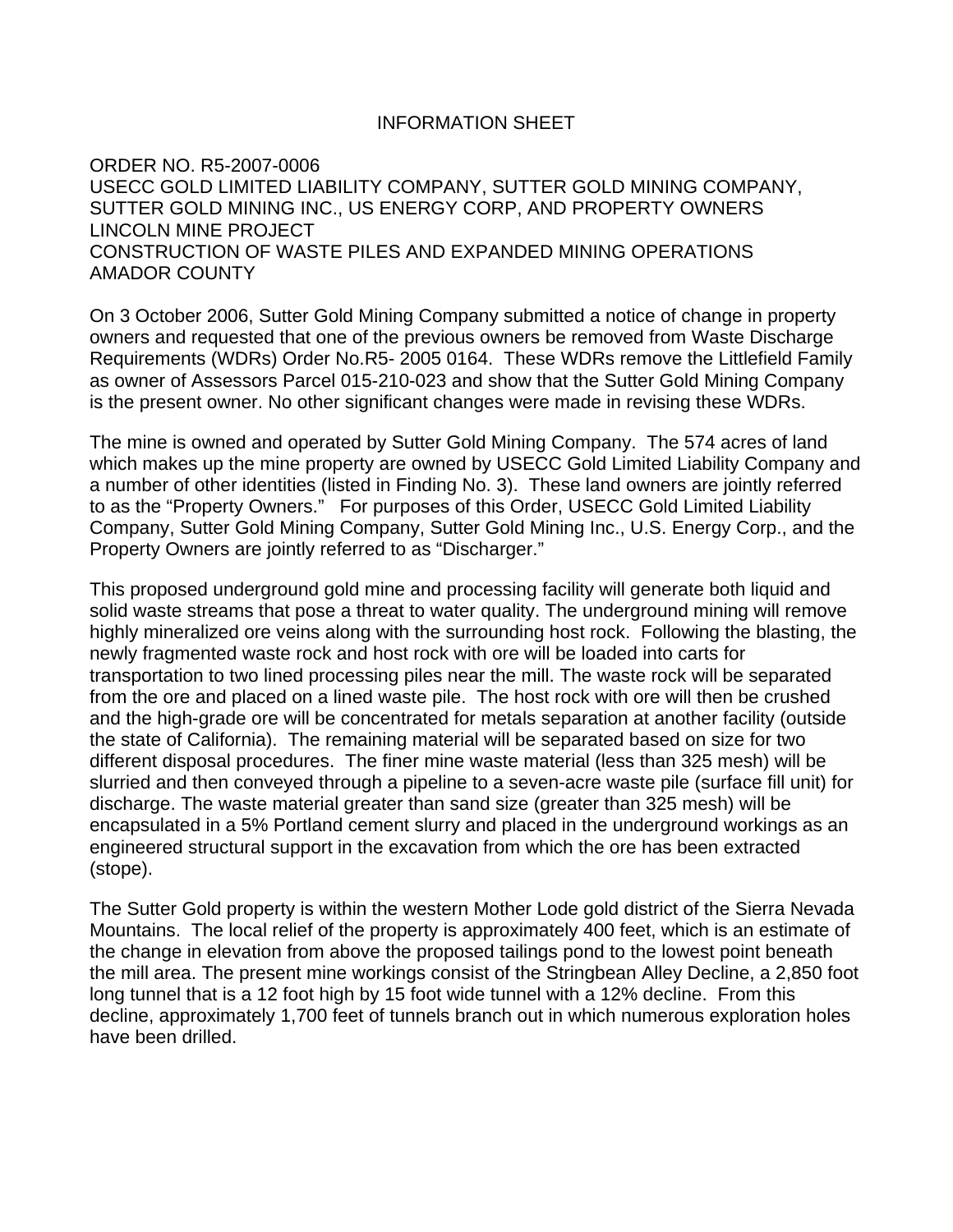#### INFORMATION SHEET

ORDER NO. R5-2007-0006 USECC GOLD LIMITED LIABILITY COMPANY, SUTTER GOLD MINING COMPANY, SUTTER GOLD MINING INC., US ENERGY CORP, AND PROPERTY OWNERS LINCOLN MINE PROJECT CONSTRUCTION OF WASTE PILES AND EXPANDED MINING OPERATIONS AMADOR COUNTY

On 3 October 2006, Sutter Gold Mining Company submitted a notice of change in property owners and requested that one of the previous owners be removed from Waste Discharge Requirements (WDRs) Order No.R5- 2005 0164. These WDRs remove the Littlefield Family as owner of Assessors Parcel 015-210-023 and show that the Sutter Gold Mining Company is the present owner. No other significant changes were made in revising these WDRs.

The mine is owned and operated by Sutter Gold Mining Company. The 574 acres of land which makes up the mine property are owned by USECC Gold Limited Liability Company and a number of other identities (listed in Finding No. 3). These land owners are jointly referred to as the "Property Owners." For purposes of this Order, USECC Gold Limited Liability Company, Sutter Gold Mining Company, Sutter Gold Mining Inc., U.S. Energy Corp., and the Property Owners are jointly referred to as "Discharger."

This proposed underground gold mine and processing facility will generate both liquid and solid waste streams that pose a threat to water quality. The underground mining will remove highly mineralized ore veins along with the surrounding host rock. Following the blasting, the newly fragmented waste rock and host rock with ore will be loaded into carts for transportation to two lined processing piles near the mill. The waste rock will be separated from the ore and placed on a lined waste pile. The host rock with ore will then be crushed and the high-grade ore will be concentrated for metals separation at another facility (outside the state of California). The remaining material will be separated based on size for two different disposal procedures. The finer mine waste material (less than 325 mesh) will be slurried and then conveyed through a pipeline to a seven-acre waste pile (surface fill unit) for discharge. The waste material greater than sand size (greater than 325 mesh) will be encapsulated in a 5% Portland cement slurry and placed in the underground workings as an engineered structural support in the excavation from which the ore has been extracted (stope).

The Sutter Gold property is within the western Mother Lode gold district of the Sierra Nevada Mountains. The local relief of the property is approximately 400 feet, which is an estimate of the change in elevation from above the proposed tailings pond to the lowest point beneath the mill area. The present mine workings consist of the Stringbean Alley Decline, a 2,850 foot long tunnel that is a 12 foot high by 15 foot wide tunnel with a 12% decline. From this decline, approximately 1,700 feet of tunnels branch out in which numerous exploration holes have been drilled.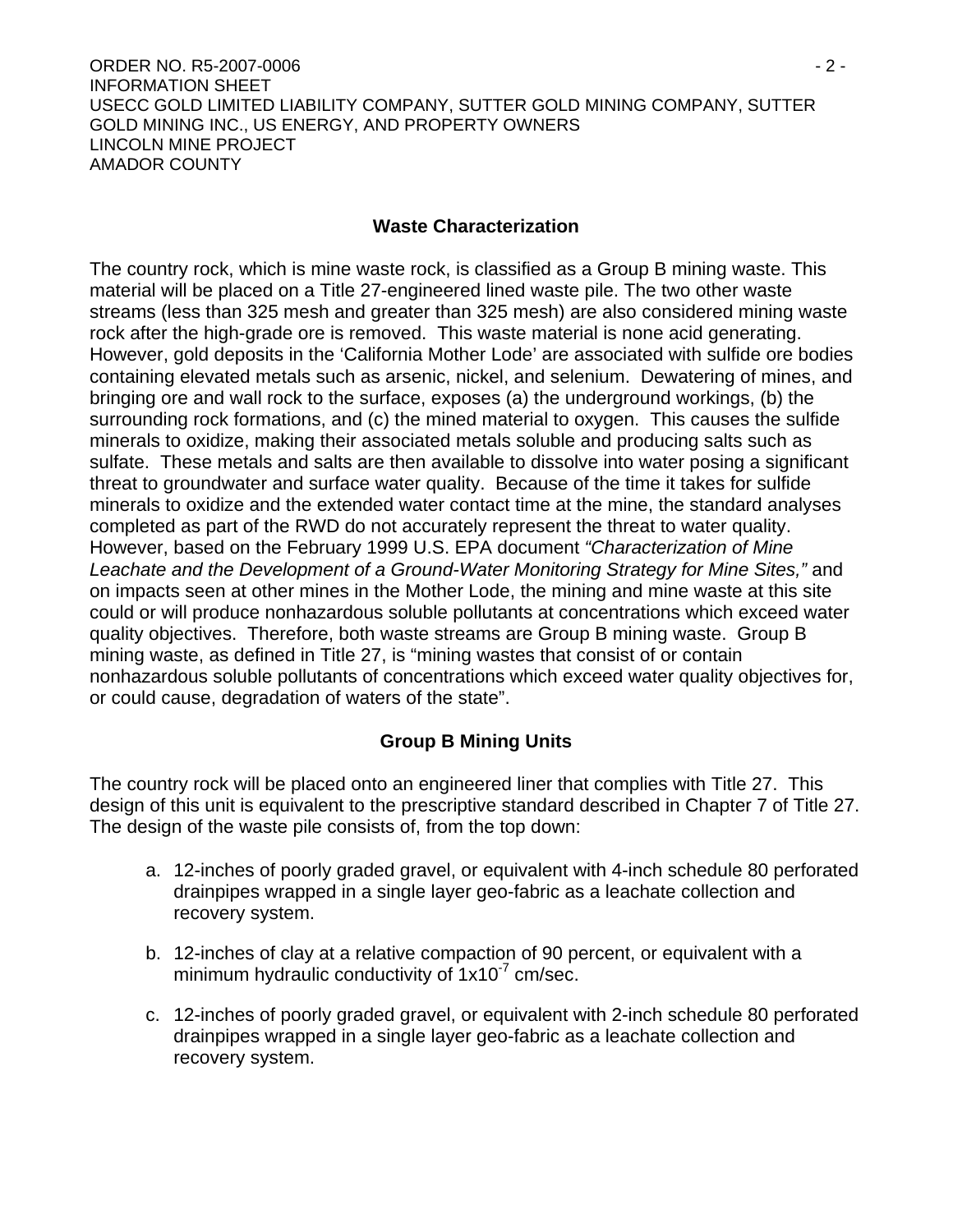ORDER NO. R5-2007-0006 - 2 - INFORMATION SHEET USECC GOLD LIMITED LIABILITY COMPANY, SUTTER GOLD MINING COMPANY, SUTTER GOLD MINING INC., US ENERGY, AND PROPERTY OWNERS LINCOLN MINE PROJECT AMADOR COUNTY

## **Waste Characterization**

The country rock, which is mine waste rock, is classified as a Group B mining waste. This material will be placed on a Title 27-engineered lined waste pile. The two other waste streams (less than 325 mesh and greater than 325 mesh) are also considered mining waste rock after the high-grade ore is removed. This waste material is none acid generating. However, gold deposits in the 'California Mother Lode' are associated with sulfide ore bodies containing elevated metals such as arsenic, nickel, and selenium. Dewatering of mines, and bringing ore and wall rock to the surface, exposes (a) the underground workings, (b) the surrounding rock formations, and (c) the mined material to oxygen. This causes the sulfide minerals to oxidize, making their associated metals soluble and producing salts such as sulfate. These metals and salts are then available to dissolve into water posing a significant threat to groundwater and surface water quality. Because of the time it takes for sulfide minerals to oxidize and the extended water contact time at the mine, the standard analyses completed as part of the RWD do not accurately represent the threat to water quality. However, based on the February 1999 U.S. EPA document *"Characterization of Mine Leachate and the Development of a Ground-Water Monitoring Strategy for Mine Sites,"* and on impacts seen at other mines in the Mother Lode, the mining and mine waste at this site could or will produce nonhazardous soluble pollutants at concentrations which exceed water quality objectives. Therefore, both waste streams are Group B mining waste. Group B mining waste, as defined in Title 27, is "mining wastes that consist of or contain nonhazardous soluble pollutants of concentrations which exceed water quality objectives for, or could cause, degradation of waters of the state".

## **Group B Mining Units**

The country rock will be placed onto an engineered liner that complies with Title 27. This design of this unit is equivalent to the prescriptive standard described in Chapter 7 of Title 27. The design of the waste pile consists of, from the top down:

- a. 12-inches of poorly graded gravel, or equivalent with 4-inch schedule 80 perforated drainpipes wrapped in a single layer geo-fabric as a leachate collection and recovery system.
- b. 12-inches of clay at a relative compaction of 90 percent, or equivalent with a minimum hydraulic conductivity of  $1x10<sup>-7</sup>$  cm/sec.
- c. 12-inches of poorly graded gravel, or equivalent with 2-inch schedule 80 perforated drainpipes wrapped in a single layer geo-fabric as a leachate collection and recovery system.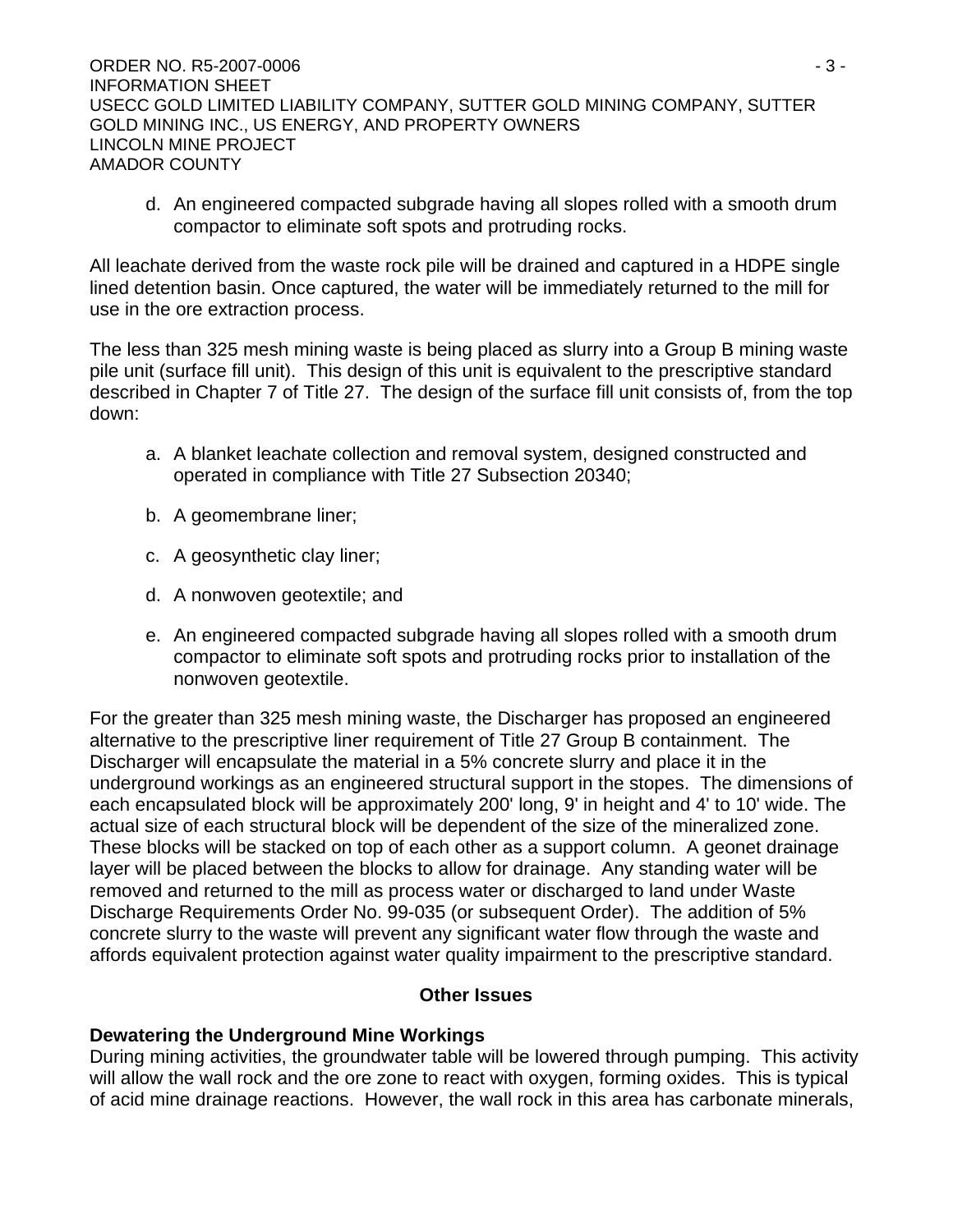d. An engineered compacted subgrade having all slopes rolled with a smooth drum compactor to eliminate soft spots and protruding rocks.

All leachate derived from the waste rock pile will be drained and captured in a HDPE single lined detention basin. Once captured, the water will be immediately returned to the mill for use in the ore extraction process.

The less than 325 mesh mining waste is being placed as slurry into a Group B mining waste pile unit (surface fill unit). This design of this unit is equivalent to the prescriptive standard described in Chapter 7 of Title 27. The design of the surface fill unit consists of, from the top down:

- a. A blanket leachate collection and removal system, designed constructed and operated in compliance with Title 27 Subsection 20340;
- b. A geomembrane liner;
- c. A geosynthetic clay liner;
- d. A nonwoven geotextile; and
- e. An engineered compacted subgrade having all slopes rolled with a smooth drum compactor to eliminate soft spots and protruding rocks prior to installation of the nonwoven geotextile.

For the greater than 325 mesh mining waste, the Discharger has proposed an engineered alternative to the prescriptive liner requirement of Title 27 Group B containment. The Discharger will encapsulate the material in a 5% concrete slurry and place it in the underground workings as an engineered structural support in the stopes. The dimensions of each encapsulated block will be approximately 200' long, 9' in height and 4' to 10' wide. The actual size of each structural block will be dependent of the size of the mineralized zone. These blocks will be stacked on top of each other as a support column. A geonet drainage layer will be placed between the blocks to allow for drainage. Any standing water will be removed and returned to the mill as process water or discharged to land under Waste Discharge Requirements Order No. 99-035 (or subsequent Order). The addition of 5% concrete slurry to the waste will prevent any significant water flow through the waste and affords equivalent protection against water quality impairment to the prescriptive standard.

## **Other Issues**

## **Dewatering the Underground Mine Workings**

During mining activities, the groundwater table will be lowered through pumping. This activity will allow the wall rock and the ore zone to react with oxygen, forming oxides. This is typical of acid mine drainage reactions. However, the wall rock in this area has carbonate minerals,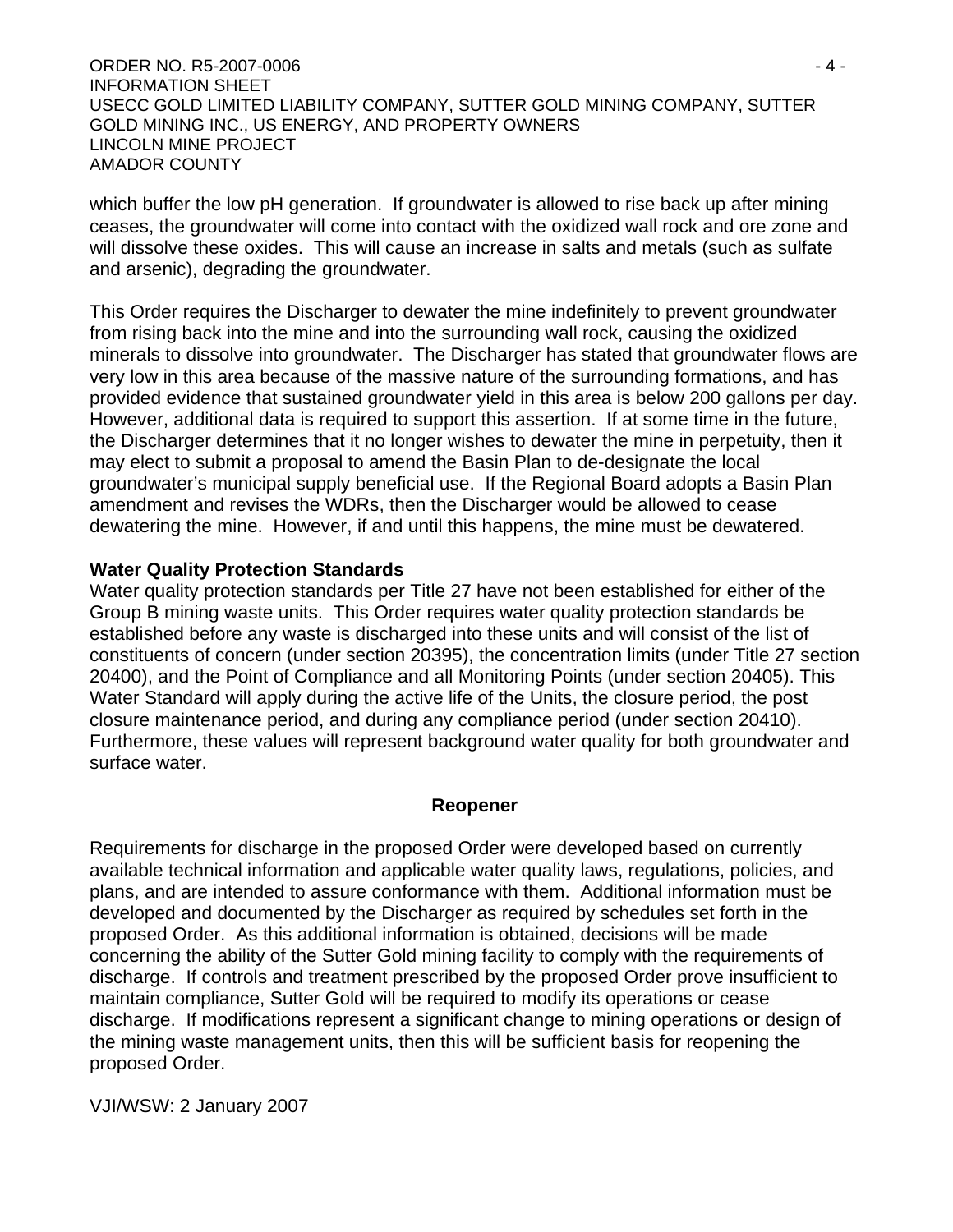ORDER NO. R5-2007-0006 - 4 - INFORMATION SHEET USECC GOLD LIMITED LIABILITY COMPANY, SUTTER GOLD MINING COMPANY, SUTTER GOLD MINING INC., US ENERGY, AND PROPERTY OWNERS LINCOLN MINE PROJECT AMADOR COUNTY

which buffer the low pH generation. If groundwater is allowed to rise back up after mining ceases, the groundwater will come into contact with the oxidized wall rock and ore zone and will dissolve these oxides. This will cause an increase in salts and metals (such as sulfate and arsenic), degrading the groundwater.

This Order requires the Discharger to dewater the mine indefinitely to prevent groundwater from rising back into the mine and into the surrounding wall rock, causing the oxidized minerals to dissolve into groundwater. The Discharger has stated that groundwater flows are very low in this area because of the massive nature of the surrounding formations, and has provided evidence that sustained groundwater yield in this area is below 200 gallons per day. However, additional data is required to support this assertion. If at some time in the future, the Discharger determines that it no longer wishes to dewater the mine in perpetuity, then it may elect to submit a proposal to amend the Basin Plan to de-designate the local groundwater's municipal supply beneficial use. If the Regional Board adopts a Basin Plan amendment and revises the WDRs, then the Discharger would be allowed to cease dewatering the mine. However, if and until this happens, the mine must be dewatered.

#### **Water Quality Protection Standards**

Water quality protection standards per Title 27 have not been established for either of the Group B mining waste units. This Order requires water quality protection standards be established before any waste is discharged into these units and will consist of the list of constituents of concern (under section 20395), the concentration limits (under Title 27 section 20400), and the Point of Compliance and all Monitoring Points (under section 20405). This Water Standard will apply during the active life of the Units, the closure period, the post closure maintenance period, and during any compliance period (under section 20410). Furthermore, these values will represent background water quality for both groundwater and surface water.

#### **Reopener**

Requirements for discharge in the proposed Order were developed based on currently available technical information and applicable water quality laws, regulations, policies, and plans, and are intended to assure conformance with them. Additional information must be developed and documented by the Discharger as required by schedules set forth in the proposed Order. As this additional information is obtained, decisions will be made concerning the ability of the Sutter Gold mining facility to comply with the requirements of discharge. If controls and treatment prescribed by the proposed Order prove insufficient to maintain compliance, Sutter Gold will be required to modify its operations or cease discharge. If modifications represent a significant change to mining operations or design of the mining waste management units, then this will be sufficient basis for reopening the proposed Order.

VJI/WSW: 2 January 2007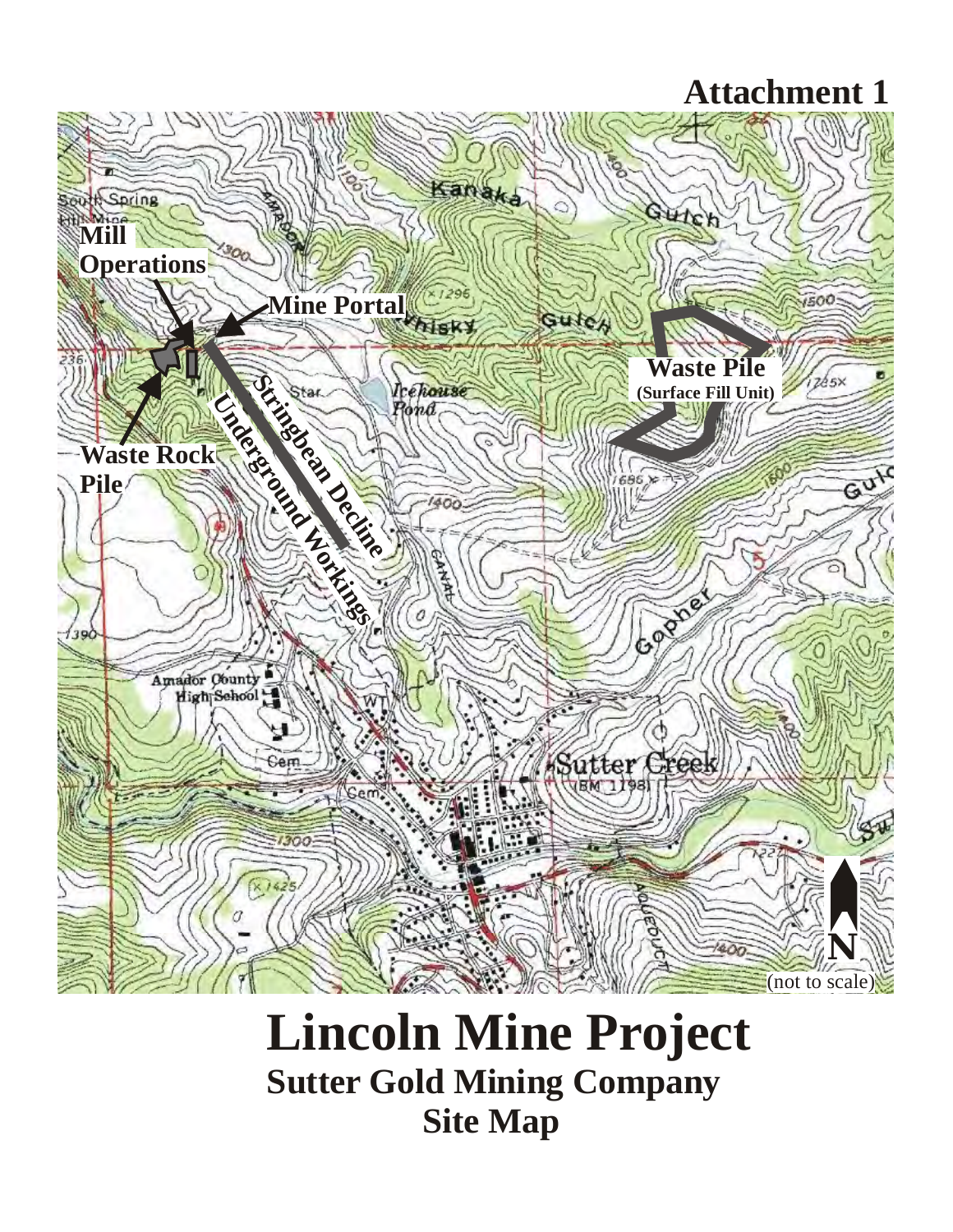## **Attachment 1**



# **Lincoln Mine Project Sutter Gold Mining Company Site Map**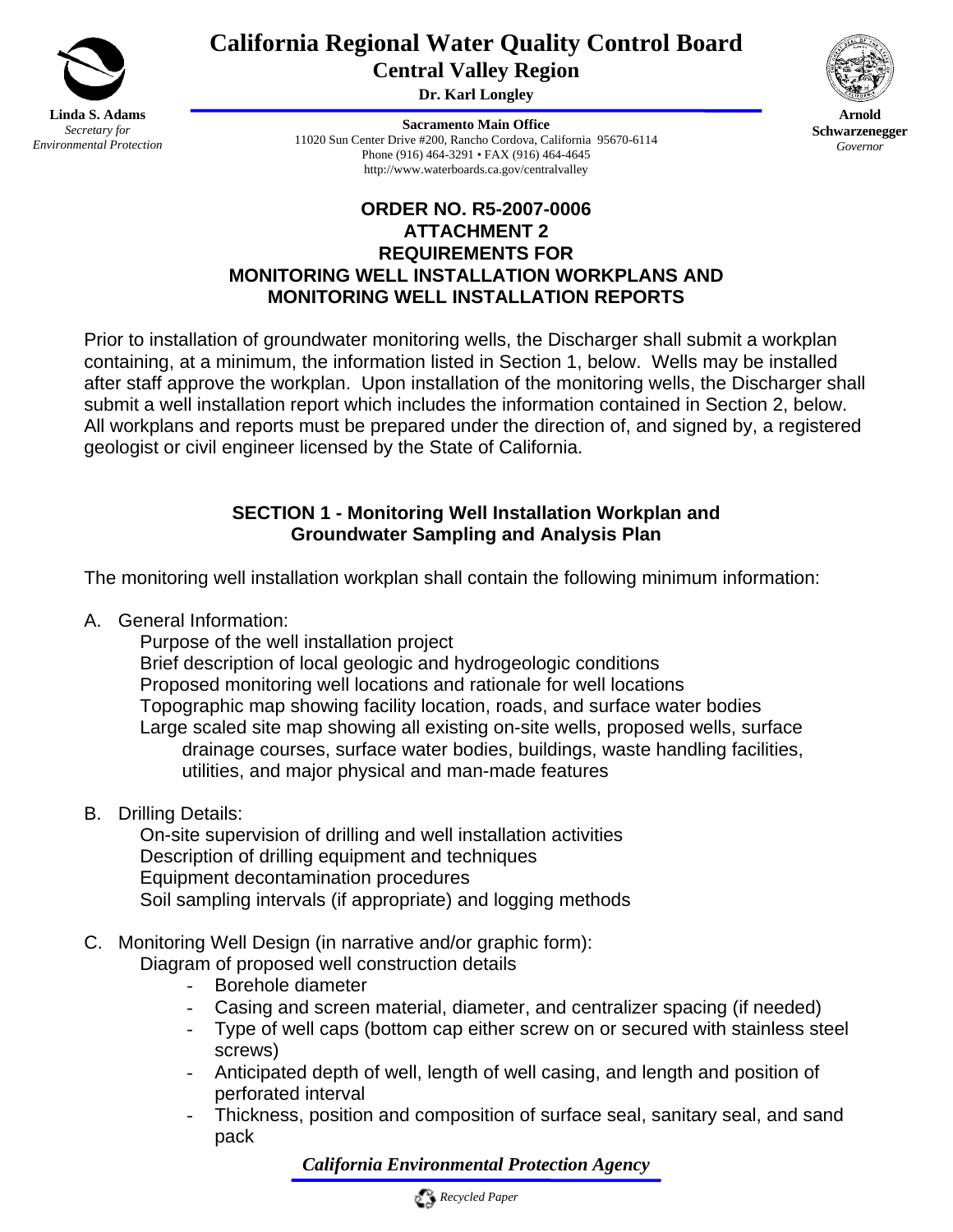

## **California Regional Water Quality Control Board Central Valley Region**

**Dr. Karl Longley** 

**Arnold Schwarzenegger** *Governor* 

**Sacramento Main Office** 11020 Sun Center Drive #200, Rancho Cordova, California 95670-6114 Phone (916) 464-3291 • FAX (916) 464-4645 http://www.waterboards.ca.gov/centralvalley



Prior to installation of groundwater monitoring wells, the Discharger shall submit a workplan containing, at a minimum, the information listed in Section 1, below. Wells may be installed after staff approve the workplan. Upon installation of the monitoring wells, the Discharger shall submit a well installation report which includes the information contained in Section 2, below. All workplans and reports must be prepared under the direction of, and signed by, a registered geologist or civil engineer licensed by the State of California.

## **SECTION 1 - Monitoring Well Installation Workplan and Groundwater Sampling and Analysis Plan**

The monitoring well installation workplan shall contain the following minimum information:

A. General Information:

 Purpose of the well installation project Brief description of local geologic and hydrogeologic conditions Proposed monitoring well locations and rationale for well locations Topographic map showing facility location, roads, and surface water bodies Large scaled site map showing all existing on-site wells, proposed wells, surface drainage courses, surface water bodies, buildings, waste handling facilities, utilities, and major physical and man-made features

B. Drilling Details:

 On-site supervision of drilling and well installation activities Description of drilling equipment and techniques Equipment decontamination procedures Soil sampling intervals (if appropriate) and logging methods

C. Monitoring Well Design (in narrative and/or graphic form):

Diagram of proposed well construction details

- Borehole diameter
- Casing and screen material, diameter, and centralizer spacing (if needed)
- Type of well caps (bottom cap either screw on or secured with stainless steel screws)
- Anticipated depth of well, length of well casing, and length and position of perforated interval
- Thickness, position and composition of surface seal, sanitary seal, and sand pack

*California Environmental Protection Agency*

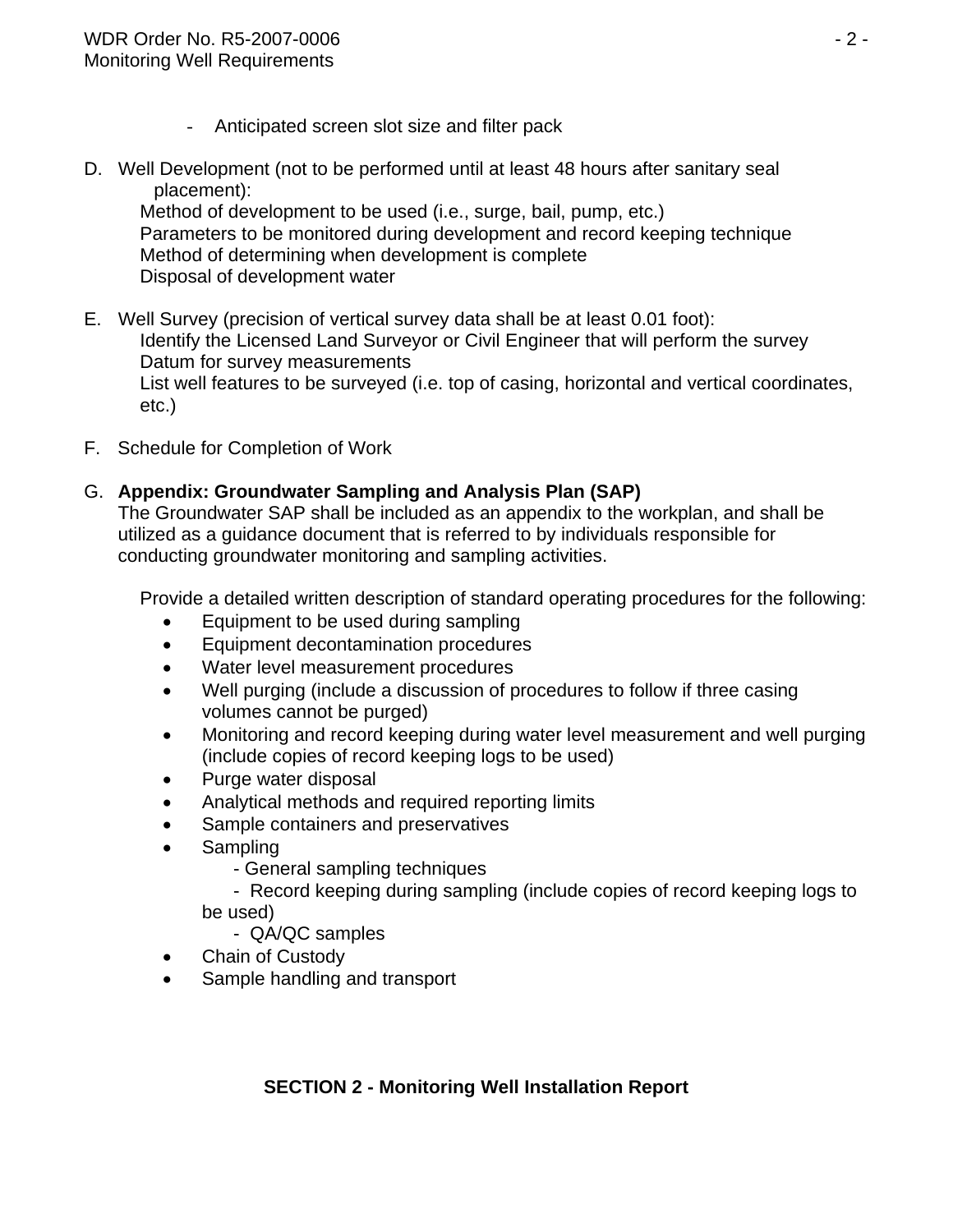- Anticipated screen slot size and filter pack
- D. Well Development (not to be performed until at least 48 hours after sanitary seal placement):

 Method of development to be used (i.e., surge, bail, pump, etc.) Parameters to be monitored during development and record keeping technique Method of determining when development is complete Disposal of development water

- E. Well Survey (precision of vertical survey data shall be at least 0.01 foot): Identify the Licensed Land Surveyor or Civil Engineer that will perform the survey Datum for survey measurements List well features to be surveyed (i.e. top of casing, horizontal and vertical coordinates, etc.)
- F. Schedule for Completion of Work

## G. **Appendix: Groundwater Sampling and Analysis Plan (SAP)**

The Groundwater SAP shall be included as an appendix to the workplan, and shall be utilized as a guidance document that is referred to by individuals responsible for conducting groundwater monitoring and sampling activities.

Provide a detailed written description of standard operating procedures for the following:

- Equipment to be used during sampling
- Equipment decontamination procedures
- Water level measurement procedures
- Well purging (include a discussion of procedures to follow if three casing volumes cannot be purged)
- Monitoring and record keeping during water level measurement and well purging (include copies of record keeping logs to be used)
- Purge water disposal
- Analytical methods and required reporting limits
- Sample containers and preservatives
- Sampling
	- General sampling techniques

 - Record keeping during sampling (include copies of record keeping logs to be used)

- QA/QC samples
- Chain of Custody
- Sample handling and transport

## **SECTION 2 - Monitoring Well Installation Report**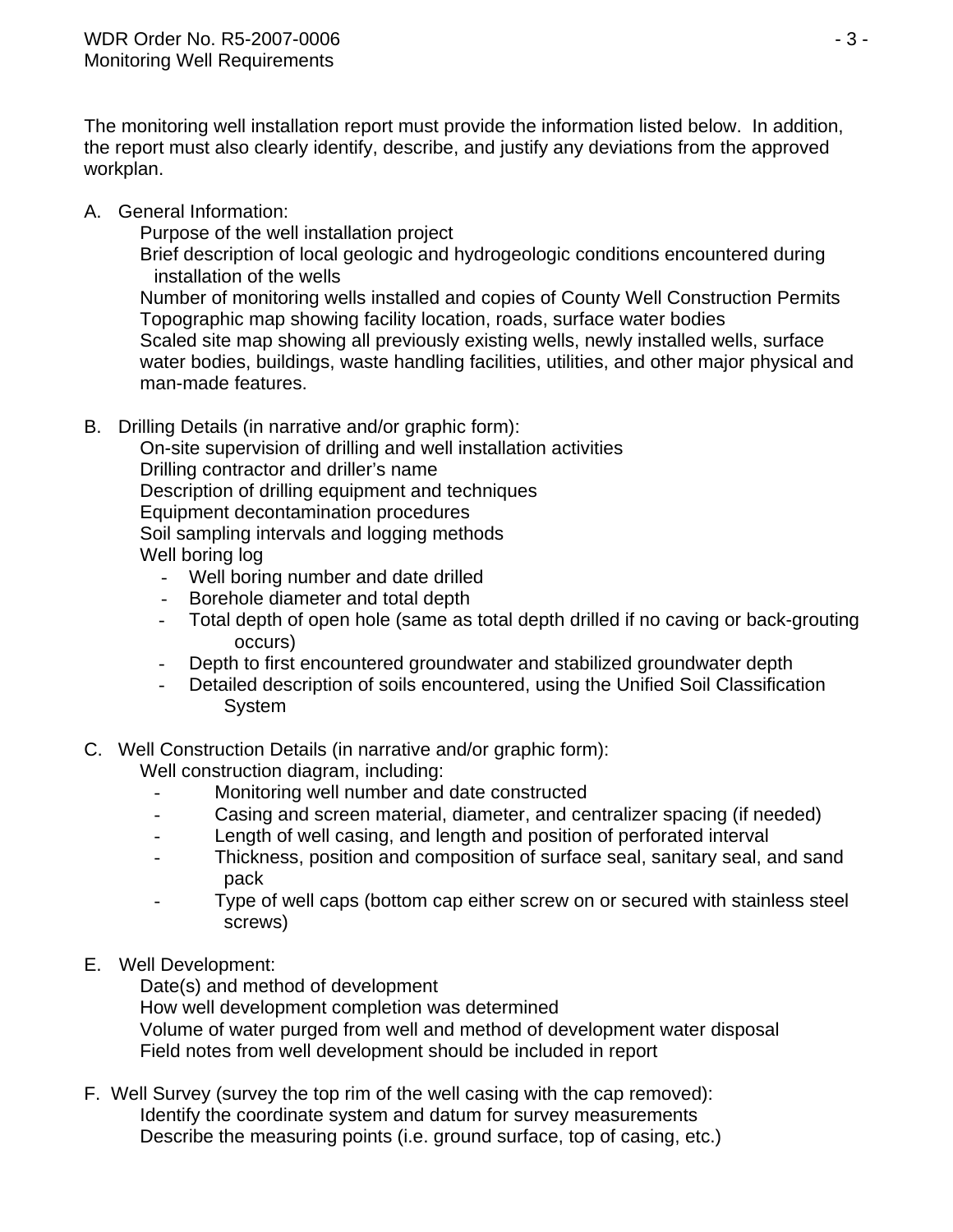The monitoring well installation report must provide the information listed below. In addition, the report must also clearly identify, describe, and justify any deviations from the approved workplan.

A. General Information:

Purpose of the well installation project

 Brief description of local geologic and hydrogeologic conditions encountered during installation of the wells

 Number of monitoring wells installed and copies of County Well Construction Permits Topographic map showing facility location, roads, surface water bodies Scaled site map showing all previously existing wells, newly installed wells, surface water bodies, buildings, waste handling facilities, utilities, and other major physical and man-made features.

B. Drilling Details (in narrative and/or graphic form):

 On-site supervision of drilling and well installation activities Drilling contractor and driller's name Description of drilling equipment and techniques Equipment decontamination procedures Soil sampling intervals and logging methods Well boring log

- Well boring number and date drilled
- Borehole diameter and total depth
- Total depth of open hole (same as total depth drilled if no caving or back-grouting occurs)
- Depth to first encountered groundwater and stabilized groundwater depth
- Detailed description of soils encountered, using the Unified Soil Classification System
- C. Well Construction Details (in narrative and/or graphic form): Well construction diagram, including:
	- Monitoring well number and date constructed
	- Casing and screen material, diameter, and centralizer spacing (if needed)
	- Length of well casing, and length and position of perforated interval
	- Thickness, position and composition of surface seal, sanitary seal, and sand pack
	- Type of well caps (bottom cap either screw on or secured with stainless steel screws)
- E. Well Development:

Date(s) and method of development

How well development completion was determined

 Volume of water purged from well and method of development water disposal Field notes from well development should be included in report

F. Well Survey (survey the top rim of the well casing with the cap removed): Identify the coordinate system and datum for survey measurements Describe the measuring points (i.e. ground surface, top of casing, etc.)